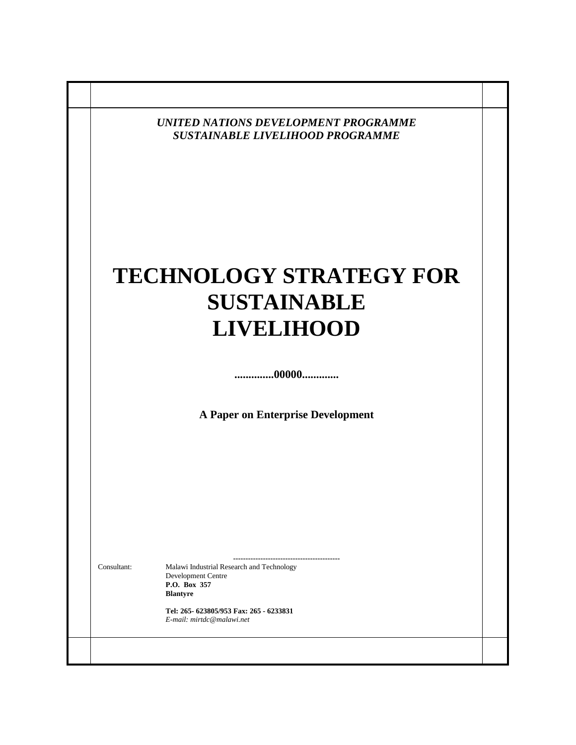|             | <b>UNITED NATIONS DEVELOPMENT PROGRAMME</b><br><b>SUSTAINABLE LIVELIHOOD PROGRAMME</b>             |  |
|-------------|----------------------------------------------------------------------------------------------------|--|
|             | <b>TECHNOLOGY STRATEGY FOR</b><br><b>SUSTAINABLE</b>                                               |  |
|             | <b>LIVELIHOOD</b>                                                                                  |  |
|             | 00000                                                                                              |  |
|             | A Paper on Enterprise Development                                                                  |  |
|             |                                                                                                    |  |
|             |                                                                                                    |  |
|             | --------------------------------                                                                   |  |
| Consultant: | Malawi Industrial Research and Technology<br>Development Centre<br>P.O. Box 357<br><b>Blantyre</b> |  |
|             | Tel: 265-623805/953 Fax: 265 - 6233831<br>E-mail: mirtdc@malawi.net                                |  |
|             |                                                                                                    |  |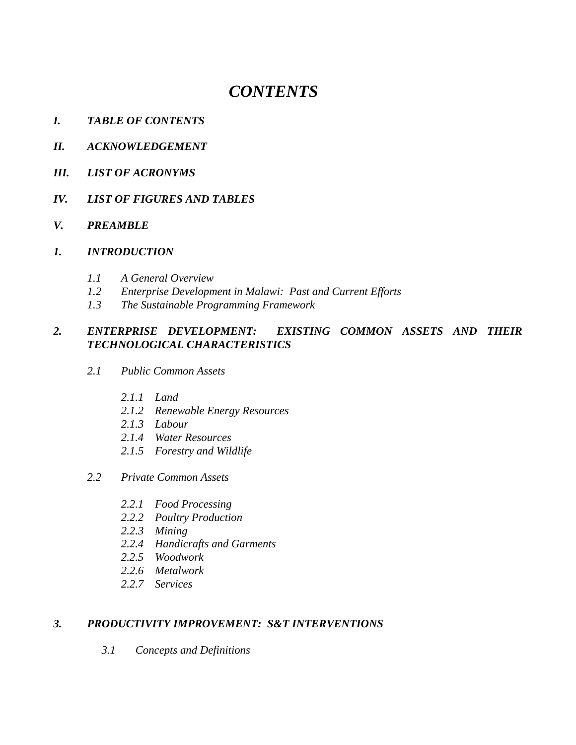# *CONTENTS*

- *I. TABLE OF CONTENTS*
- *II. ACKNOWLEDGEMENT*
- *III. LIST OF ACRONYMS*
- *IV. LIST OF FIGURES AND TABLES*

#### *V. PREAMBLE*

#### *1. INTRODUCTION*

- *1.1 A General Overview*
- *1.2 Enterprise Development in Malawi: Past and Current Efforts*
- *1.3 The Sustainable Programming Framework*

# *2. ENTERPRISE DEVELOPMENT: EXISTING COMMON ASSETS AND THEIR TECHNOLOGICAL CHARACTERISTICS*

- *2.1 Public Common Assets* 
	- *2.1.1 Land*
	- *2.1.2 Renewable Energy Resources*
	- *2.1.3 Labour*
	- *2.1.4 Water Resources*
	- *2.1.5 Forestry and Wildlife*
- *2.2 Private Common Assets* 
	- *2.2.1 Food Processing*
	- *2.2.2 Poultry Production*
	- *2.2.3 Mining*
	- *2.2.4 Handicrafts and Garments*
	- *2.2.5 Woodwork*
	- *2.2.6 Metalwork*
	- *2.2.7 Services*

#### *3. PRODUCTIVITY IMPROVEMENT: S&T INTERVENTIONS*

*3.1 Concepts and Definitions*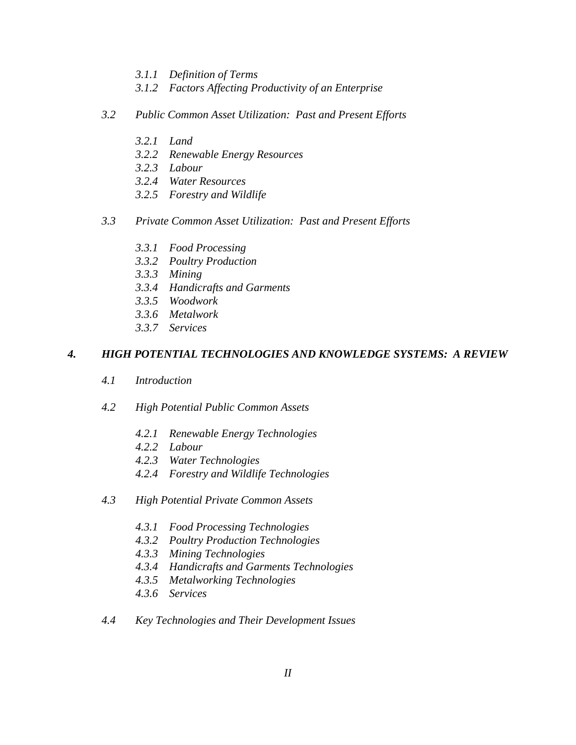- *3.1.1 Definition of Terms*
- *3.1.2 Factors Affecting Productivity of an Enterprise*
- *3.2 Public Common Asset Utilization: Past and Present Efforts* 
	- *3.2.1 Land*
	- *3.2.2 Renewable Energy Resources*
	- *3.2.3 Labour*
	- *3.2.4 Water Resources*
	- *3.2.5 Forestry and Wildlife*
- *3.3 Private Common Asset Utilization: Past and Present Efforts* 
	- *3.3.1 Food Processing*
	- *3.3.2 Poultry Production*
	- *3.3.3 Mining*
	- *3.3.4 Handicrafts and Garments*
	- *3.3.5 Woodwork*
	- *3.3.6 Metalwork*
	- *3.3.7 Services*

#### *4. HIGH POTENTIAL TECHNOLOGIES AND KNOWLEDGE SYSTEMS: A REVIEW*

- *4.1 Introduction*
- *4.2 High Potential Public Common Assets* 
	- *4.2.1 Renewable Energy Technologies*
	- *4.2.2 Labour*
	- *4.2.3 Water Technologies*
	- *4.2.4 Forestry and Wildlife Technologies*
- *4.3 High Potential Private Common Assets* 
	- *4.3.1 Food Processing Technologies*
	- *4.3.2 Poultry Production Technologies*
	- *4.3.3 Mining Technologies*
	- *4.3.4 Handicrafts and Garments Technologies*
	- *4.3.5 Metalworking Technologies*
	- *4.3.6 Services*
- *4.4 Key Technologies and Their Development Issues*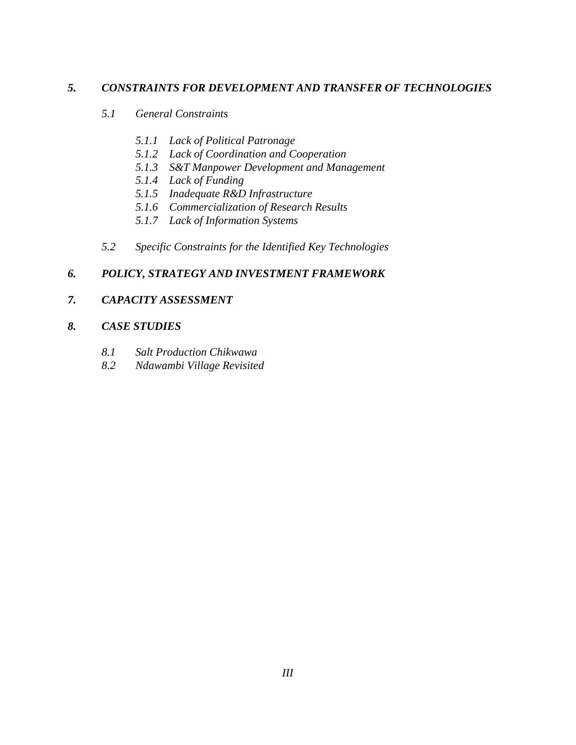# *5. CONSTRAINTS FOR DEVELOPMENT AND TRANSFER OF TECHNOLOGIES*

- *5.1 General Constraints* 
	- *5.1.1 Lack of Political Patronage*
	- *5.1.2 Lack of Coordination and Cooperation*
	- *5.1.3 S&T Manpower Development and Management*
	- *5.1.4 Lack of Funding*
	- *5.1.5 Inadequate R&D Infrastructure*
	- *5.1.6 Commercialization of Research Results*
	- *5.1.7 Lack of Information Systems*
- *5.2 Specific Constraints for the Identified Key Technologies*

# *6. POLICY, STRATEGY AND INVESTMENT FRAMEWORK*

# *7. CAPACITY ASSESSMENT*

### *8. CASE STUDIES*

- *8.1 Salt Production Chikwawa*
- *8.2 Ndawambi Village Revisited*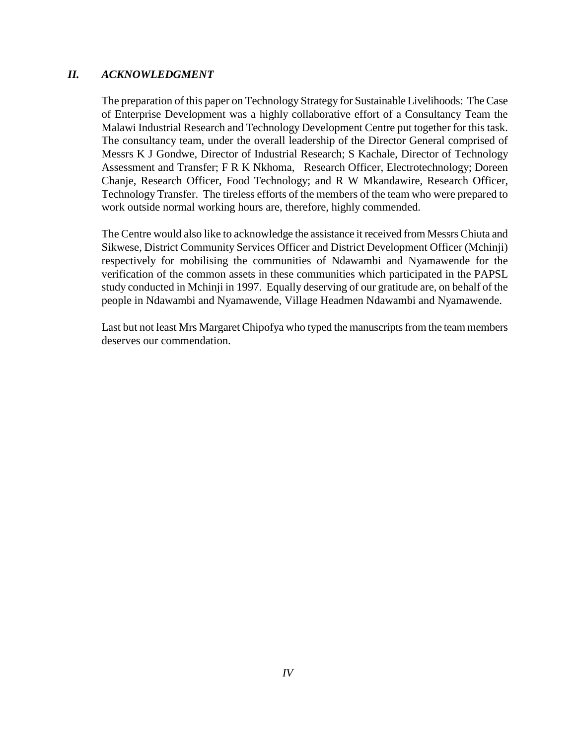### *II. ACKNOWLEDGMENT*

The preparation of this paper on Technology Strategy for Sustainable Livelihoods: The Case of Enterprise Development was a highly collaborative effort of a Consultancy Team the Malawi Industrial Research and Technology Development Centre put together for this task. The consultancy team, under the overall leadership of the Director General comprised of Messrs K J Gondwe, Director of Industrial Research; S Kachale, Director of Technology Assessment and Transfer; F R K Nkhoma, Research Officer, Electrotechnology; Doreen Chanje, Research Officer, Food Technology; and R W Mkandawire, Research Officer, Technology Transfer. The tireless efforts of the members of the team who were prepared to work outside normal working hours are, therefore, highly commended.

The Centre would also like to acknowledge the assistance it received from Messrs Chiuta and Sikwese, District Community Services Officer and District Development Officer (Mchinji) respectively for mobilising the communities of Ndawambi and Nyamawende for the verification of the common assets in these communities which participated in the PAPSL study conducted in Mchinji in 1997. Equally deserving of our gratitude are, on behalf of the people in Ndawambi and Nyamawende, Village Headmen Ndawambi and Nyamawende.

Last but not least Mrs Margaret Chipofya who typed the manuscripts from the team members deserves our commendation.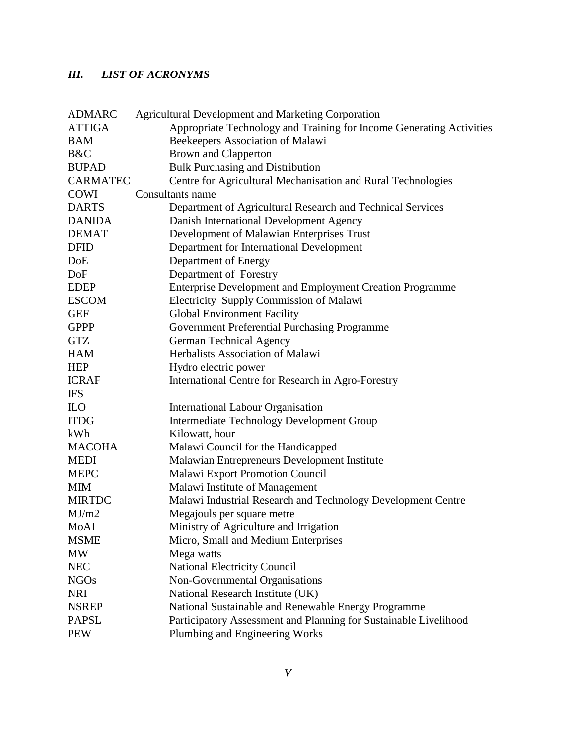# *III. LIST OF ACRONYMS*

| <b>ADMARC</b>   | <b>Agricultural Development and Marketing Corporation</b>            |
|-----------------|----------------------------------------------------------------------|
| <b>ATTIGA</b>   | Appropriate Technology and Training for Income Generating Activities |
| <b>BAM</b>      | Beekeepers Association of Malawi                                     |
| B&C             | <b>Brown and Clapperton</b>                                          |
| <b>BUPAD</b>    | <b>Bulk Purchasing and Distribution</b>                              |
| <b>CARMATEC</b> | Centre for Agricultural Mechanisation and Rural Technologies         |
| <b>COWI</b>     | Consultants name                                                     |
| <b>DARTS</b>    | Department of Agricultural Research and Technical Services           |
| <b>DANIDA</b>   | Danish International Development Agency                              |
| <b>DEMAT</b>    | Development of Malawian Enterprises Trust                            |
| <b>DFID</b>     | Department for International Development                             |
| DoE             | Department of Energy                                                 |
| DoF             | Department of Forestry                                               |
| <b>EDEP</b>     | Enterprise Development and Employment Creation Programme             |
| <b>ESCOM</b>    | Electricity Supply Commission of Malawi                              |
| <b>GEF</b>      | <b>Global Environment Facility</b>                                   |
| <b>GPPP</b>     | Government Preferential Purchasing Programme                         |
| <b>GTZ</b>      | <b>German Technical Agency</b>                                       |
| <b>HAM</b>      | Herbalists Association of Malawi                                     |
| <b>HEP</b>      | Hydro electric power                                                 |
| <b>ICRAF</b>    | International Centre for Research in Agro-Forestry                   |
| <b>IFS</b>      |                                                                      |
| <b>ILO</b>      | <b>International Labour Organisation</b>                             |
| <b>ITDG</b>     | <b>Intermediate Technology Development Group</b>                     |
| kWh             | Kilowatt, hour                                                       |
| <b>MACOHA</b>   | Malawi Council for the Handicapped                                   |
| <b>MEDI</b>     | Malawian Entrepreneurs Development Institute                         |
| <b>MEPC</b>     | Malawi Export Promotion Council                                      |
| <b>MIM</b>      | Malawi Institute of Management                                       |
| <b>MIRTDC</b>   | Malawi Industrial Research and Technology Development Centre         |
| MJ/m2           | Megajouls per square metre                                           |
| MoAI            | Ministry of Agriculture and Irrigation                               |
| <b>MSME</b>     | Micro, Small and Medium Enterprises                                  |
| MW              | Mega watts                                                           |
| <b>NEC</b>      | National Electricity Council                                         |
| <b>NGOs</b>     | Non-Governmental Organisations                                       |
| <b>NRI</b>      | National Research Institute (UK)                                     |
| <b>NSREP</b>    | National Sustainable and Renewable Energy Programme                  |
| <b>PAPSL</b>    | Participatory Assessment and Planning for Sustainable Livelihood     |
| <b>PEW</b>      | Plumbing and Engineering Works                                       |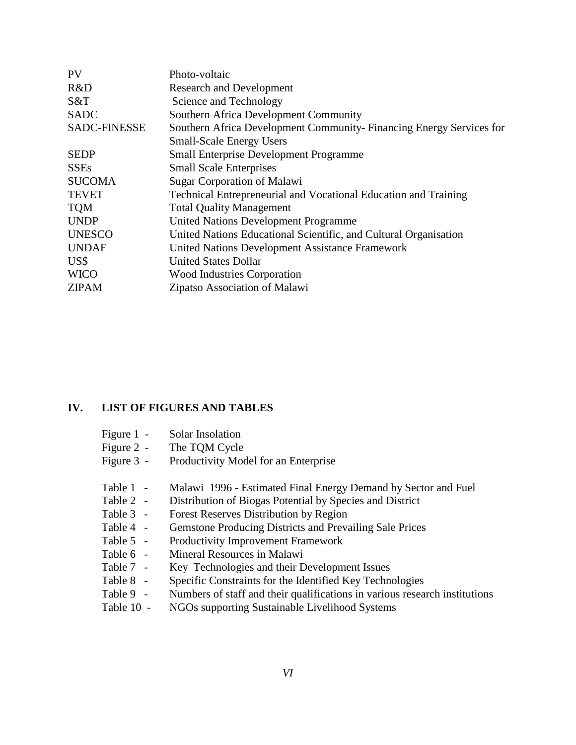| PV                  | Photo-voltaic                                                       |
|---------------------|---------------------------------------------------------------------|
| R&D                 | <b>Research and Development</b>                                     |
| S&T                 | Science and Technology                                              |
| <b>SADC</b>         | Southern Africa Development Community                               |
| <b>SADC-FINESSE</b> | Southern Africa Development Community-Financing Energy Services for |
|                     | <b>Small-Scale Energy Users</b>                                     |
| <b>SEDP</b>         | <b>Small Enterprise Development Programme</b>                       |
| <b>SSEs</b>         | <b>Small Scale Enterprises</b>                                      |
| <b>SUCOMA</b>       | <b>Sugar Corporation of Malawi</b>                                  |
| <b>TEVET</b>        | Technical Entrepreneurial and Vocational Education and Training     |
| <b>TQM</b>          | <b>Total Quality Management</b>                                     |
| <b>UNDP</b>         | <b>United Nations Development Programme</b>                         |
| <b>UNESCO</b>       | United Nations Educational Scientific, and Cultural Organisation    |
| <b>UNDAF</b>        | United Nations Development Assistance Framework                     |
| US\$                | <b>United States Dollar</b>                                         |
| <b>WICO</b>         | <b>Wood Industries Corporation</b>                                  |
| <b>ZIPAM</b>        | Zipatso Association of Malawi                                       |
|                     |                                                                     |

#### **IV. LIST OF FIGURES AND TABLES**

- Figure 2 The TQM Cycle
- Figure 3 Productivity Model for an Enterprise
- Table 1 Malawi 1996 Estimated Final Energy Demand by Sector and Fuel
- Table 2 Distribution of Biogas Potential by Species and District
- Table 3 Forest Reserves Distribution by Region
- Table 4 Gemstone Producing Districts and Prevailing Sale Prices
- Table 5 Productivity Improvement Framework
- Table 6 Mineral Resources in Malawi
- Table 7 Key Technologies and their Development Issues
- Table 8 Specific Constraints for the Identified Key Technologies
- Table 9 Numbers of staff and their qualifications in various research institutions
- Table 10 NGOs supporting Sustainable Livelihood Systems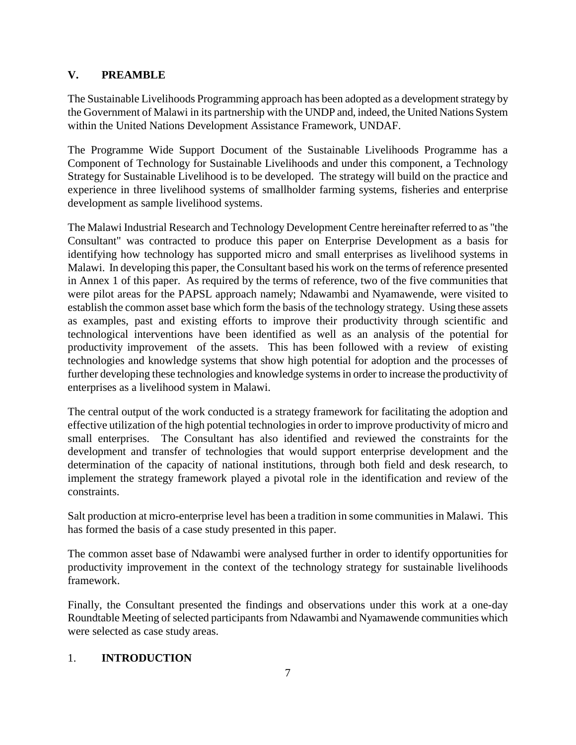# **V. PREAMBLE**

The Sustainable Livelihoods Programming approach has been adopted as a development strategy by the Government of Malawi in its partnership with the UNDP and, indeed, the United Nations System within the United Nations Development Assistance Framework, UNDAF.

The Programme Wide Support Document of the Sustainable Livelihoods Programme has a Component of Technology for Sustainable Livelihoods and under this component, a Technology Strategy for Sustainable Livelihood is to be developed. The strategy will build on the practice and experience in three livelihood systems of smallholder farming systems, fisheries and enterprise development as sample livelihood systems.

The Malawi Industrial Research and Technology Development Centre hereinafter referred to as "the Consultant" was contracted to produce this paper on Enterprise Development as a basis for identifying how technology has supported micro and small enterprises as livelihood systems in Malawi. In developing this paper, the Consultant based his work on the terms of reference presented in Annex 1 of this paper. As required by the terms of reference, two of the five communities that were pilot areas for the PAPSL approach namely; Ndawambi and Nyamawende, were visited to establish the common asset base which form the basis of the technology strategy. Using these assets as examples, past and existing efforts to improve their productivity through scientific and technological interventions have been identified as well as an analysis of the potential for productivity improvement of the assets. This has been followed with a review of existing technologies and knowledge systems that show high potential for adoption and the processes of further developing these technologies and knowledge systems in order to increase the productivity of enterprises as a livelihood system in Malawi.

The central output of the work conducted is a strategy framework for facilitating the adoption and effective utilization of the high potential technologies in order to improve productivity of micro and small enterprises. The Consultant has also identified and reviewed the constraints for the development and transfer of technologies that would support enterprise development and the determination of the capacity of national institutions, through both field and desk research, to implement the strategy framework played a pivotal role in the identification and review of the constraints.

Salt production at micro-enterprise level has been a tradition in some communities in Malawi. This has formed the basis of a case study presented in this paper.

The common asset base of Ndawambi were analysed further in order to identify opportunities for productivity improvement in the context of the technology strategy for sustainable livelihoods framework.

Finally, the Consultant presented the findings and observations under this work at a one-day Roundtable Meeting of selected participants from Ndawambi and Nyamawende communities which were selected as case study areas.

# 1. **INTRODUCTION**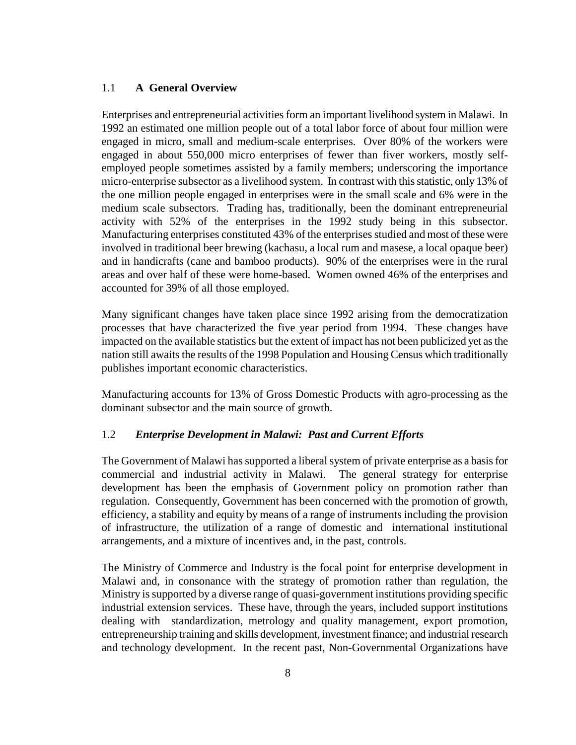#### 1.1 **A General Overview**

Enterprises and entrepreneurial activities form an important livelihood system in Malawi. In 1992 an estimated one million people out of a total labor force of about four million were engaged in micro, small and medium-scale enterprises. Over 80% of the workers were engaged in about 550,000 micro enterprises of fewer than fiver workers, mostly selfemployed people sometimes assisted by a family members; underscoring the importance micro-enterprise subsector as a livelihood system. In contrast with this statistic, only 13% of the one million people engaged in enterprises were in the small scale and 6% were in the medium scale subsectors. Trading has, traditionally, been the dominant entrepreneurial activity with 52% of the enterprises in the 1992 study being in this subsector. Manufacturing enterprises constituted 43% of the enterprises studied and most of these were involved in traditional beer brewing (kachasu, a local rum and masese, a local opaque beer) and in handicrafts (cane and bamboo products). 90% of the enterprises were in the rural areas and over half of these were home-based. Women owned 46% of the enterprises and accounted for 39% of all those employed.

Many significant changes have taken place since 1992 arising from the democratization processes that have characterized the five year period from 1994. These changes have impacted on the available statistics but the extent of impact has not been publicized yet as the nation still awaits the results of the 1998 Population and Housing Census which traditionally publishes important economic characteristics.

Manufacturing accounts for 13% of Gross Domestic Products with agro-processing as the dominant subsector and the main source of growth.

#### 1.2 *Enterprise Development in Malawi: Past and Current Efforts*

The Government of Malawi has supported a liberal system of private enterprise as a basis for commercial and industrial activity in Malawi. The general strategy for enterprise development has been the emphasis of Government policy on promotion rather than regulation. Consequently, Government has been concerned with the promotion of growth, efficiency, a stability and equity by means of a range of instruments including the provision of infrastructure, the utilization of a range of domestic and international institutional arrangements, and a mixture of incentives and, in the past, controls.

The Ministry of Commerce and Industry is the focal point for enterprise development in Malawi and, in consonance with the strategy of promotion rather than regulation, the Ministry is supported by a diverse range of quasi-government institutions providing specific industrial extension services. These have, through the years, included support institutions dealing with standardization, metrology and quality management, export promotion, entrepreneurship training and skills development, investment finance; and industrial research and technology development. In the recent past, Non-Governmental Organizations have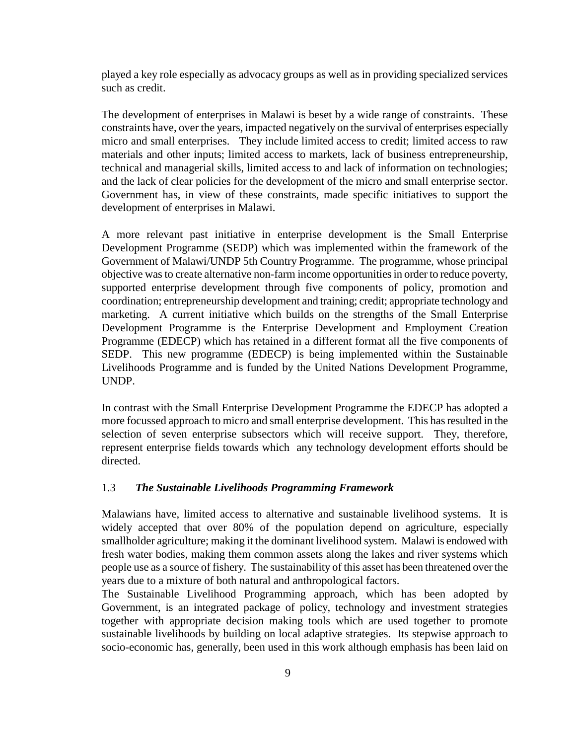played a key role especially as advocacy groups as well as in providing specialized services such as credit.

The development of enterprises in Malawi is beset by a wide range of constraints. These constraints have, over the years, impacted negatively on the survival of enterprises especially micro and small enterprises. They include limited access to credit; limited access to raw materials and other inputs; limited access to markets, lack of business entrepreneurship, technical and managerial skills, limited access to and lack of information on technologies; and the lack of clear policies for the development of the micro and small enterprise sector. Government has, in view of these constraints, made specific initiatives to support the development of enterprises in Malawi.

A more relevant past initiative in enterprise development is the Small Enterprise Development Programme (SEDP) which was implemented within the framework of the Government of Malawi/UNDP 5th Country Programme. The programme, whose principal objective was to create alternative non-farm income opportunities in order to reduce poverty, supported enterprise development through five components of policy, promotion and coordination; entrepreneurship development and training; credit; appropriate technology and marketing. A current initiative which builds on the strengths of the Small Enterprise Development Programme is the Enterprise Development and Employment Creation Programme (EDECP) which has retained in a different format all the five components of SEDP. This new programme (EDECP) is being implemented within the Sustainable Livelihoods Programme and is funded by the United Nations Development Programme, UNDP.

In contrast with the Small Enterprise Development Programme the EDECP has adopted a more focussed approach to micro and small enterprise development. This has resulted in the selection of seven enterprise subsectors which will receive support. They, therefore, represent enterprise fields towards which any technology development efforts should be directed.

#### 1.3 *The Sustainable Livelihoods Programming Framework*

Malawians have, limited access to alternative and sustainable livelihood systems. It is widely accepted that over 80% of the population depend on agriculture, especially smallholder agriculture; making it the dominant livelihood system. Malawi is endowed with fresh water bodies, making them common assets along the lakes and river systems which people use as a source of fishery. The sustainability of this asset has been threatened over the years due to a mixture of both natural and anthropological factors.

The Sustainable Livelihood Programming approach, which has been adopted by Government, is an integrated package of policy, technology and investment strategies together with appropriate decision making tools which are used together to promote sustainable livelihoods by building on local adaptive strategies. Its stepwise approach to socio-economic has, generally, been used in this work although emphasis has been laid on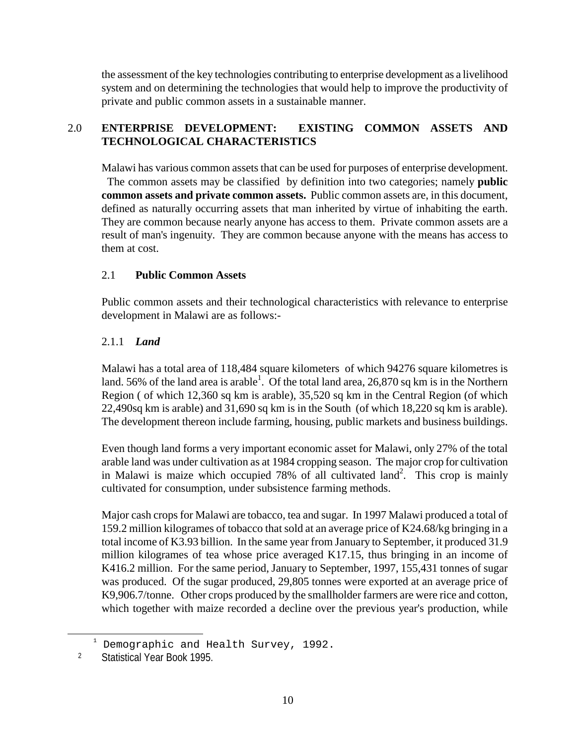the assessment of the key technologies contributing to enterprise development as a livelihood system and on determining the technologies that would help to improve the productivity of private and public common assets in a sustainable manner.

# 2.0 **ENTERPRISE DEVELOPMENT: EXISTING COMMON ASSETS AND TECHNOLOGICAL CHARACTERISTICS**

Malawi has various common assets that can be used for purposes of enterprise development. The common assets may be classified by definition into two categories; namely **public common assets and private common assets.** Public common assets are, in this document, defined as naturally occurring assets that man inherited by virtue of inhabiting the earth. They are common because nearly anyone has access to them. Private common assets are a result of man's ingenuity. They are common because anyone with the means has access to them at cost.

# 2.1 **Public Common Assets**

Public common assets and their technological characteristics with relevance to enterprise development in Malawi are as follows:-

# 2.1.1 *Land*

Malawi has a total area of 118,484 square kilometers of which 94276 square kilometres is land. 56% of the land area is arable<sup>1</sup>. Of the total land area, 26,870 sq km is in the Northern Region ( of which 12,360 sq km is arable), 35,520 sq km in the Central Region (of which 22,490sq km is arable) and 31,690 sq km is in the South (of which 18,220 sq km is arable). The development thereon include farming, housing, public markets and business buildings.

Even though land forms a very important economic asset for Malawi, only 27% of the total arable land was under cultivation as at 1984 cropping season. The major crop for cultivation in Malawi is maize which occupied  $78\%$  of all cultivated land<sup>2</sup>. This crop is mainly cultivated for consumption, under subsistence farming methods.

Major cash crops for Malawi are tobacco, tea and sugar. In 1997 Malawi produced a total of 159.2 million kilogrames of tobacco that sold at an average price of K24.68/kg bringing in a total income of K3.93 billion. In the same year from January to September, it produced 31.9 million kilogrames of tea whose price averaged K17.15, thus bringing in an income of K416.2 million. For the same period, January to September, 1997, 155,431 tonnes of sugar was produced. Of the sugar produced, 29,805 tonnes were exported at an average price of K9,906.7/tonne. Other crops produced by the smallholder farmers are were rice and cotton, which together with maize recorded a decline over the previous year's production, while

 $\frac{1}{1}$ Demographic and Health Survey, 1992.

 <sup>2</sup> Statistical Year Book 1995.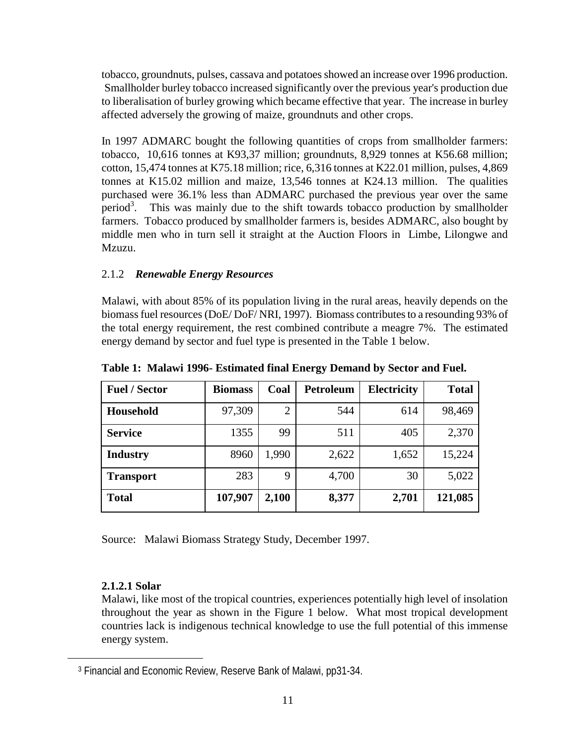tobacco, groundnuts, pulses, cassava and potatoes showed an increase over 1996 production. Smallholder burley tobacco increased significantly over the previous year's production due to liberalisation of burley growing which became effective that year. The increase in burley affected adversely the growing of maize, groundnuts and other crops.

In 1997 ADMARC bought the following quantities of crops from smallholder farmers: tobacco, 10,616 tonnes at K93,37 million; groundnuts, 8,929 tonnes at K56.68 million; cotton, 15,474 tonnes at K75.18 million; rice, 6,316 tonnes at K22.01 million, pulses, 4,869 tonnes at K15.02 million and maize, 13,546 tonnes at K24.13 million. The qualities purchased were 36.1% less than ADMARC purchased the previous year over the same period<sup>3</sup>. This was mainly due to the shift towards tobacco production by smallholder farmers. Tobacco produced by smallholder farmers is, besides ADMARC, also bought by middle men who in turn sell it straight at the Auction Floors in Limbe, Lilongwe and Mzuzu.

# 2.1.2 *Renewable Energy Resources*

Malawi, with about 85% of its population living in the rural areas, heavily depends on the biomass fuel resources (DoE/ DoF/ NRI, 1997). Biomass contributes to a resounding 93% of the total energy requirement, the rest combined contribute a meagre 7%. The estimated energy demand by sector and fuel type is presented in the Table 1 below.

| <b>Fuel / Sector</b> | <b>Biomass</b> | Coal  | Petroleum | <b>Electricity</b> | <b>Total</b> |
|----------------------|----------------|-------|-----------|--------------------|--------------|
| <b>Household</b>     | 97,309         | 2     | 544       | 614                | 98,469       |
| <b>Service</b>       | 1355           | 99    | 511       | 405                | 2,370        |
| <b>Industry</b>      | 8960           | 1,990 | 2,622     | 1,652              | 15,224       |
| <b>Transport</b>     | 283            | 9     | 4,700     | 30                 | 5,022        |
| <b>Total</b>         | 107,907        | 2,100 | 8,377     | 2,701              | 121,085      |

**Table 1: Malawi 1996- Estimated final Energy Demand by Sector and Fuel.**

Source: Malawi Biomass Strategy Study, December 1997.

# **2.1.2.1 Solar**

 $\overline{a}$ 

Malawi, like most of the tropical countries, experiences potentially high level of insolation throughout the year as shown in the Figure 1 below. What most tropical development countries lack is indigenous technical knowledge to use the full potential of this immense energy system.

 <sup>3</sup> Financial and Economic Review, Reserve Bank of Malawi, pp31-34.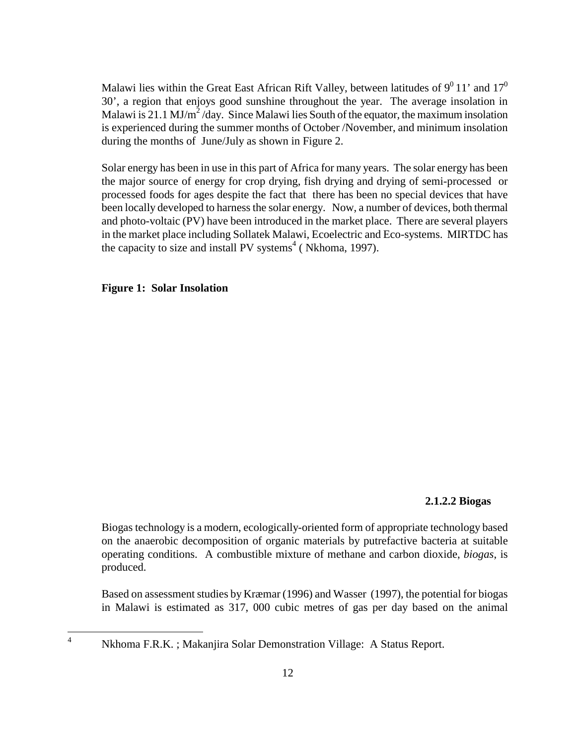Malawi lies within the Great East African Rift Valley, between latitudes of  $9^0$  11' and 17<sup>0</sup> 30', a region that enjoys good sunshine throughout the year. The average insolation in Malawi is 21.1 MJ/m<sup>2</sup>/day. Since Malawi lies South of the equator, the maximum insolation is experienced during the summer months of October /November, and minimum insolation during the months of June/July as shown in Figure 2.

Solar energy has been in use in this part of Africa for many years. The solar energy has been the major source of energy for crop drying, fish drying and drying of semi-processed or processed foods for ages despite the fact that there has been no special devices that have been locally developed to harness the solar energy. Now, a number of devices, both thermal and photo-voltaic (PV) have been introduced in the market place. There are several players in the market place including Sollatek Malawi, Ecoelectric and Eco-systems. MIRTDC has the capacity to size and install PV systems<sup>4</sup> (Nkhoma, 1997).

**Figure 1: Solar Insolation** 

 $\overline{a}$ 

#### **2.1.2.2 Biogas**

Biogas technology is a modern, ecologically-oriented form of appropriate technology based on the anaerobic decomposition of organic materials by putrefactive bacteria at suitable operating conditions. A combustible mixture of methane and carbon dioxide, *biogas*, is produced.

Based on assessment studies by Kræmar (1996) and Wasser (1997), the potential for biogas in Malawi is estimated as 317, 000 cubic metres of gas per day based on the animal

<sup>4</sup> Nkhoma F.R.K. ; Makanjira Solar Demonstration Village: A Status Report.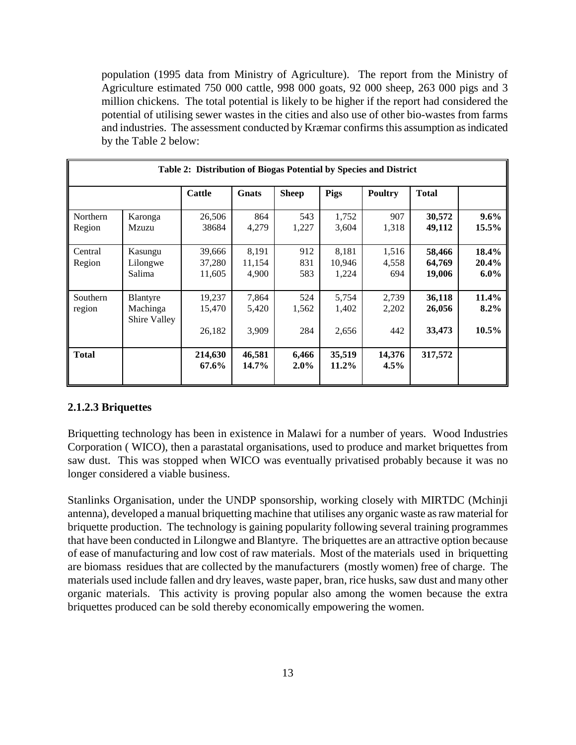population (1995 data from Ministry of Agriculture). The report from the Ministry of Agriculture estimated 750 000 cattle, 998 000 goats, 92 000 sheep, 263 000 pigs and 3 million chickens. The total potential is likely to be higher if the report had considered the potential of utilising sewer wastes in the cities and also use of other bio-wastes from farms and industries. The assessment conducted by Kræmar confirms this assumption as indicated by the Table 2 below:

| Table 2: Distribution of Biogas Potential by Species and District |                                      |                            |                          |                     |                          |                       |                            |                              |
|-------------------------------------------------------------------|--------------------------------------|----------------------------|--------------------------|---------------------|--------------------------|-----------------------|----------------------------|------------------------------|
|                                                                   |                                      | <b>Cattle</b>              | Gnats                    | <b>Sheep</b>        | Pigs                     | <b>Poultry</b>        | <b>Total</b>               |                              |
| Northern<br>Region                                                | Karonga<br>Mzuzu                     | 26,506<br>38684            | 864<br>4,279             | 543<br>1,227        | 1,752<br>3,604           | 907<br>1,318          | 30,572<br>49,112           | $9.6\%$<br>15.5%             |
| Central<br>Region                                                 | Kasungu<br>Lilongwe<br>Salima        | 39,666<br>37,280<br>11,605 | 8,191<br>11,154<br>4,900 | 912<br>831<br>583   | 8,181<br>10,946<br>1,224 | 1,516<br>4,558<br>694 | 58,466<br>64,769<br>19,006 | 18.4%<br>20.4%<br>$6.0\%$    |
| Southern<br>region                                                | Blantyre<br>Machinga<br>Shire Valley | 19,237<br>15,470<br>26,182 | 7,864<br>5,420<br>3,909  | 524<br>1,562<br>284 | 5,754<br>1,402<br>2,656  | 2,739<br>2,202<br>442 | 36,118<br>26,056<br>33,473 | 11.4%<br>$8.2\%$<br>$10.5\%$ |
| <b>Total</b>                                                      |                                      | 214,630<br>67.6%           | 46,581<br>$14.7\%$       | 6,466<br>$2.0\%$    | 35,519<br>$11.2\%$       | 14,376<br>$4.5\%$     | 317,572                    |                              |

#### **2.1.2.3 Briquettes**

Briquetting technology has been in existence in Malawi for a number of years. Wood Industries Corporation ( WICO), then a parastatal organisations, used to produce and market briquettes from saw dust. This was stopped when WICO was eventually privatised probably because it was no longer considered a viable business.

Stanlinks Organisation, under the UNDP sponsorship, working closely with MIRTDC (Mchinji antenna), developed a manual briquetting machine that utilises any organic waste as raw material for briquette production. The technology is gaining popularity following several training programmes that have been conducted in Lilongwe and Blantyre. The briquettes are an attractive option because of ease of manufacturing and low cost of raw materials. Most of the materials used in briquetting are biomass residues that are collected by the manufacturers (mostly women) free of charge. The materials used include fallen and dry leaves, waste paper, bran, rice husks, saw dust and many other organic materials. This activity is proving popular also among the women because the extra briquettes produced can be sold thereby economically empowering the women.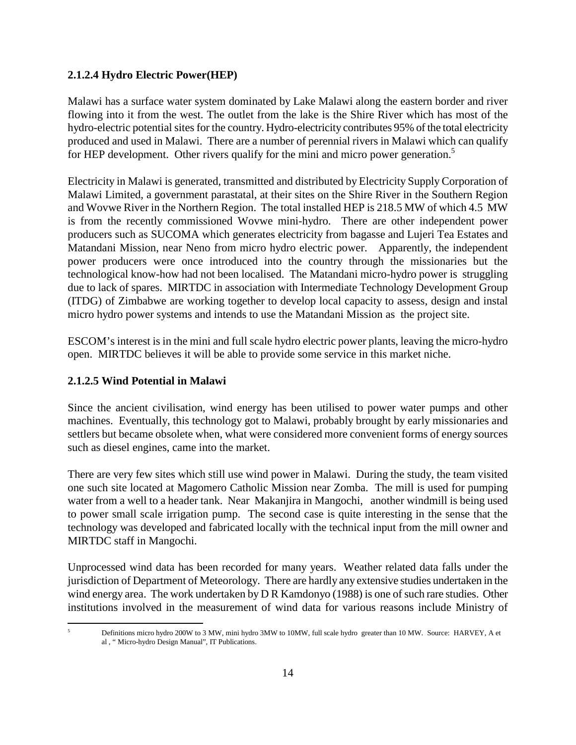### **2.1.2.4 Hydro Electric Power(HEP)**

Malawi has a surface water system dominated by Lake Malawi along the eastern border and river flowing into it from the west. The outlet from the lake is the Shire River which has most of the hydro-electric potential sites for the country. Hydro-electricity contributes 95% of the total electricity produced and used in Malawi. There are a number of perennial rivers in Malawi which can qualify for HEP development. Other rivers qualify for the mini and micro power generation.<sup>5</sup>

Electricity in Malawi is generated, transmitted and distributed by Electricity Supply Corporation of Malawi Limited, a government parastatal, at their sites on the Shire River in the Southern Region and Wovwe River in the Northern Region. The total installed HEP is 218.5 MW of which 4.5 MW is from the recently commissioned Wovwe mini-hydro. There are other independent power producers such as SUCOMA which generates electricity from bagasse and Lujeri Tea Estates and Matandani Mission, near Neno from micro hydro electric power. Apparently, the independent power producers were once introduced into the country through the missionaries but the technological know-how had not been localised. The Matandani micro-hydro power is struggling due to lack of spares. MIRTDC in association with Intermediate Technology Development Group (ITDG) of Zimbabwe are working together to develop local capacity to assess, design and instal micro hydro power systems and intends to use the Matandani Mission as the project site.

ESCOM's interest is in the mini and full scale hydro electric power plants, leaving the micro-hydro open. MIRTDC believes it will be able to provide some service in this market niche.

# **2.1.2.5 Wind Potential in Malawi**

Since the ancient civilisation, wind energy has been utilised to power water pumps and other machines. Eventually, this technology got to Malawi, probably brought by early missionaries and settlers but became obsolete when, what were considered more convenient forms of energy sources such as diesel engines, came into the market.

There are very few sites which still use wind power in Malawi. During the study, the team visited one such site located at Magomero Catholic Mission near Zomba. The mill is used for pumping water from a well to a header tank. Near Makanjira in Mangochi, another windmill is being used to power small scale irrigation pump. The second case is quite interesting in the sense that the technology was developed and fabricated locally with the technical input from the mill owner and MIRTDC staff in Mangochi.

Unprocessed wind data has been recorded for many years. Weather related data falls under the jurisdiction of Department of Meteorology. There are hardly any extensive studies undertaken in the wind energy area. The work undertaken by D R Kamdonyo (1988) is one of such rare studies. Other institutions involved in the measurement of wind data for various reasons include Ministry of

Definitions micro hydro 200W to 3 MW, mini hydro 3MW to 10MW, full scale hydro greater than 10 MW. Source: HARVEY, A et al , " Micro-hydro Design Manual", IT Publications.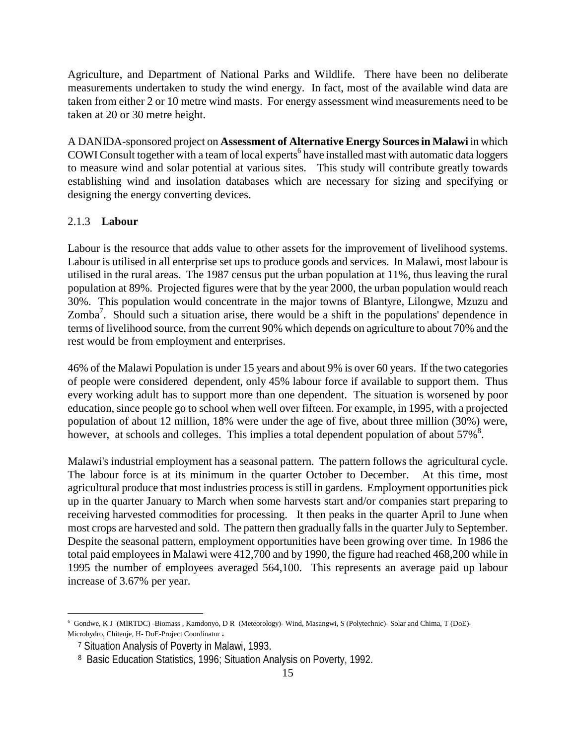Agriculture, and Department of National Parks and Wildlife. There have been no deliberate measurements undertaken to study the wind energy. In fact, most of the available wind data are taken from either 2 or 10 metre wind masts. For energy assessment wind measurements need to be taken at 20 or 30 metre height.

A DANIDA-sponsored project on **Assessment of Alternative Energy Sources in Malawi** in which COWI Consult together with a team of local experts<sup>6</sup> have installed mast with automatic data loggers to measure wind and solar potential at various sites. This study will contribute greatly towards establishing wind and insolation databases which are necessary for sizing and specifying or designing the energy converting devices.

#### 2.1.3 **Labour**

Labour is the resource that adds value to other assets for the improvement of livelihood systems. Labour is utilised in all enterprise set ups to produce goods and services. In Malawi, most labour is utilised in the rural areas. The 1987 census put the urban population at 11%, thus leaving the rural population at 89%. Projected figures were that by the year 2000, the urban population would reach 30%. This population would concentrate in the major towns of Blantyre, Lilongwe, Mzuzu and Zomba<sup>7</sup>. Should such a situation arise, there would be a shift in the populations' dependence in terms of livelihood source, from the current 90% which depends on agriculture to about 70% and the rest would be from employment and enterprises.

46% of the Malawi Population is under 15 years and about 9% is over 60 years. If the two categories of people were considered dependent, only 45% labour force if available to support them. Thus every working adult has to support more than one dependent. The situation is worsened by poor education, since people go to school when well over fifteen. For example, in 1995, with a projected population of about 12 million, 18% were under the age of five, about three million (30%) were, however, at schools and colleges. This implies a total dependent population of about  $57\%$ <sup>8</sup>.

Malawi's industrial employment has a seasonal pattern. The pattern follows the agricultural cycle. The labour force is at its minimum in the quarter October to December. At this time, most agricultural produce that most industries process is still in gardens. Employment opportunities pick up in the quarter January to March when some harvests start and/or companies start preparing to receiving harvested commodities for processing. It then peaks in the quarter April to June when most crops are harvested and sold. The pattern then gradually falls in the quarter July to September. Despite the seasonal pattern, employment opportunities have been growing over time. In 1986 the total paid employees in Malawi were 412,700 and by 1990, the figure had reached 468,200 while in 1995 the number of employees averaged 564,100. This represents an average paid up labour increase of 3.67% per year.

<sup>6</sup> Gondwe, K J (MIRTDC) -Biomass , Kamdonyo, D R (Meteorology)- Wind, Masangwi, S (Polytechnic)- Solar and Chima, T (DoE)- Microhydro, Chitenje, H- DoE-Project Coordinator.

 <sup>7</sup> Situation Analysis of Poverty in Malawi, 1993.

 <sup>8</sup> Basic Education Statistics, 1996; Situation Analysis on Poverty, 1992.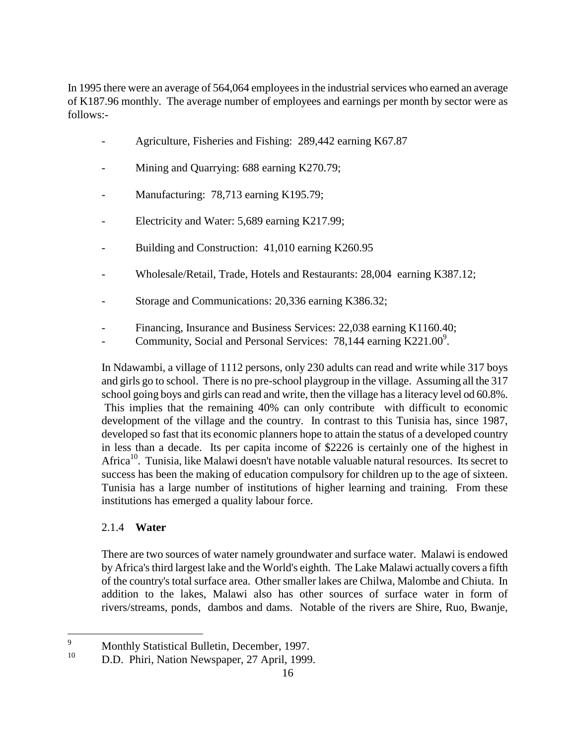In 1995 there were an average of 564,064 employees in the industrial services who earned an average of K187.96 monthly. The average number of employees and earnings per month by sector were as follows:-

- Agriculture, Fisheries and Fishing: 289,442 earning K67.87
- Mining and Quarrying: 688 earning K270.79;
- Manufacturing: 78,713 earning K195.79;
- Electricity and Water: 5,689 earning K217.99;
- Building and Construction: 41,010 earning K260.95
- Wholesale/Retail, Trade, Hotels and Restaurants: 28,004 earning K387.12;
- Storage and Communications: 20,336 earning K386.32;
- Financing, Insurance and Business Services: 22,038 earning K1160.40;
- Community, Social and Personal Services: 78,144 earning K221.00<sup>9</sup>.

In Ndawambi, a village of 1112 persons, only 230 adults can read and write while 317 boys and girls go to school. There is no pre-school playgroup in the village. Assuming all the 317 school going boys and girls can read and write, then the village has a literacy level od 60.8%. This implies that the remaining 40% can only contribute with difficult to economic development of the village and the country. In contrast to this Tunisia has, since 1987, developed so fast that its economic planners hope to attain the status of a developed country in less than a decade. Its per capita income of \$2226 is certainly one of the highest in Africa<sup>10</sup>. Tunisia, like Malawi doesn't have notable valuable natural resources. Its secret to success has been the making of education compulsory for children up to the age of sixteen. Tunisia has a large number of institutions of higher learning and training. From these institutions has emerged a quality labour force.

# 2.1.4 **Water**

There are two sources of water namely groundwater and surface water. Malawi is endowed by Africa's third largest lake and the World's eighth. The Lake Malawi actually covers a fifth of the country's total surface area. Other smaller lakes are Chilwa, Malombe and Chiuta. In addition to the lakes, Malawi also has other sources of surface water in form of rivers/streams, ponds, dambos and dams. Notable of the rivers are Shire, Ruo, Bwanje,

 9 Monthly Statistical Bulletin, December, 1997.<br> $\frac{10}{10}$  D.D. Phiri, Nation Nauveneer, 27 April 1999.

<sup>10</sup> D.D. Phiri, Nation Newspaper, 27 April, 1999.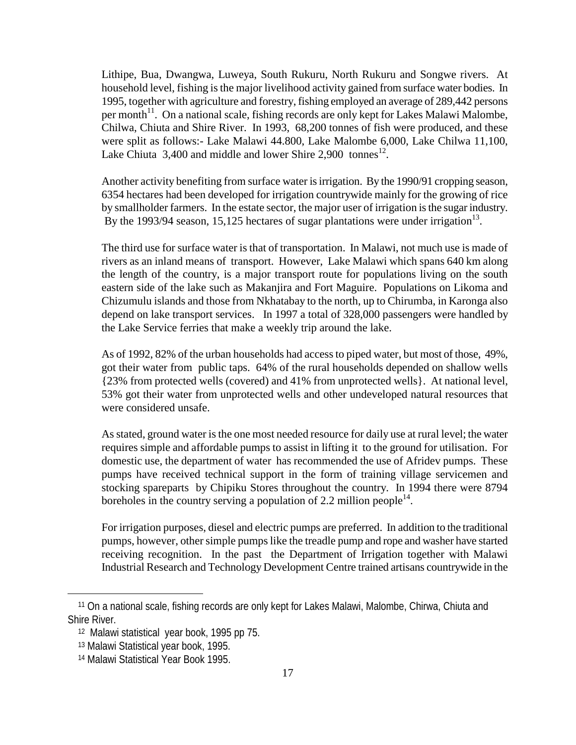Lithipe, Bua, Dwangwa, Luweya, South Rukuru, North Rukuru and Songwe rivers. At household level, fishing is the major livelihood activity gained from surface water bodies. In 1995, together with agriculture and forestry, fishing employed an average of 289,442 persons per month<sup>11</sup>. On a national scale, fishing records are only kept for Lakes Malawi Malombe, Chilwa, Chiuta and Shire River. In 1993, 68,200 tonnes of fish were produced, and these were split as follows:- Lake Malawi 44.800, Lake Malombe 6,000, Lake Chilwa 11,100, Lake Chiuta 3,400 and middle and lower Shire 2,900 tonnes<sup>12</sup>.

Another activity benefiting from surface water is irrigation. By the 1990/91 cropping season, 6354 hectares had been developed for irrigation countrywide mainly for the growing of rice by smallholder farmers. In the estate sector, the major user of irrigation is the sugar industry. By the 1993/94 season, 15,125 hectares of sugar plantations were under irrigation<sup>13</sup>.

The third use for surface water is that of transportation. In Malawi, not much use is made of rivers as an inland means of transport. However, Lake Malawi which spans 640 km along the length of the country, is a major transport route for populations living on the south eastern side of the lake such as Makanjira and Fort Maguire. Populations on Likoma and Chizumulu islands and those from Nkhatabay to the north, up to Chirumba, in Karonga also depend on lake transport services. In 1997 a total of 328,000 passengers were handled by the Lake Service ferries that make a weekly trip around the lake.

As of 1992, 82% of the urban households had access to piped water, but most of those, 49%, got their water from public taps. 64% of the rural households depended on shallow wells {23% from protected wells (covered) and 41% from unprotected wells}. At national level, 53% got their water from unprotected wells and other undeveloped natural resources that were considered unsafe.

As stated, ground water is the one most needed resource for daily use at rural level; the water requires simple and affordable pumps to assist in lifting it to the ground for utilisation. For domestic use, the department of water has recommended the use of Afridev pumps. These pumps have received technical support in the form of training village servicemen and stocking spareparts by Chipiku Stores throughout the country. In 1994 there were 8794 boreholes in the country serving a population of 2.2 million people<sup>14</sup>.

For irrigation purposes, diesel and electric pumps are preferred. In addition to the traditional pumps, however, other simple pumps like the treadle pump and rope and washer have started receiving recognition. In the past the Department of Irrigation together with Malawi Industrial Research and Technology Development Centre trained artisans countrywide in the

 <sup>11</sup> On a national scale, fishing records are only kept for Lakes Malawi, Malombe, Chirwa, Chiuta and Shire River.

 <sup>12</sup> Malawi statistical year book, 1995 pp 75.

 <sup>13</sup> Malawi Statistical year book, 1995.

 <sup>14</sup> Malawi Statistical Year Book 1995.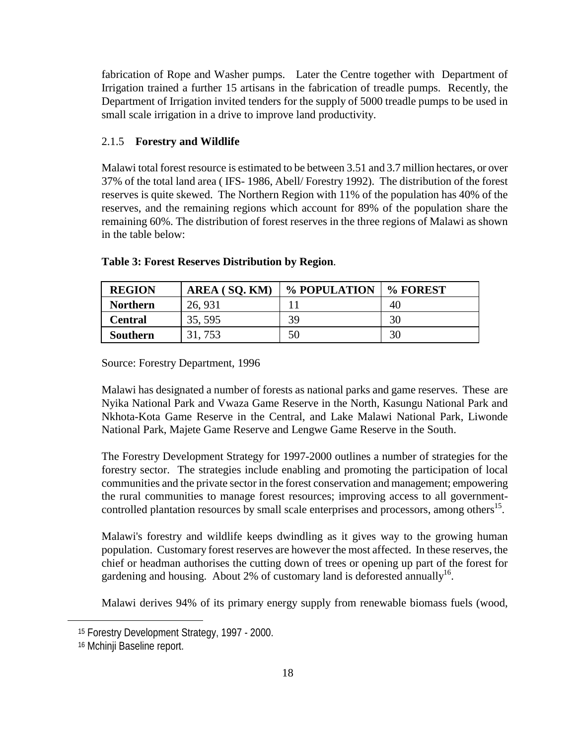fabrication of Rope and Washer pumps. Later the Centre together with Department of Irrigation trained a further 15 artisans in the fabrication of treadle pumps. Recently, the Department of Irrigation invited tenders for the supply of 5000 treadle pumps to be used in small scale irrigation in a drive to improve land productivity.

### 2.1.5 **Forestry and Wildlife**

Malawi total forest resource is estimated to be between 3.51 and 3.7 million hectares, or over 37% of the total land area ( IFS- 1986, Abell/ Forestry 1992). The distribution of the forest reserves is quite skewed. The Northern Region with 11% of the population has 40% of the reserves, and the remaining regions which account for 89% of the population share the remaining 60%. The distribution of forest reserves in the three regions of Malawi as shown in the table below:

| <b>REGION</b>   | AREA (SQ. KM) | % POPULATION | % FOREST |
|-----------------|---------------|--------------|----------|
| <b>Northern</b> | 26, 931       |              | 40       |
| Central         | 35, 595       | 39           | 30       |
| <b>Southern</b> | 31, 753       | 50           | 30       |

#### **Table 3: Forest Reserves Distribution by Region**.

Source: Forestry Department, 1996

Malawi has designated a number of forests as national parks and game reserves. These are Nyika National Park and Vwaza Game Reserve in the North, Kasungu National Park and Nkhota-Kota Game Reserve in the Central, and Lake Malawi National Park, Liwonde National Park, Majete Game Reserve and Lengwe Game Reserve in the South.

The Forestry Development Strategy for 1997-2000 outlines a number of strategies for the forestry sector. The strategies include enabling and promoting the participation of local communities and the private sector in the forest conservation and management; empowering the rural communities to manage forest resources; improving access to all governmentcontrolled plantation resources by small scale enterprises and processors, among others<sup>15</sup>.

Malawi's forestry and wildlife keeps dwindling as it gives way to the growing human population. Customary forest reserves are however the most affected. In these reserves, the chief or headman authorises the cutting down of trees or opening up part of the forest for gardening and housing. About 2% of customary land is deforested annually<sup>16</sup>.

Malawi derives 94% of its primary energy supply from renewable biomass fuels (wood,

 <sup>15</sup> Forestry Development Strategy, 1997 - 2000.

 <sup>16</sup> Mchinji Baseline report.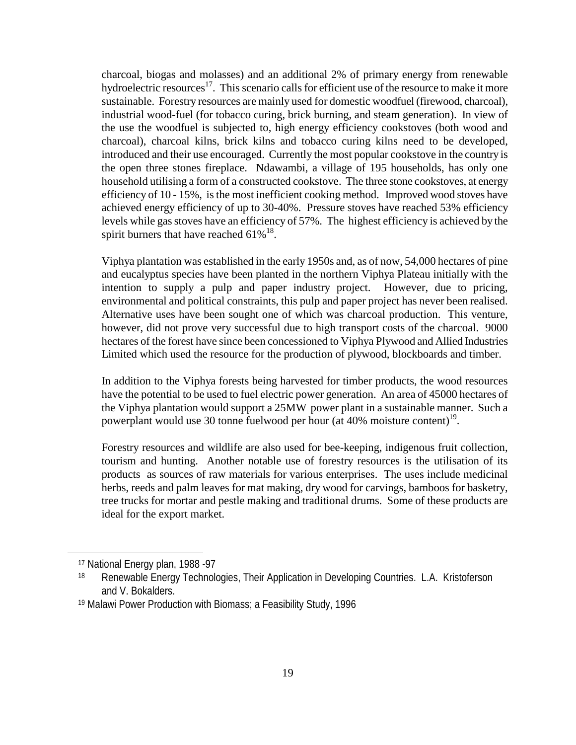charcoal, biogas and molasses) and an additional 2% of primary energy from renewable hydroelectric resources<sup>17</sup>. This scenario calls for efficient use of the resource to make it more sustainable. Forestry resources are mainly used for domestic woodfuel (firewood, charcoal), industrial wood-fuel (for tobacco curing, brick burning, and steam generation). In view of the use the woodfuel is subjected to, high energy efficiency cookstoves (both wood and charcoal), charcoal kilns, brick kilns and tobacco curing kilns need to be developed, introduced and their use encouraged. Currently the most popular cookstove in the country is the open three stones fireplace. Ndawambi, a village of 195 households, has only one household utilising a form of a constructed cookstove. The three stone cookstoves, at energy efficiency of 10 - 15%, is the most inefficient cooking method. Improved wood stoves have achieved energy efficiency of up to 30-40%. Pressure stoves have reached 53% efficiency levels while gas stoves have an efficiency of 57%. The highest efficiency is achieved by the spirit burners that have reached  $61\%^{18}$ .

Viphya plantation was established in the early 1950s and, as of now, 54,000 hectares of pine and eucalyptus species have been planted in the northern Viphya Plateau initially with the intention to supply a pulp and paper industry project. However, due to pricing, environmental and political constraints, this pulp and paper project has never been realised. Alternative uses have been sought one of which was charcoal production. This venture, however, did not prove very successful due to high transport costs of the charcoal. 9000 hectares of the forest have since been concessioned to Viphya Plywood and Allied Industries Limited which used the resource for the production of plywood, blockboards and timber.

In addition to the Viphya forests being harvested for timber products, the wood resources have the potential to be used to fuel electric power generation. An area of 45000 hectares of the Viphya plantation would support a 25MW power plant in a sustainable manner. Such a powerplant would use 30 tonne fuelwood per hour (at  $40\%$  moisture content)<sup>19</sup>.

Forestry resources and wildlife are also used for bee-keeping, indigenous fruit collection, tourism and hunting. Another notable use of forestry resources is the utilisation of its products as sources of raw materials for various enterprises. The uses include medicinal herbs, reeds and palm leaves for mat making, dry wood for carvings, bamboos for basketry, tree trucks for mortar and pestle making and traditional drums. Some of these products are ideal for the export market.

 <sup>17</sup> National Energy plan, 1988 -97

<sup>18</sup> Renewable Energy Technologies, Their Application in Developing Countries. L.A. Kristoferson and V. Bokalders.

 <sup>19</sup> Malawi Power Production with Biomass; a Feasibility Study, 1996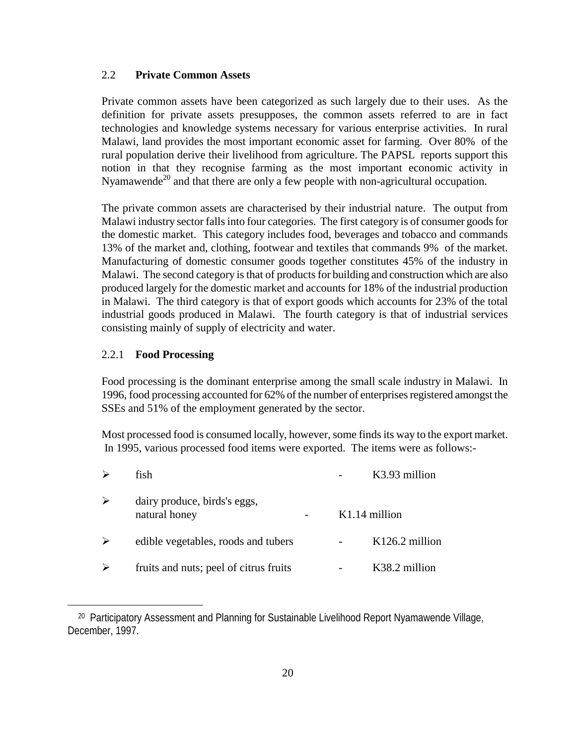#### 2.2 **Private Common Assets**

Private common assets have been categorized as such largely due to their uses. As the definition for private assets presupposes, the common assets referred to are in fact technologies and knowledge systems necessary for various enterprise activities. In rural Malawi, land provides the most important economic asset for farming. Over 80% of the rural population derive their livelihood from agriculture. The PAPSL reports support this notion in that they recognise farming as the most important economic activity in Nyamawende<sup>20</sup> and that there are only a few people with non-agricultural occupation.

The private common assets are characterised by their industrial nature. The output from Malawi industry sector falls into four categories. The first category is of consumer goods for the domestic market. This category includes food, beverages and tobacco and commands 13% of the market and, clothing, footwear and textiles that commands 9% of the market. Manufacturing of domestic consumer goods together constitutes 45% of the industry in Malawi. The second category is that of products for building and construction which are also produced largely for the domestic market and accounts for 18% of the industrial production in Malawi. The third category is that of export goods which accounts for 23% of the total industrial goods produced in Malawi. The fourth category is that of industrial services consisting mainly of supply of electricity and water.

#### 2.2.1 **Food Processing**

 $\overline{a}$ 

Food processing is the dominant enterprise among the small scale industry in Malawi. In 1996, food processing accounted for 62% of the number of enterprises registered amongst the SSEs and 51% of the employment generated by the sector.

Most processed food is consumed locally, however, some finds its way to the export market. In 1995, various processed food items were exported. The items were as follows:-

|   | fish                                          | K3.93 million    |
|---|-----------------------------------------------|------------------|
| ≻ | dairy produce, birds's eggs,<br>natural honey | $K1.14$ million  |
| ➤ | edible vegetables, roods and tubers           | $K126.2$ million |
| ➤ | fruits and nuts; peel of citrus fruits        | K38.2 million    |

<sup>&</sup>lt;sup>20</sup> Participatory Assessment and Planning for Sustainable Livelihood Report Nyamawende Village, December, 1997.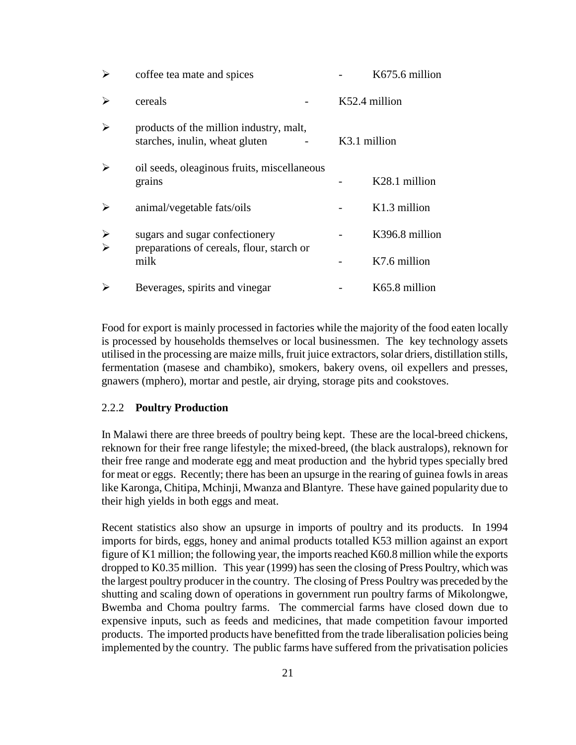| ➤                                              | coffee tea mate and spices                                                | K675.6 million |
|------------------------------------------------|---------------------------------------------------------------------------|----------------|
| ➤                                              | cereals                                                                   | K52.4 million  |
| ➤                                              | products of the million industry, malt,<br>starches, inulin, wheat gluten | K3.1 million   |
| ➤                                              | oil seeds, oleaginous fruits, miscellaneous<br>grains                     | K28.1 million  |
| ➤                                              | animal/vegetable fats/oils                                                | K1.3 million   |
| $\blacktriangleright$<br>$\blacktriangleright$ | sugars and sugar confectionery                                            | K396.8 million |
|                                                | preparations of cereals, flour, starch or<br>milk                         | K7.6 million   |
| ↘                                              | Beverages, spirits and vinegar                                            | K65.8 million  |

Food for export is mainly processed in factories while the majority of the food eaten locally is processed by households themselves or local businessmen. The key technology assets utilised in the processing are maize mills, fruit juice extractors, solar driers, distillation stills, fermentation (masese and chambiko), smokers, bakery ovens, oil expellers and presses, gnawers (mphero), mortar and pestle, air drying, storage pits and cookstoves.

#### 2.2.2 **Poultry Production**

In Malawi there are three breeds of poultry being kept. These are the local-breed chickens, reknown for their free range lifestyle; the mixed-breed, (the black australops), reknown for their free range and moderate egg and meat production and the hybrid types specially bred for meat or eggs. Recently; there has been an upsurge in the rearing of guinea fowls in areas like Karonga, Chitipa, Mchinji, Mwanza and Blantyre. These have gained popularity due to their high yields in both eggs and meat.

Recent statistics also show an upsurge in imports of poultry and its products. In 1994 imports for birds, eggs, honey and animal products totalled K53 million against an export figure of K1 million; the following year, the imports reached K60.8 million while the exports dropped to K0.35 million. This year (1999) has seen the closing of Press Poultry, which was the largest poultry producer in the country. The closing of Press Poultry was preceded by the shutting and scaling down of operations in government run poultry farms of Mikolongwe, Bwemba and Choma poultry farms. The commercial farms have closed down due to expensive inputs, such as feeds and medicines, that made competition favour imported products. The imported products have benefitted from the trade liberalisation policies being implemented by the country. The public farms have suffered from the privatisation policies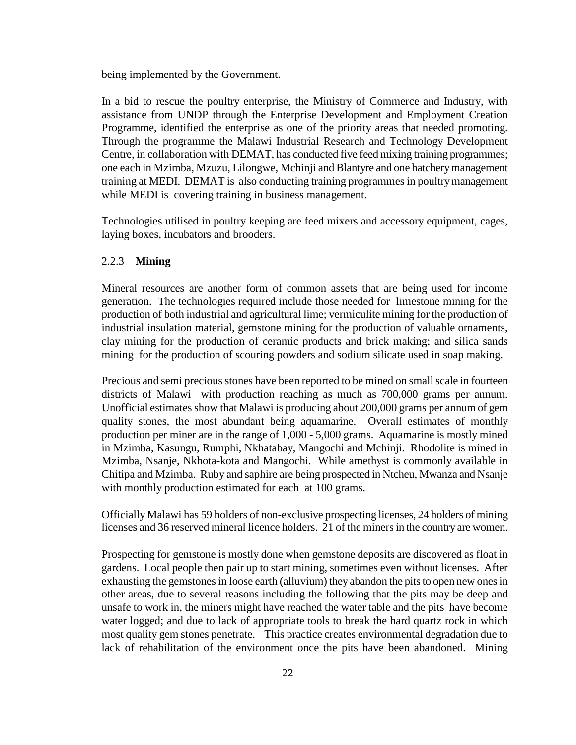being implemented by the Government.

In a bid to rescue the poultry enterprise, the Ministry of Commerce and Industry, with assistance from UNDP through the Enterprise Development and Employment Creation Programme, identified the enterprise as one of the priority areas that needed promoting. Through the programme the Malawi Industrial Research and Technology Development Centre, in collaboration with DEMAT, has conducted five feed mixing training programmes; one each in Mzimba, Mzuzu, Lilongwe, Mchinji and Blantyre and one hatchery management training at MEDI. DEMAT is also conducting training programmes in poultry management while MEDI is covering training in business management.

Technologies utilised in poultry keeping are feed mixers and accessory equipment, cages, laying boxes, incubators and brooders.

#### 2.2.3 **Mining**

Mineral resources are another form of common assets that are being used for income generation. The technologies required include those needed for limestone mining for the production of both industrial and agricultural lime; vermiculite mining for the production of industrial insulation material, gemstone mining for the production of valuable ornaments, clay mining for the production of ceramic products and brick making; and silica sands mining for the production of scouring powders and sodium silicate used in soap making.

Precious and semi precious stones have been reported to be mined on small scale in fourteen districts of Malawi with production reaching as much as 700,000 grams per annum. Unofficial estimates show that Malawi is producing about 200,000 grams per annum of gem quality stones, the most abundant being aquamarine. Overall estimates of monthly production per miner are in the range of 1,000 - 5,000 grams. Aquamarine is mostly mined in Mzimba, Kasungu, Rumphi, Nkhatabay, Mangochi and Mchinji. Rhodolite is mined in Mzimba, Nsanje, Nkhota-kota and Mangochi. While amethyst is commonly available in Chitipa and Mzimba. Ruby and saphire are being prospected in Ntcheu, Mwanza and Nsanje with monthly production estimated for each at 100 grams.

Officially Malawi has 59 holders of non-exclusive prospecting licenses, 24 holders of mining licenses and 36 reserved mineral licence holders. 21 of the miners in the country are women.

Prospecting for gemstone is mostly done when gemstone deposits are discovered as float in gardens. Local people then pair up to start mining, sometimes even without licenses. After exhausting the gemstones in loose earth (alluvium) they abandon the pits to open new ones in other areas, due to several reasons including the following that the pits may be deep and unsafe to work in, the miners might have reached the water table and the pits have become water logged; and due to lack of appropriate tools to break the hard quartz rock in which most quality gem stones penetrate. This practice creates environmental degradation due to lack of rehabilitation of the environment once the pits have been abandoned. Mining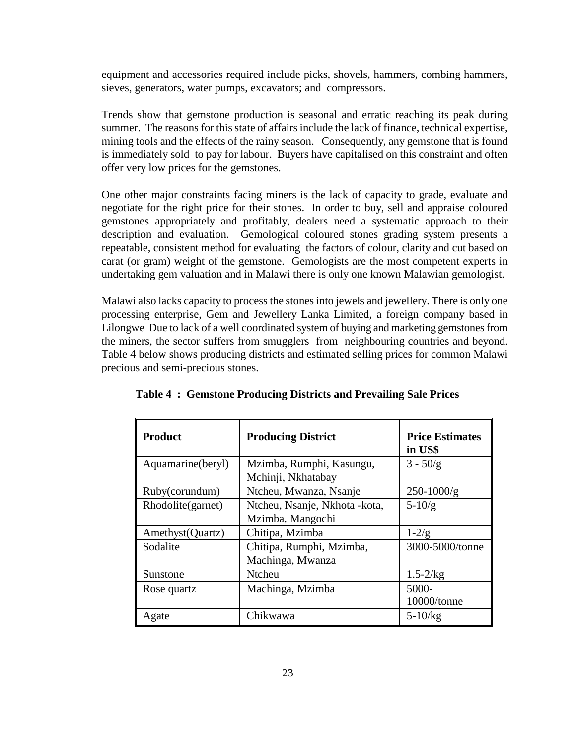equipment and accessories required include picks, shovels, hammers, combing hammers, sieves, generators, water pumps, excavators; and compressors.

Trends show that gemstone production is seasonal and erratic reaching its peak during summer. The reasons for this state of affairs include the lack of finance, technical expertise, mining tools and the effects of the rainy season. Consequently, any gemstone that is found is immediately sold to pay for labour. Buyers have capitalised on this constraint and often offer very low prices for the gemstones.

One other major constraints facing miners is the lack of capacity to grade, evaluate and negotiate for the right price for their stones. In order to buy, sell and appraise coloured gemstones appropriately and profitably, dealers need a systematic approach to their description and evaluation. Gemological coloured stones grading system presents a repeatable, consistent method for evaluating the factors of colour, clarity and cut based on carat (or gram) weight of the gemstone. Gemologists are the most competent experts in undertaking gem valuation and in Malawi there is only one known Malawian gemologist.

Malawi also lacks capacity to process the stones into jewels and jewellery. There is only one processing enterprise, Gem and Jewellery Lanka Limited, a foreign company based in Lilongwe Due to lack of a well coordinated system of buying and marketing gemstones from the miners, the sector suffers from smugglers from neighbouring countries and beyond. Table 4 below shows producing districts and estimated selling prices for common Malawi precious and semi-precious stones.

| <b>Product</b>    | <b>Producing District</b>                          | <b>Price Estimates</b><br>in US\$ |
|-------------------|----------------------------------------------------|-----------------------------------|
| Aquamarine(beryl) | Mzimba, Rumphi, Kasungu,<br>Mchinji, Nkhatabay     | $3 - 50/g$                        |
| Ruby(corundum)    | Ntcheu, Mwanza, Nsanje                             | $250 - 1000/g$                    |
| Rhodolite(garnet) | Ntcheu, Nsanje, Nkhota - kota,<br>Mzimba, Mangochi | $5 - 10/g$                        |
| Amethyst (Quartz) | Chitipa, Mzimba                                    | $1 - 2/g$                         |
| Sodalite          | Chitipa, Rumphi, Mzimba,<br>Machinga, Mwanza       | 3000-5000/tonne                   |
| Sunstone          | Ntcheu                                             | $1.5 - 2/kg$                      |
| Rose quartz       | Machinga, Mzimba                                   | 5000-<br>10000/tonne              |
| Agate             | Chikwawa                                           | $5 - 10/kg$                       |

**Table 4 : Gemstone Producing Districts and Prevailing Sale Prices**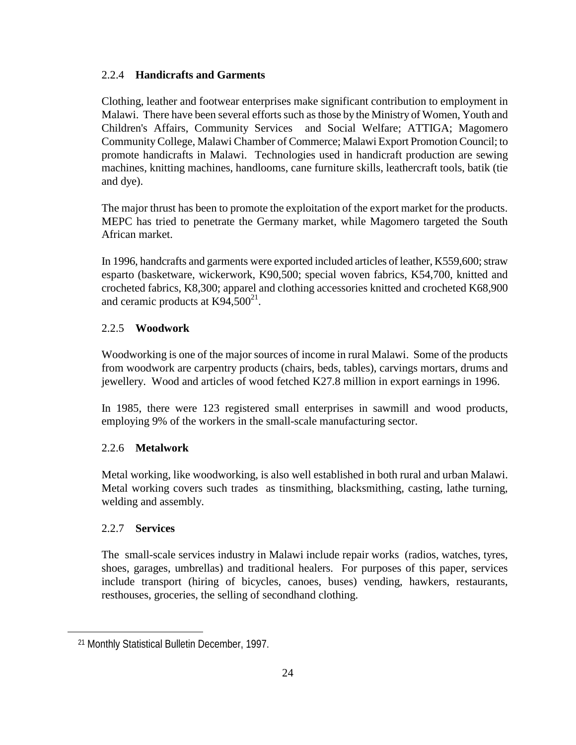#### 2.2.4 **Handicrafts and Garments**

Clothing, leather and footwear enterprises make significant contribution to employment in Malawi. There have been several efforts such as those by the Ministry of Women, Youth and Children's Affairs, Community Services and Social Welfare; ATTIGA; Magomero Community College, Malawi Chamber of Commerce; Malawi Export Promotion Council; to promote handicrafts in Malawi. Technologies used in handicraft production are sewing machines, knitting machines, handlooms, cane furniture skills, leathercraft tools, batik (tie and dye).

The major thrust has been to promote the exploitation of the export market for the products. MEPC has tried to penetrate the Germany market, while Magomero targeted the South African market.

In 1996, handcrafts and garments were exported included articles of leather, K559,600; straw esparto (basketware, wickerwork, K90,500; special woven fabrics, K54,700, knitted and crocheted fabrics, K8,300; apparel and clothing accessories knitted and crocheted K68,900 and ceramic products at  $K94,500^{21}$ .

#### 2.2.5 **Woodwork**

Woodworking is one of the major sources of income in rural Malawi. Some of the products from woodwork are carpentry products (chairs, beds, tables), carvings mortars, drums and jewellery. Wood and articles of wood fetched K27.8 million in export earnings in 1996.

In 1985, there were 123 registered small enterprises in sawmill and wood products, employing 9% of the workers in the small-scale manufacturing sector.

#### 2.2.6 **Metalwork**

Metal working, like woodworking, is also well established in both rural and urban Malawi. Metal working covers such trades as tinsmithing, blacksmithing, casting, lathe turning, welding and assembly.

#### 2.2.7 **Services**

 $\overline{a}$ 

The small-scale services industry in Malawi include repair works (radios, watches, tyres, shoes, garages, umbrellas) and traditional healers. For purposes of this paper, services include transport (hiring of bicycles, canoes, buses) vending, hawkers, restaurants, resthouses, groceries, the selling of secondhand clothing.

 <sup>21</sup> Monthly Statistical Bulletin December, 1997.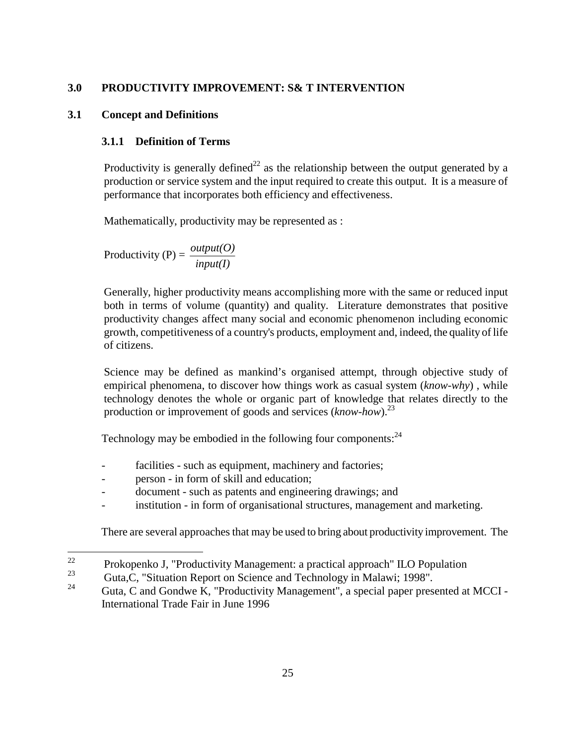### **3.0 PRODUCTIVITY IMPROVEMENT: S& T INTERVENTION**

### **3.1 Concept and Definitions**

### **3.1.1 Definition of Terms**

Productivity is generally defined<sup>22</sup> as the relationship between the output generated by a production or service system and the input required to create this output. It is a measure of performance that incorporates both efficiency and effectiveness.

Mathematically, productivity may be represented as :

Productivity (P) =  $\frac{output(O)}{input(I)}$ 

Generally, higher productivity means accomplishing more with the same or reduced input both in terms of volume (quantity) and quality. Literature demonstrates that positive productivity changes affect many social and economic phenomenon including economic growth, competitiveness of a country's products, employment and, indeed, the quality of life of citizens.

Science may be defined as mankind's organised attempt, through objective study of empirical phenomena, to discover how things work as casual system (*know-why*) , while technology denotes the whole or organic part of knowledge that relates directly to the production or improvement of goods and services (*know-how*).23

Technology may be embodied in the following four components:  $24$ 

- facilities such as equipment, machinery and factories;
- person in form of skill and education;
- document such as patents and engineering drawings; and
- institution in form of organisational structures, management and marketing.

There are several approaches that may be used to bring about productivity improvement. The

<sup>22</sup> <sup>22</sup> Prokopenko J, "Productivity Management: a practical approach" ILO Population  $\frac{23}{100}$  Cute C. "Situation Banant on Sajange and Technology in Malayii 1009"

<sup>&</sup>lt;sup>23</sup> Guta, C, "Situation Report on Science and Technology in Malawi; 1998".

Guta, C and Gondwe K, "Productivity Management", a special paper presented at MCCI -International Trade Fair in June 1996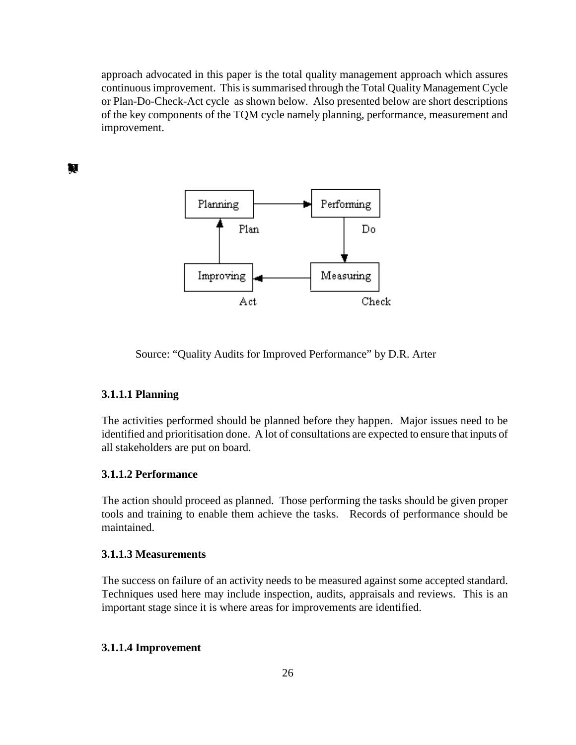approach advocated in this paper is the total quality management approach which assures continuous improvement. This is summarised through the Total Quality Management Cycle or Plan-Do-Check-Act cycle as shown below. Also presented below are short descriptions of the key components of the TQM cycle namely planning, performance, measurement and improvement.

**The QMCycle**



Source: "Quality Audits for Improved Performance" by D.R. Arter

#### **3.1.1.1 Planning**

The activities performed should be planned before they happen. Major issues need to be identified and prioritisation done. A lot of consultations are expected to ensure that inputs of all stakeholders are put on board.

#### **3.1.1.2 Performance**

The action should proceed as planned. Those performing the tasks should be given proper tools and training to enable them achieve the tasks. Records of performance should be maintained.

#### **3.1.1.3 Measurements**

The success on failure of an activity needs to be measured against some accepted standard. Techniques used here may include inspection, audits, appraisals and reviews. This is an important stage since it is where areas for improvements are identified.

#### **3.1.1.4 Improvement**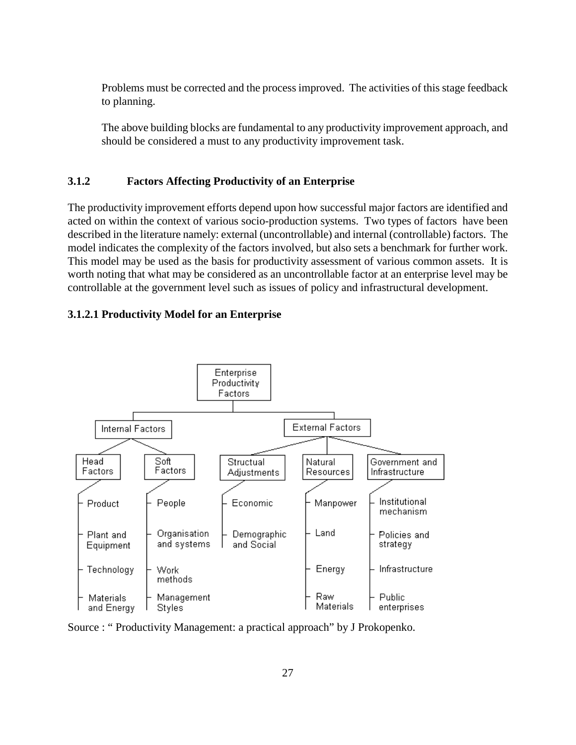Problems must be corrected and the process improved. The activities of this stage feedback to planning.

The above building blocks are fundamental to any productivity improvement approach, and should be considered a must to any productivity improvement task.

### **3.1.2 Factors Affecting Productivity of an Enterprise**

The productivity improvement efforts depend upon how successful major factors are identified and acted on within the context of various socio-production systems. Two types of factors have been described in the literature namely: external (uncontrollable) and internal (controllable) factors. The model indicates the complexity of the factors involved, but also sets a benchmark for further work. This model may be used as the basis for productivity assessment of various common assets. It is worth noting that what may be considered as an uncontrollable factor at an enterprise level may be controllable at the government level such as issues of policy and infrastructural development.

### **3.1.2.1 Productivity Model for an Enterprise**



Source : " Productivity Management: a practical approach" by J Prokopenko.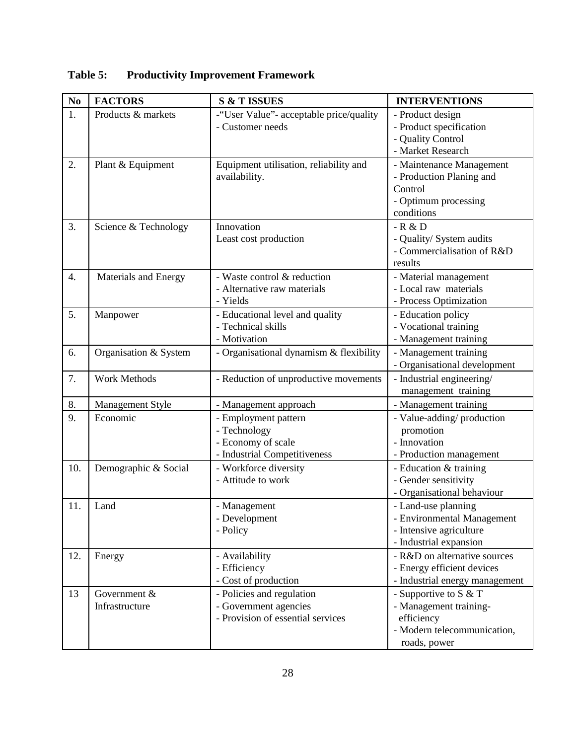| No               | <b>FACTORS</b>                 | <b>S &amp; T ISSUES</b>                                                                    | <b>INTERVENTIONS</b>                                                                                           |
|------------------|--------------------------------|--------------------------------------------------------------------------------------------|----------------------------------------------------------------------------------------------------------------|
| 1.               | Products & markets             | -"User Value"- acceptable price/quality<br>- Customer needs                                | - Product design<br>- Product specification<br>- Quality Control<br>- Market Research                          |
| 2.               | Plant & Equipment              | Equipment utilisation, reliability and<br>availability.                                    | - Maintenance Management<br>- Production Planing and<br>Control<br>- Optimum processing<br>conditions          |
| 3.               | Science & Technology           | Innovation<br>Least cost production                                                        | $-R & D$<br>- Quality/ System audits<br>- Commercialisation of R&D<br>results                                  |
| $\overline{4}$ . | Materials and Energy           | - Waste control & reduction<br>- Alternative raw materials<br>- Yields                     | - Material management<br>- Local raw materials<br>- Process Optimization                                       |
| 5.               | Manpower                       | - Educational level and quality<br>- Technical skills<br>- Motivation                      | - Education policy<br>- Vocational training<br>- Management training                                           |
| 6.               | Organisation & System          | - Organisational dynamism & flexibility                                                    | - Management training<br>- Organisational development                                                          |
| 7.               | <b>Work Methods</b>            | - Reduction of unproductive movements                                                      | - Industrial engineering/<br>management training                                                               |
| 8.               | Management Style               | - Management approach                                                                      | - Management training                                                                                          |
| 9.               | Economic                       | - Employment pattern<br>- Technology<br>- Economy of scale<br>- Industrial Competitiveness | - Value-adding/production<br>promotion<br>- Innovation<br>- Production management                              |
| 10.              | Demographic & Social           | - Workforce diversity<br>- Attitude to work                                                | - Education & training<br>- Gender sensitivity<br>- Organisational behaviour                                   |
| 11.              | Land                           | - Management<br>- Development<br>- Policy                                                  | - Land-use planning<br>- Environmental Management<br>- Intensive agriculture<br>- Industrial expansion         |
| 12.              | Energy                         | - Availability<br>- Efficiency<br>- Cost of production                                     | - R&D on alternative sources<br>- Energy efficient devices<br>- Industrial energy management                   |
| 13               | Government &<br>Infrastructure | - Policies and regulation<br>- Government agencies<br>- Provision of essential services    | - Supportive to $S & T$<br>- Management training-<br>efficiency<br>- Modern telecommunication,<br>roads, power |

# **Table 5: Productivity Improvement Framework**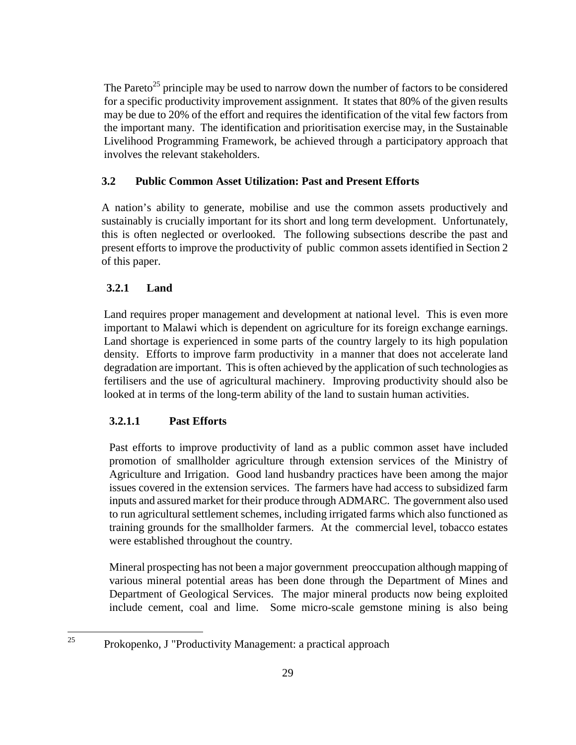The Pareto<sup>25</sup> principle may be used to narrow down the number of factors to be considered for a specific productivity improvement assignment. It states that 80% of the given results may be due to 20% of the effort and requires the identification of the vital few factors from the important many. The identification and prioritisation exercise may, in the Sustainable Livelihood Programming Framework, be achieved through a participatory approach that involves the relevant stakeholders.

# **3.2 Public Common Asset Utilization: Past and Present Efforts**

A nation's ability to generate, mobilise and use the common assets productively and sustainably is crucially important for its short and long term development. Unfortunately, this is often neglected or overlooked. The following subsections describe the past and present efforts to improve the productivity of public common assets identified in Section 2 of this paper.

# **3.2.1 Land**

 $\overline{a}$ 

Land requires proper management and development at national level. This is even more important to Malawi which is dependent on agriculture for its foreign exchange earnings. Land shortage is experienced in some parts of the country largely to its high population density. Efforts to improve farm productivity in a manner that does not accelerate land degradation are important. This is often achieved by the application of such technologies as fertilisers and the use of agricultural machinery. Improving productivity should also be looked at in terms of the long-term ability of the land to sustain human activities.

# **3.2.1.1 Past Efforts**

Past efforts to improve productivity of land as a public common asset have included promotion of smallholder agriculture through extension services of the Ministry of Agriculture and Irrigation. Good land husbandry practices have been among the major issues covered in the extension services. The farmers have had access to subsidized farm inputs and assured market for their produce through ADMARC. The government also used to run agricultural settlement schemes, including irrigated farms which also functioned as training grounds for the smallholder farmers. At the commercial level, tobacco estates were established throughout the country.

Mineral prospecting has not been a major government preoccupation although mapping of various mineral potential areas has been done through the Department of Mines and Department of Geological Services. The major mineral products now being exploited include cement, coal and lime. Some micro-scale gemstone mining is also being

<sup>25</sup> Prokopenko, J "Productivity Management: a practical approach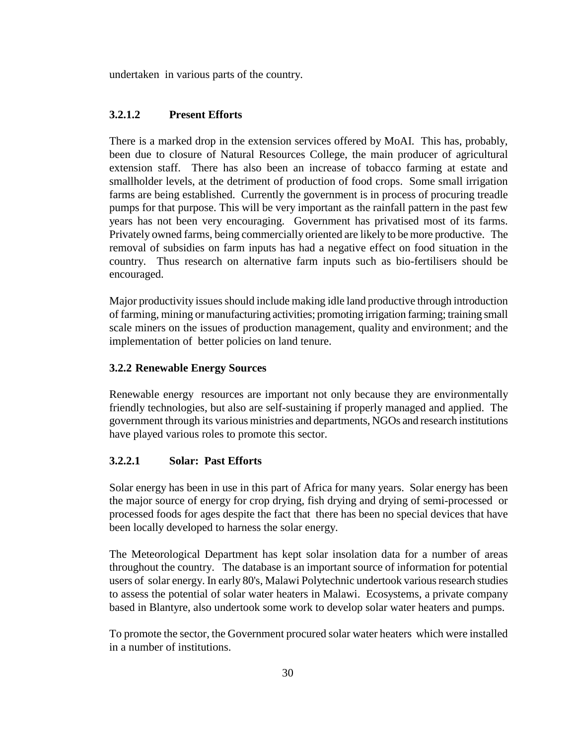undertaken in various parts of the country.

### **3.2.1.2 Present Efforts**

There is a marked drop in the extension services offered by MoAI. This has, probably, been due to closure of Natural Resources College, the main producer of agricultural extension staff. There has also been an increase of tobacco farming at estate and smallholder levels, at the detriment of production of food crops. Some small irrigation farms are being established. Currently the government is in process of procuring treadle pumps for that purpose. This will be very important as the rainfall pattern in the past few years has not been very encouraging. Government has privatised most of its farms. Privately owned farms, being commercially oriented are likely to be more productive. The removal of subsidies on farm inputs has had a negative effect on food situation in the country. Thus research on alternative farm inputs such as bio-fertilisers should be encouraged.

Major productivity issues should include making idle land productive through introduction of farming, mining or manufacturing activities; promoting irrigation farming; training small scale miners on the issues of production management, quality and environment; and the implementation of better policies on land tenure.

## **3.2.2 Renewable Energy Sources**

Renewable energy resources are important not only because they are environmentally friendly technologies, but also are self-sustaining if properly managed and applied. The government through its various ministries and departments, NGOs and research institutions have played various roles to promote this sector.

#### **3.2.2.1 Solar: Past Efforts**

Solar energy has been in use in this part of Africa for many years. Solar energy has been the major source of energy for crop drying, fish drying and drying of semi-processed or processed foods for ages despite the fact that there has been no special devices that have been locally developed to harness the solar energy.

The Meteorological Department has kept solar insolation data for a number of areas throughout the country. The database is an important source of information for potential users of solar energy. In early 80's, Malawi Polytechnic undertook various research studies to assess the potential of solar water heaters in Malawi. Ecosystems, a private company based in Blantyre, also undertook some work to develop solar water heaters and pumps.

To promote the sector, the Government procured solar water heaters which were installed in a number of institutions.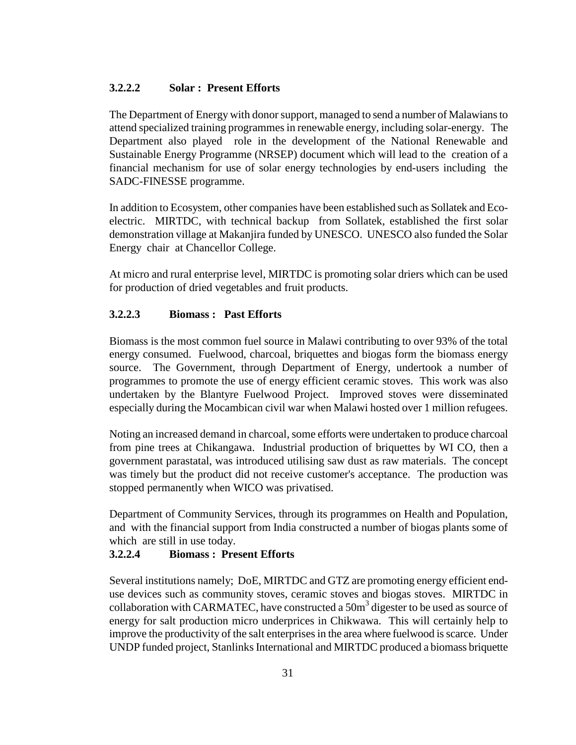#### **3.2.2.2 Solar : Present Efforts**

The Department of Energy with donor support, managed to send a number of Malawians to attend specialized training programmes in renewable energy, including solar-energy. The Department also played role in the development of the National Renewable and Sustainable Energy Programme (NRSEP) document which will lead to the creation of a financial mechanism for use of solar energy technologies by end-users including the SADC-FINESSE programme.

In addition to Ecosystem, other companies have been established such as Sollatek and Ecoelectric. MIRTDC, with technical backup from Sollatek, established the first solar demonstration village at Makanjira funded by UNESCO. UNESCO also funded the Solar Energy chair at Chancellor College.

At micro and rural enterprise level, MIRTDC is promoting solar driers which can be used for production of dried vegetables and fruit products.

#### **3.2.2.3 Biomass : Past Efforts**

Biomass is the most common fuel source in Malawi contributing to over 93% of the total energy consumed. Fuelwood, charcoal, briquettes and biogas form the biomass energy source. The Government, through Department of Energy, undertook a number of programmes to promote the use of energy efficient ceramic stoves. This work was also undertaken by the Blantyre Fuelwood Project. Improved stoves were disseminated especially during the Mocambican civil war when Malawi hosted over 1 million refugees.

Noting an increased demand in charcoal, some efforts were undertaken to produce charcoal from pine trees at Chikangawa. Industrial production of briquettes by WI CO, then a government parastatal, was introduced utilising saw dust as raw materials. The concept was timely but the product did not receive customer's acceptance. The production was stopped permanently when WICO was privatised.

Department of Community Services, through its programmes on Health and Population, and with the financial support from India constructed a number of biogas plants some of which are still in use today.

#### **3.2.2.4 Biomass : Present Efforts**

Several institutions namely; DoE, MIRTDC and GTZ are promoting energy efficient enduse devices such as community stoves, ceramic stoves and biogas stoves. MIRTDC in collaboration with CARMATEC, have constructed a  $50m<sup>3</sup>$  digester to be used as source of energy for salt production micro underprices in Chikwawa. This will certainly help to improve the productivity of the salt enterprises in the area where fuelwood is scarce. Under UNDP funded project, Stanlinks International and MIRTDC produced a biomass briquette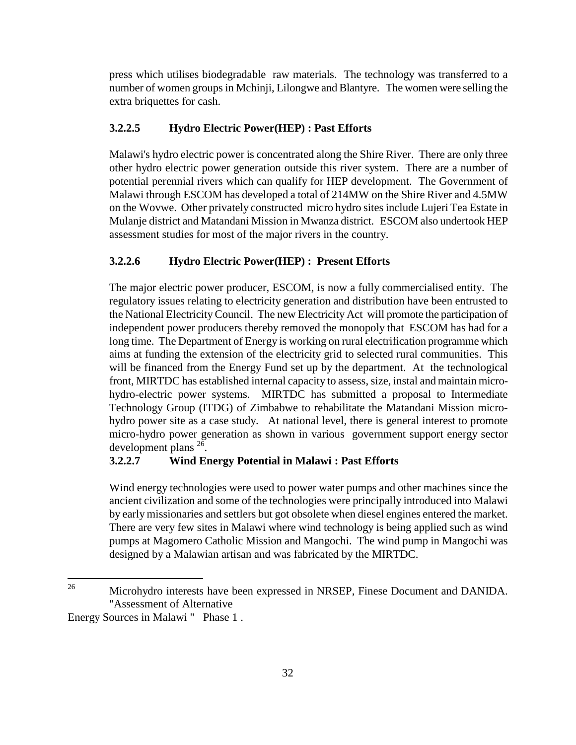press which utilises biodegradable raw materials. The technology was transferred to a number of women groups in Mchinji, Lilongwe and Blantyre. The women were selling the extra briquettes for cash.

### **3.2.2.5 Hydro Electric Power(HEP) : Past Efforts**

Malawi's hydro electric power is concentrated along the Shire River. There are only three other hydro electric power generation outside this river system. There are a number of potential perennial rivers which can qualify for HEP development. The Government of Malawi through ESCOM has developed a total of 214MW on the Shire River and 4.5MW on the Wovwe. Other privately constructed micro hydro sites include Lujeri Tea Estate in Mulanje district and Matandani Mission in Mwanza district. ESCOM also undertook HEP assessment studies for most of the major rivers in the country.

### **3.2.2.6 Hydro Electric Power(HEP) : Present Efforts**

The major electric power producer, ESCOM, is now a fully commercialised entity. The regulatory issues relating to electricity generation and distribution have been entrusted to the National Electricity Council. The new Electricity Act will promote the participation of independent power producers thereby removed the monopoly that ESCOM has had for a long time. The Department of Energy is working on rural electrification programme which aims at funding the extension of the electricity grid to selected rural communities. This will be financed from the Energy Fund set up by the department. At the technological front, MIRTDC has established internal capacity to assess, size, instal and maintain microhydro-electric power systems. MIRTDC has submitted a proposal to Intermediate Technology Group (ITDG) of Zimbabwe to rehabilitate the Matandani Mission microhydro power site as a case study. At national level, there is general interest to promote micro-hydro power generation as shown in various government support energy sector development plans  $^{26}$ .

#### **3.2.2.7 Wind Energy Potential in Malawi : Past Efforts**

Wind energy technologies were used to power water pumps and other machines since the ancient civilization and some of the technologies were principally introduced into Malawi by early missionaries and settlers but got obsolete when diesel engines entered the market. There are very few sites in Malawi where wind technology is being applied such as wind pumps at Magomero Catholic Mission and Mangochi. The wind pump in Mangochi was designed by a Malawian artisan and was fabricated by the MIRTDC.

<sup>26</sup> 26 Microhydro interests have been expressed in NRSEP, Finese Document and DANIDA. "Assessment of Alternative

Energy Sources in Malawi " Phase 1 .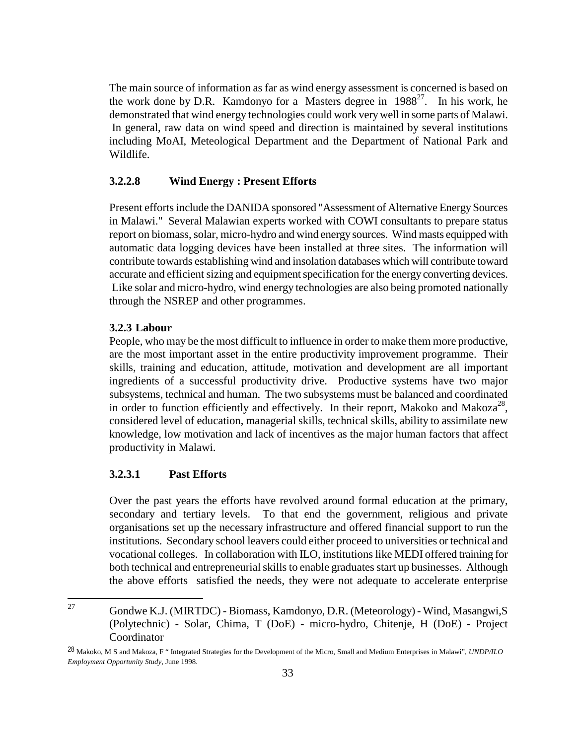The main source of information as far as wind energy assessment is concerned is based on the work done by D.R. Kamdonyo for a Masters degree in  $1988^{27}$ . In his work, he demonstrated that wind energy technologies could work very well in some parts of Malawi. In general, raw data on wind speed and direction is maintained by several institutions including MoAI, Meteological Department and the Department of National Park and Wildlife.

### **3.2.2.8 Wind Energy : Present Efforts**

Present efforts include the DANIDA sponsored "Assessment of Alternative Energy Sources in Malawi." Several Malawian experts worked with COWI consultants to prepare status report on biomass, solar, micro-hydro and wind energy sources. Wind masts equipped with automatic data logging devices have been installed at three sites. The information will contribute towards establishing wind and insolation databases which will contribute toward accurate and efficient sizing and equipment specification for the energy converting devices. Like solar and micro-hydro, wind energy technologies are also being promoted nationally through the NSREP and other programmes.

#### **3.2.3 Labour**

People, who may be the most difficult to influence in order to make them more productive, are the most important asset in the entire productivity improvement programme. Their skills, training and education, attitude, motivation and development are all important ingredients of a successful productivity drive. Productive systems have two major subsystems, technical and human. The two subsystems must be balanced and coordinated in order to function efficiently and effectively. In their report, Makoko and Makoza<sup>28</sup>, considered level of education, managerial skills, technical skills, ability to assimilate new knowledge, low motivation and lack of incentives as the major human factors that affect productivity in Malawi.

#### **3.2.3.1 Past Efforts**

 $\overline{a}$ 

Over the past years the efforts have revolved around formal education at the primary, secondary and tertiary levels. To that end the government, religious and private organisations set up the necessary infrastructure and offered financial support to run the institutions. Secondary school leavers could either proceed to universities or technical and vocational colleges. In collaboration with ILO, institutions like MEDI offered training for both technical and entrepreneurial skills to enable graduates start up businesses. Although the above efforts satisfied the needs, they were not adequate to accelerate enterprise

<sup>27</sup> Gondwe K.J. (MIRTDC) - Biomass, Kamdonyo, D.R. (Meteorology) - Wind, Masangwi,S (Polytechnic) - Solar, Chima, T (DoE) - micro-hydro, Chitenje, H (DoE) - Project Coordinator

<sup>28</sup> Makoko, M S and Makoza, F " Integrated Strategies for the Development of the Micro, Small and Medium Enterprises in Malawi", *UNDP/ILO Employment Opportunity Study*, June 1998.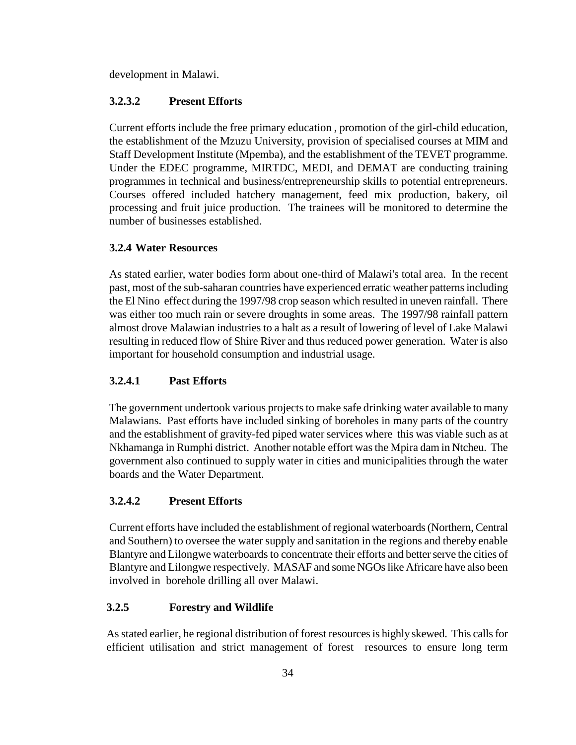development in Malawi.

### **3.2.3.2 Present Efforts**

Current efforts include the free primary education , promotion of the girl-child education, the establishment of the Mzuzu University, provision of specialised courses at MIM and Staff Development Institute (Mpemba), and the establishment of the TEVET programme. Under the EDEC programme, MIRTDC, MEDI, and DEMAT are conducting training programmes in technical and business/entrepreneurship skills to potential entrepreneurs. Courses offered included hatchery management, feed mix production, bakery, oil processing and fruit juice production. The trainees will be monitored to determine the number of businesses established.

### **3.2.4 Water Resources**

As stated earlier, water bodies form about one-third of Malawi's total area. In the recent past, most of the sub-saharan countries have experienced erratic weather patterns including the El Nino effect during the 1997/98 crop season which resulted in uneven rainfall. There was either too much rain or severe droughts in some areas. The 1997/98 rainfall pattern almost drove Malawian industries to a halt as a result of lowering of level of Lake Malawi resulting in reduced flow of Shire River and thus reduced power generation. Water is also important for household consumption and industrial usage.

# **3.2.4.1 Past Efforts**

The government undertook various projects to make safe drinking water available to many Malawians. Past efforts have included sinking of boreholes in many parts of the country and the establishment of gravity-fed piped water services where this was viable such as at Nkhamanga in Rumphi district. Another notable effort was the Mpira dam in Ntcheu. The government also continued to supply water in cities and municipalities through the water boards and the Water Department.

#### **3.2.4.2 Present Efforts**

Current efforts have included the establishment of regional waterboards (Northern, Central and Southern) to oversee the water supply and sanitation in the regions and thereby enable Blantyre and Lilongwe waterboards to concentrate their efforts and better serve the cities of Blantyre and Lilongwe respectively. MASAF and some NGOs like Africare have also been involved in borehole drilling all over Malawi.

#### **3.2.5 Forestry and Wildlife**

As stated earlier, he regional distribution of forest resources is highly skewed. This calls for efficient utilisation and strict management of forest resources to ensure long term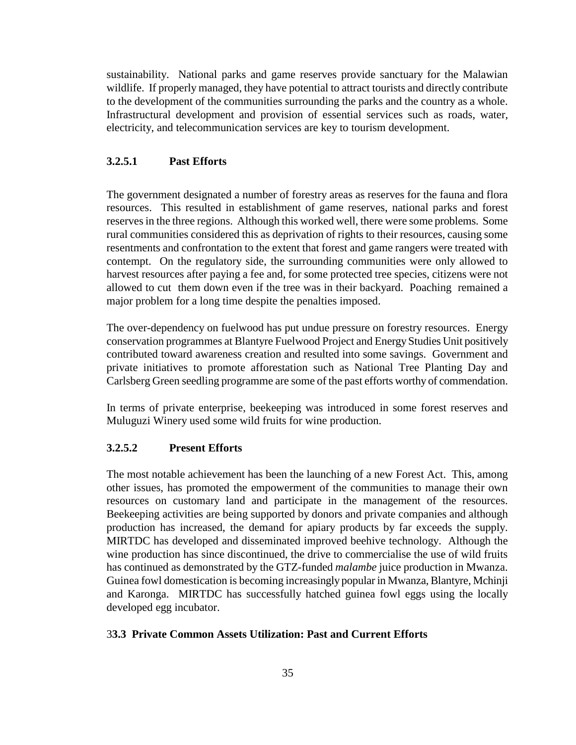sustainability. National parks and game reserves provide sanctuary for the Malawian wildlife. If properly managed, they have potential to attract tourists and directly contribute to the development of the communities surrounding the parks and the country as a whole. Infrastructural development and provision of essential services such as roads, water, electricity, and telecommunication services are key to tourism development.

#### **3.2.5.1 Past Efforts**

The government designated a number of forestry areas as reserves for the fauna and flora resources. This resulted in establishment of game reserves, national parks and forest reserves in the three regions. Although this worked well, there were some problems. Some rural communities considered this as deprivation of rights to their resources, causing some resentments and confrontation to the extent that forest and game rangers were treated with contempt. On the regulatory side, the surrounding communities were only allowed to harvest resources after paying a fee and, for some protected tree species, citizens were not allowed to cut them down even if the tree was in their backyard. Poaching remained a major problem for a long time despite the penalties imposed.

The over-dependency on fuelwood has put undue pressure on forestry resources. Energy conservation programmes at Blantyre Fuelwood Project and Energy Studies Unit positively contributed toward awareness creation and resulted into some savings. Government and private initiatives to promote afforestation such as National Tree Planting Day and Carlsberg Green seedling programme are some of the past efforts worthy of commendation.

In terms of private enterprise, beekeeping was introduced in some forest reserves and Muluguzi Winery used some wild fruits for wine production.

#### **3.2.5.2 Present Efforts**

The most notable achievement has been the launching of a new Forest Act. This, among other issues, has promoted the empowerment of the communities to manage their own resources on customary land and participate in the management of the resources. Beekeeping activities are being supported by donors and private companies and although production has increased, the demand for apiary products by far exceeds the supply. MIRTDC has developed and disseminated improved beehive technology. Although the wine production has since discontinued, the drive to commercialise the use of wild fruits has continued as demonstrated by the GTZ-funded *malambe* juice production in Mwanza. Guinea fowl domestication is becoming increasingly popular in Mwanza, Blantyre, Mchinji and Karonga. MIRTDC has successfully hatched guinea fowl eggs using the locally developed egg incubator.

#### 3**3.3 Private Common Assets Utilization: Past and Current Efforts**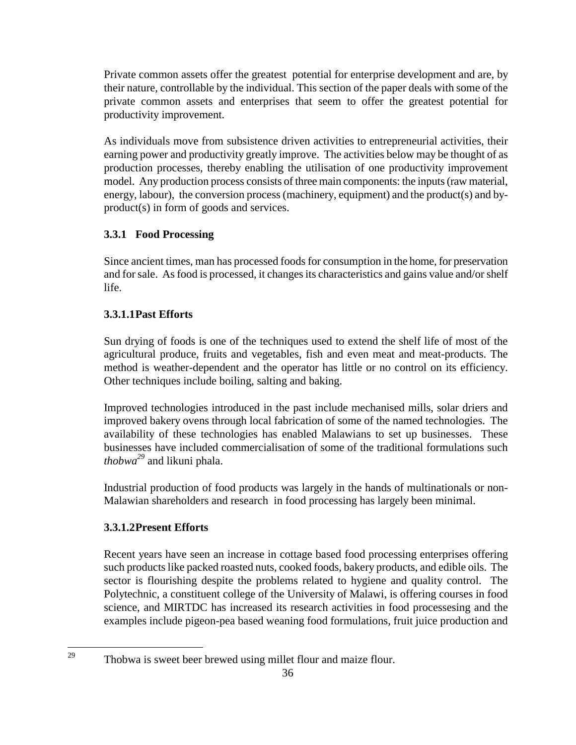Private common assets offer the greatest potential for enterprise development and are, by their nature, controllable by the individual. This section of the paper deals with some of the private common assets and enterprises that seem to offer the greatest potential for productivity improvement.

As individuals move from subsistence driven activities to entrepreneurial activities, their earning power and productivity greatly improve. The activities below may be thought of as production processes, thereby enabling the utilisation of one productivity improvement model. Any production process consists of three main components: the inputs (raw material, energy, labour), the conversion process (machinery, equipment) and the product(s) and byproduct(s) in form of goods and services.

## **3.3.1 Food Processing**

Since ancient times, man has processed foods for consumption in the home, for preservation and for sale. As food is processed, it changes its characteristics and gains value and/or shelf life.

## **3.3.1.1 Past Efforts**

Sun drying of foods is one of the techniques used to extend the shelf life of most of the agricultural produce, fruits and vegetables, fish and even meat and meat-products. The method is weather-dependent and the operator has little or no control on its efficiency. Other techniques include boiling, salting and baking.

Improved technologies introduced in the past include mechanised mills, solar driers and improved bakery ovens through local fabrication of some of the named technologies. The availability of these technologies has enabled Malawians to set up businesses. These businesses have included commercialisation of some of the traditional formulations such *thobwa29* and likuni phala.

Industrial production of food products was largely in the hands of multinationals or non-Malawian shareholders and research in food processing has largely been minimal.

## **3.3.1.2 Present Efforts**

 $\overline{a}$ 

Recent years have seen an increase in cottage based food processing enterprises offering such products like packed roasted nuts, cooked foods, bakery products, and edible oils. The sector is flourishing despite the problems related to hygiene and quality control. The Polytechnic, a constituent college of the University of Malawi, is offering courses in food science, and MIRTDC has increased its research activities in food processesing and the examples include pigeon-pea based weaning food formulations, fruit juice production and

 $29$  Thobwa is sweet beer brewed using millet flour and maize flour.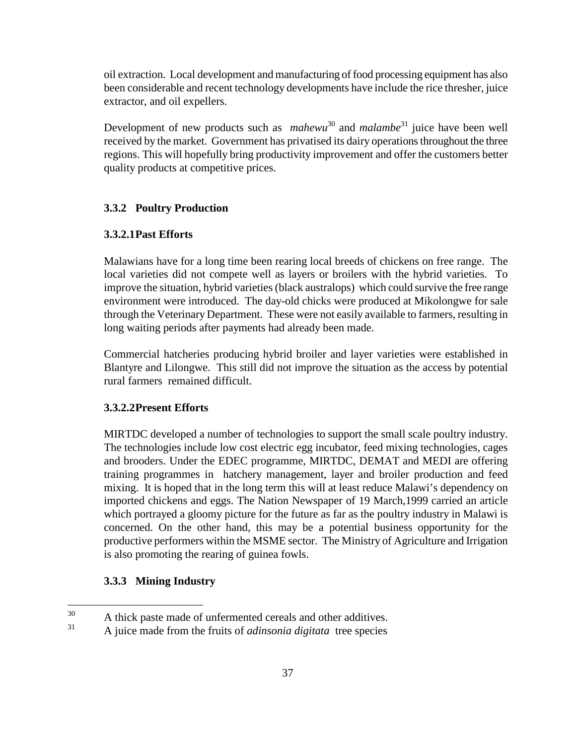oil extraction. Local development and manufacturing of food processing equipment has also been considerable and recent technology developments have include the rice thresher, juice extractor, and oil expellers.

Development of new products such as *mahewu*<sup>30</sup> and *malambe*<sup>31</sup> juice have been well received by the market. Government has privatised its dairy operations throughout the three regions. This will hopefully bring productivity improvement and offer the customers better quality products at competitive prices.

#### **3.3.2 Poultry Production**

#### **3.3.2.1 Past Efforts**

Malawians have for a long time been rearing local breeds of chickens on free range. The local varieties did not compete well as layers or broilers with the hybrid varieties. To improve the situation, hybrid varieties (black australops) which could survive the free range environment were introduced. The day-old chicks were produced at Mikolongwe for sale through the Veterinary Department. These were not easily available to farmers, resulting in long waiting periods after payments had already been made.

Commercial hatcheries producing hybrid broiler and layer varieties were established in Blantyre and Lilongwe. This still did not improve the situation as the access by potential rural farmers remained difficult.

#### **3.3.2.2 Present Efforts**

MIRTDC developed a number of technologies to support the small scale poultry industry. The technologies include low cost electric egg incubator, feed mixing technologies, cages and brooders. Under the EDEC programme, MIRTDC, DEMAT and MEDI are offering training programmes in hatchery management, layer and broiler production and feed mixing. It is hoped that in the long term this will at least reduce Malawi's dependency on imported chickens and eggs. The Nation Newspaper of 19 March,1999 carried an article which portrayed a gloomy picture for the future as far as the poultry industry in Malawi is concerned. On the other hand, this may be a potential business opportunity for the productive performers within the MSME sector. The Ministry of Agriculture and Irrigation is also promoting the rearing of guinea fowls.

#### **3.3.3 Mining Industry**

<sup>30</sup>  $30$  A thick paste made of unfermented cereals and other additives.

<sup>31</sup> A juice made from the fruits of *adinsonia digitata* tree species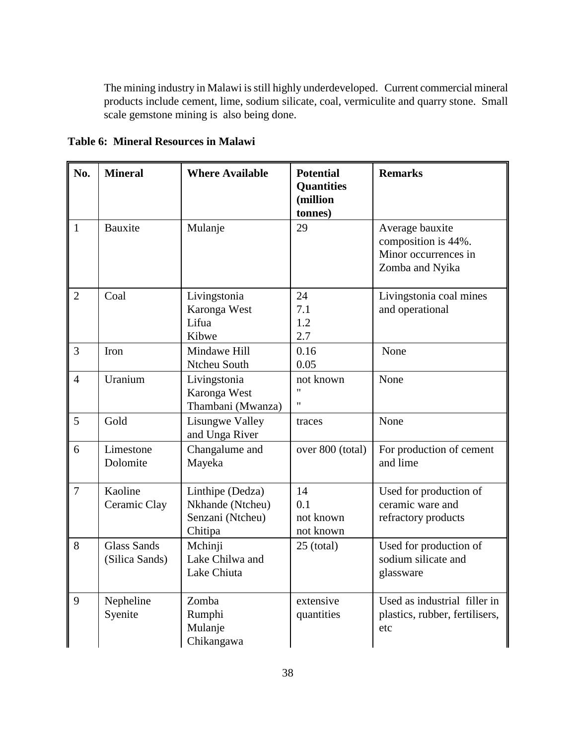The mining industry in Malawi is still highly underdeveloped. Current commercial mineral products include cement, lime, sodium silicate, coal, vermiculite and quarry stone. Small scale gemstone mining is also being done.

**Table 6: Mineral Resources in Malawi**

| No.            | <b>Mineral</b>                       | <b>Where Available</b>                                              | <b>Potential</b><br><b>Quantities</b><br>(million<br>tonnes) | <b>Remarks</b>                                                                    |
|----------------|--------------------------------------|---------------------------------------------------------------------|--------------------------------------------------------------|-----------------------------------------------------------------------------------|
| $\mathbf{1}$   | <b>Bauxite</b>                       | Mulanje                                                             | 29                                                           | Average bauxite<br>composition is 44%.<br>Minor occurrences in<br>Zomba and Nyika |
| $\overline{2}$ | Coal                                 | Livingstonia<br>Karonga West<br>Lifua<br>Kibwe                      | 24<br>7.1<br>1.2<br>2.7                                      | Livingstonia coal mines<br>and operational                                        |
| $\overline{3}$ | Iron                                 | Mindawe Hill<br>Ntcheu South                                        | 0.16<br>0.05                                                 | None                                                                              |
| $\overline{4}$ | Uranium                              | Livingstonia<br>Karonga West<br>Thambani (Mwanza)                   | not known<br>$^{\dagger}$                                    | None                                                                              |
| 5              | Gold                                 | <b>Lisungwe Valley</b><br>and Unga River                            | traces                                                       | None                                                                              |
| 6              | Limestone<br>Dolomite                | Changalume and<br>Mayeka                                            | over 800 (total)                                             | For production of cement<br>and lime                                              |
| $\overline{7}$ | Kaoline<br>Ceramic Clay              | Linthipe (Dedza)<br>Nkhande (Ntcheu)<br>Senzani (Ntcheu)<br>Chitipa | 14<br>0.1<br>not known<br>not known                          | Used for production of<br>ceramic ware and<br>refractory products                 |
| 8              | <b>Glass Sands</b><br>(Silica Sands) | Mchinji<br>Lake Chilwa and<br>Lake Chiuta                           | $25$ (total)                                                 | Used for production of<br>sodium silicate and<br>glassware                        |
| 9              | Nepheline<br>Syenite                 | Zomba<br>Rumphi<br>Mulanje<br>Chikangawa                            | extensive<br>quantities                                      | Used as industrial filler in<br>plastics, rubber, fertilisers,<br>etc             |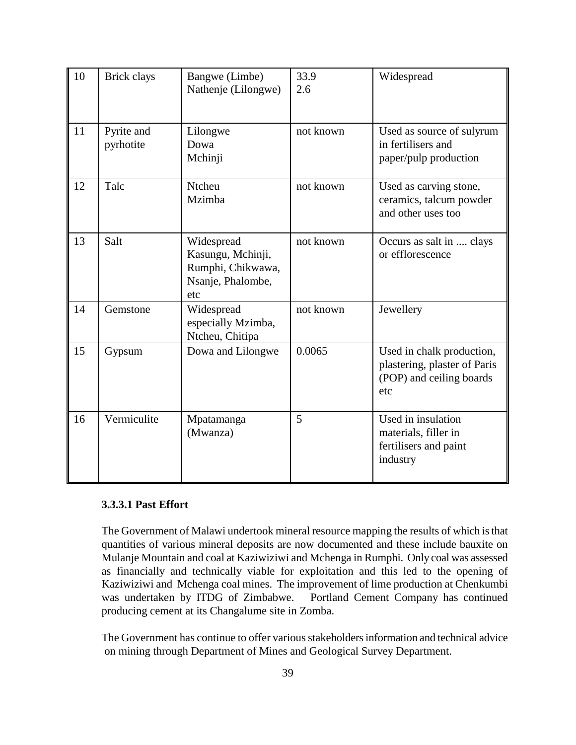| 10 | <b>Brick clays</b>      | Bangwe (Limbe)<br>Nathenje (Lilongwe)                                            | 33.9<br>2.6 | Widespread                                                                                   |
|----|-------------------------|----------------------------------------------------------------------------------|-------------|----------------------------------------------------------------------------------------------|
| 11 | Pyrite and<br>pyrhotite | Lilongwe<br>Dowa<br>Mchinji                                                      | not known   | Used as source of sulyrum<br>in fertilisers and<br>paper/pulp production                     |
| 12 | Talc                    | <b>Ntcheu</b><br>Mzimba                                                          | not known   | Used as carving stone,<br>ceramics, talcum powder<br>and other uses too                      |
| 13 | Salt                    | Widespread<br>Kasungu, Mchinji,<br>Rumphi, Chikwawa,<br>Nsanje, Phalombe,<br>etc | not known   | Occurs as salt in  clays<br>or efflorescence                                                 |
| 14 | Gemstone                | Widespread<br>especially Mzimba,<br>Ntcheu, Chitipa                              | not known   | Jewellery                                                                                    |
| 15 | Gypsum                  | Dowa and Lilongwe                                                                | 0.0065      | Used in chalk production,<br>plastering, plaster of Paris<br>(POP) and ceiling boards<br>etc |
| 16 | Vermiculite             | Mpatamanga<br>(Mwanza)                                                           | 5           | Used in insulation<br>materials, filler in<br>fertilisers and paint<br>industry              |

## **3.3.3.1 Past Effort**

The Government of Malawi undertook mineral resource mapping the results of which is that quantities of various mineral deposits are now documented and these include bauxite on Mulanje Mountain and coal at Kaziwiziwi and Mchenga in Rumphi. Only coal was assessed as financially and technically viable for exploitation and this led to the opening of Kaziwiziwi and Mchenga coal mines. The improvement of lime production at Chenkumbi was undertaken by ITDG of Zimbabwe. Portland Cement Company has continued producing cement at its Changalume site in Zomba.

The Government has continue to offer various stakeholders information and technical advice on mining through Department of Mines and Geological Survey Department.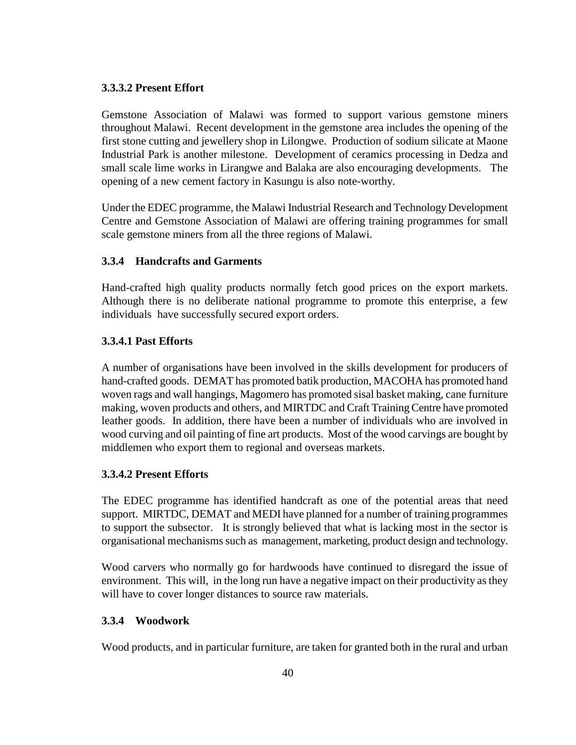#### **3.3.3.2 Present Effort**

Gemstone Association of Malawi was formed to support various gemstone miners throughout Malawi. Recent development in the gemstone area includes the opening of the first stone cutting and jewellery shop in Lilongwe. Production of sodium silicate at Maone Industrial Park is another milestone. Development of ceramics processing in Dedza and small scale lime works in Lirangwe and Balaka are also encouraging developments. The opening of a new cement factory in Kasungu is also note-worthy.

Under the EDEC programme, the Malawi Industrial Research and Technology Development Centre and Gemstone Association of Malawi are offering training programmes for small scale gemstone miners from all the three regions of Malawi.

## **3.3.4 Handcrafts and Garments**

Hand-crafted high quality products normally fetch good prices on the export markets. Although there is no deliberate national programme to promote this enterprise, a few individuals have successfully secured export orders.

### **3.3.4.1 Past Efforts**

A number of organisations have been involved in the skills development for producers of hand-crafted goods. DEMAT has promoted batik production, MACOHA has promoted hand woven rags and wall hangings, Magomero has promoted sisal basket making, cane furniture making, woven products and others, and MIRTDC and Craft Training Centre have promoted leather goods. In addition, there have been a number of individuals who are involved in wood curving and oil painting of fine art products. Most of the wood carvings are bought by middlemen who export them to regional and overseas markets.

## **3.3.4.2 Present Efforts**

The EDEC programme has identified handcraft as one of the potential areas that need support. MIRTDC, DEMAT and MEDI have planned for a number of training programmes to support the subsector. It is strongly believed that what is lacking most in the sector is organisational mechanisms such as management, marketing, product design and technology.

Wood carvers who normally go for hardwoods have continued to disregard the issue of environment. This will, in the long run have a negative impact on their productivity as they will have to cover longer distances to source raw materials.

#### **3.3.4 Woodwork**

Wood products, and in particular furniture, are taken for granted both in the rural and urban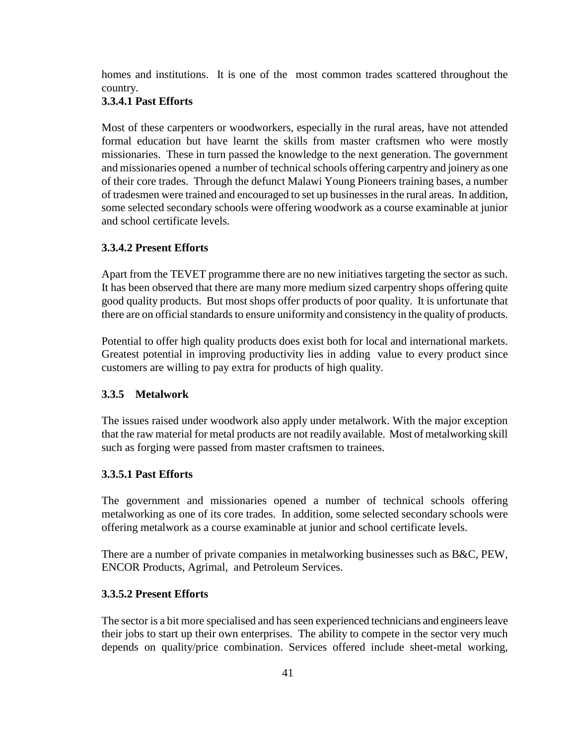homes and institutions. It is one of the most common trades scattered throughout the country.

#### **3.3.4.1 Past Efforts**

Most of these carpenters or woodworkers, especially in the rural areas, have not attended formal education but have learnt the skills from master craftsmen who were mostly missionaries. These in turn passed the knowledge to the next generation. The government and missionaries opened a number of technical schools offering carpentry and joinery as one of their core trades. Through the defunct Malawi Young Pioneers training bases, a number of tradesmen were trained and encouraged to set up businesses in the rural areas. In addition, some selected secondary schools were offering woodwork as a course examinable at junior and school certificate levels.

### **3.3.4.2 Present Efforts**

Apart from the TEVET programme there are no new initiatives targeting the sector as such. It has been observed that there are many more medium sized carpentry shops offering quite good quality products. But most shops offer products of poor quality. It is unfortunate that there are on official standards to ensure uniformity and consistency in the quality of products.

Potential to offer high quality products does exist both for local and international markets. Greatest potential in improving productivity lies in adding value to every product since customers are willing to pay extra for products of high quality.

#### **3.3.5 Metalwork**

The issues raised under woodwork also apply under metalwork. With the major exception that the raw material for metal products are not readily available. Most of metalworking skill such as forging were passed from master craftsmen to trainees.

#### **3.3.5.1 Past Efforts**

The government and missionaries opened a number of technical schools offering metalworking as one of its core trades. In addition, some selected secondary schools were offering metalwork as a course examinable at junior and school certificate levels.

There are a number of private companies in metalworking businesses such as B&C, PEW, ENCOR Products, Agrimal, and Petroleum Services.

#### **3.3.5.2 Present Efforts**

The sector is a bit more specialised and has seen experienced technicians and engineers leave their jobs to start up their own enterprises. The ability to compete in the sector very much depends on quality/price combination. Services offered include sheet-metal working,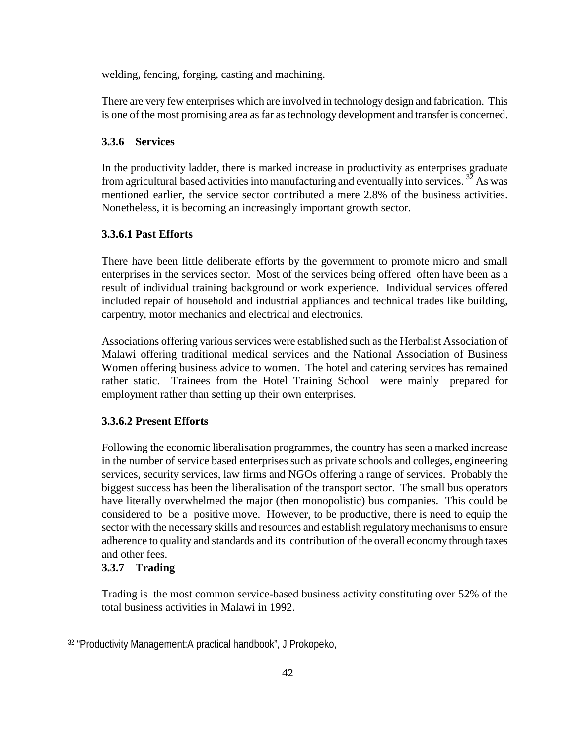welding, fencing, forging, casting and machining.

There are very few enterprises which are involved in technology design and fabrication. This is one of the most promising area as far as technology development and transfer is concerned.

### **3.3.6 Services**

In the productivity ladder, there is marked increase in productivity as enterprises graduate from agricultural based activities into manufacturing and eventually into services.  $^{32}$  As was mentioned earlier, the service sector contributed a mere 2.8% of the business activities. Nonetheless, it is becoming an increasingly important growth sector.

## **3.3.6.1 Past Efforts**

There have been little deliberate efforts by the government to promote micro and small enterprises in the services sector. Most of the services being offered often have been as a result of individual training background or work experience. Individual services offered included repair of household and industrial appliances and technical trades like building, carpentry, motor mechanics and electrical and electronics.

Associations offering various services were established such as the Herbalist Association of Malawi offering traditional medical services and the National Association of Business Women offering business advice to women. The hotel and catering services has remained rather static. Trainees from the Hotel Training School were mainly prepared for employment rather than setting up their own enterprises.

## **3.3.6.2 Present Efforts**

Following the economic liberalisation programmes, the country has seen a marked increase in the number of service based enterprises such as private schools and colleges, engineering services, security services, law firms and NGOs offering a range of services. Probably the biggest success has been the liberalisation of the transport sector. The small bus operators have literally overwhelmed the major (then monopolistic) bus companies. This could be considered to be a positive move. However, to be productive, there is need to equip the sector with the necessary skills and resources and establish regulatory mechanisms to ensure adherence to quality and standards and its contribution of the overall economy through taxes and other fees.

## **3.3.7 Trading**

 $\overline{a}$ 

Trading is the most common service-based business activity constituting over 52% of the total business activities in Malawi in 1992.

<sup>32 &</sup>quot;Productivity Management:A practical handbook", J Prokopeko,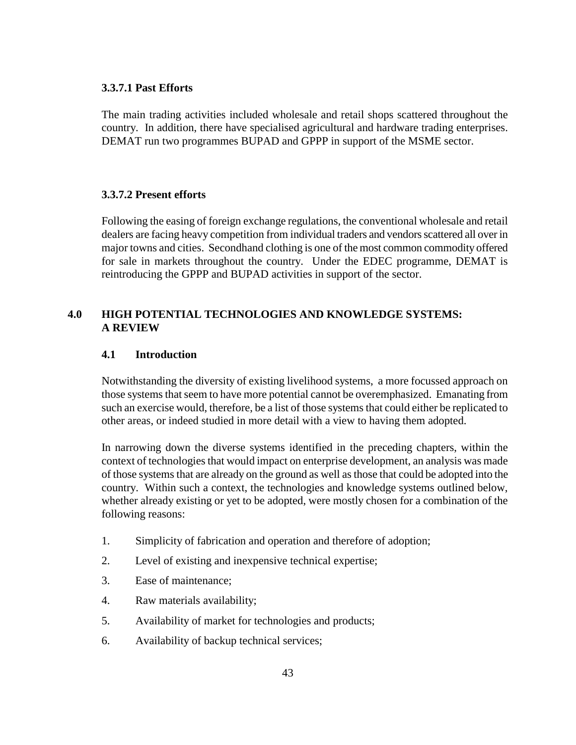### **3.3.7.1 Past Efforts**

The main trading activities included wholesale and retail shops scattered throughout the country. In addition, there have specialised agricultural and hardware trading enterprises. DEMAT run two programmes BUPAD and GPPP in support of the MSME sector.

## **3.3.7.2 Present efforts**

Following the easing of foreign exchange regulations, the conventional wholesale and retail dealers are facing heavy competition from individual traders and vendors scattered all over in major towns and cities. Secondhand clothing is one of the most common commodity offered for sale in markets throughout the country. Under the EDEC programme, DEMAT is reintroducing the GPPP and BUPAD activities in support of the sector.

## **4.0 HIGH POTENTIAL TECHNOLOGIES AND KNOWLEDGE SYSTEMS: A REVIEW**

## **4.1 Introduction**

Notwithstanding the diversity of existing livelihood systems, a more focussed approach on those systems that seem to have more potential cannot be overemphasized. Emanating from such an exercise would, therefore, be a list of those systems that could either be replicated to other areas, or indeed studied in more detail with a view to having them adopted.

In narrowing down the diverse systems identified in the preceding chapters, within the context of technologies that would impact on enterprise development, an analysis was made of those systems that are already on the ground as well as those that could be adopted into the country. Within such a context, the technologies and knowledge systems outlined below, whether already existing or yet to be adopted, were mostly chosen for a combination of the following reasons:

- 1. Simplicity of fabrication and operation and therefore of adoption;
- 2. Level of existing and inexpensive technical expertise;
- 3. Ease of maintenance;
- 4. Raw materials availability;
- 5. Availability of market for technologies and products;
- 6. Availability of backup technical services;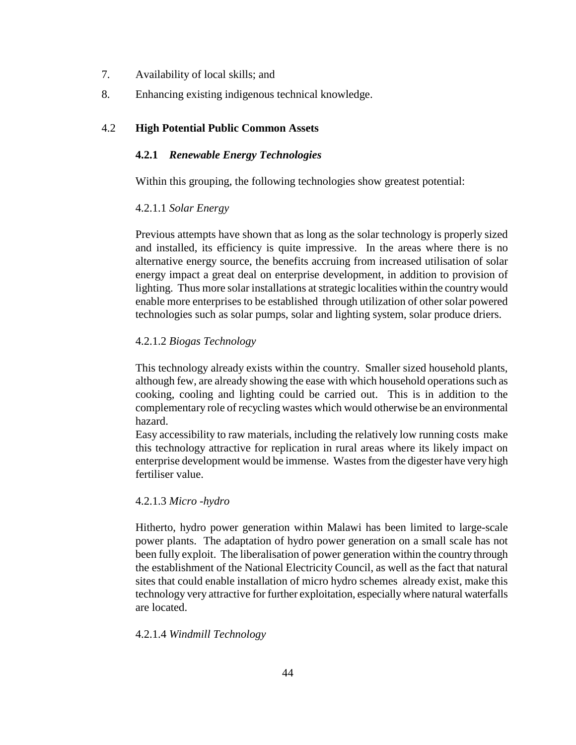- 7. Availability of local skills; and
- 8. Enhancing existing indigenous technical knowledge.

### 4.2 **High Potential Public Common Assets**

#### **4.2.1** *Renewable Energy Technologies*

Within this grouping, the following technologies show greatest potential:

#### 4.2.1.1 *Solar Energy*

Previous attempts have shown that as long as the solar technology is properly sized and installed, its efficiency is quite impressive. In the areas where there is no alternative energy source, the benefits accruing from increased utilisation of solar energy impact a great deal on enterprise development, in addition to provision of lighting. Thus more solar installations at strategic localities within the country would enable more enterprises to be established through utilization of other solar powered technologies such as solar pumps, solar and lighting system, solar produce driers.

#### 4.2.1.2 *Biogas Technology*

This technology already exists within the country. Smaller sized household plants, although few, are already showing the ease with which household operations such as cooking, cooling and lighting could be carried out. This is in addition to the complementary role of recycling wastes which would otherwise be an environmental hazard.

Easy accessibility to raw materials, including the relatively low running costs make this technology attractive for replication in rural areas where its likely impact on enterprise development would be immense. Wastes from the digester have very high fertiliser value.

#### 4.2.1.3 *Micro -hydro*

Hitherto, hydro power generation within Malawi has been limited to large-scale power plants. The adaptation of hydro power generation on a small scale has not been fully exploit. The liberalisation of power generation within the country through the establishment of the National Electricity Council, as well as the fact that natural sites that could enable installation of micro hydro schemes already exist, make this technology very attractive for further exploitation, especially where natural waterfalls are located.

#### 4.2.1.4 *Windmill Technology*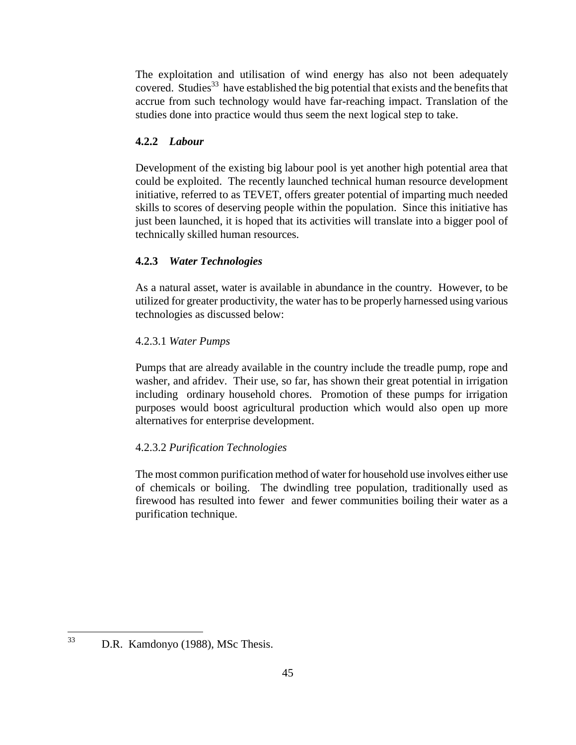The exploitation and utilisation of wind energy has also not been adequately covered. Studies<sup>33</sup> have established the big potential that exists and the benefits that accrue from such technology would have far-reaching impact. Translation of the studies done into practice would thus seem the next logical step to take.

# **4.2.2** *Labour*

Development of the existing big labour pool is yet another high potential area that could be exploited. The recently launched technical human resource development initiative, referred to as TEVET, offers greater potential of imparting much needed skills to scores of deserving people within the population. Since this initiative has just been launched, it is hoped that its activities will translate into a bigger pool of technically skilled human resources.

## **4.2.3** *Water Technologies*

As a natural asset, water is available in abundance in the country. However, to be utilized for greater productivity, the water has to be properly harnessed using various technologies as discussed below:

## 4.2.3.1 *Water Pumps*

Pumps that are already available in the country include the treadle pump, rope and washer, and afridev. Their use, so far, has shown their great potential in irrigation including ordinary household chores. Promotion of these pumps for irrigation purposes would boost agricultural production which would also open up more alternatives for enterprise development.

## 4.2.3.2 *Purification Technologies*

The most common purification method of water for household use involves either use of chemicals or boiling. The dwindling tree population, traditionally used as firewood has resulted into fewer and fewer communities boiling their water as a purification technique.

 $\overline{a}$ 

<sup>33</sup> D.R. Kamdonyo (1988), MSc Thesis.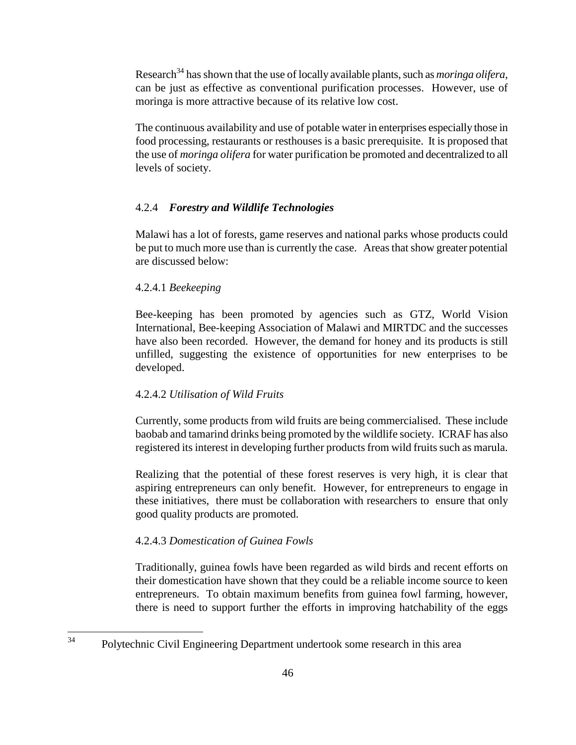Research<sup>34</sup> has shown that the use of locally available plants, such as *moringa olifera*, can be just as effective as conventional purification processes. However, use of moringa is more attractive because of its relative low cost.

The continuous availability and use of potable water in enterprises especially those in food processing, restaurants or resthouses is a basic prerequisite. It is proposed that the use of *moringa olifera* for water purification be promoted and decentralized to all levels of society.

### 4.2.4 *Forestry and Wildlife Technologies*

Malawi has a lot of forests, game reserves and national parks whose products could be put to much more use than is currently the case. Areas that show greater potential are discussed below:

#### 4.2.4.1 *Beekeeping*

Bee-keeping has been promoted by agencies such as GTZ, World Vision International, Bee-keeping Association of Malawi and MIRTDC and the successes have also been recorded. However, the demand for honey and its products is still unfilled, suggesting the existence of opportunities for new enterprises to be developed.

#### 4.2.4.2 *Utilisation of Wild Fruits*

Currently, some products from wild fruits are being commercialised. These include baobab and tamarind drinks being promoted by the wildlife society. ICRAF has also registered its interest in developing further products from wild fruits such as marula.

Realizing that the potential of these forest reserves is very high, it is clear that aspiring entrepreneurs can only benefit. However, for entrepreneurs to engage in these initiatives, there must be collaboration with researchers to ensure that only good quality products are promoted.

#### 4.2.4.3 *Domestication of Guinea Fowls*

 $\overline{a}$ 

Traditionally, guinea fowls have been regarded as wild birds and recent efforts on their domestication have shown that they could be a reliable income source to keen entrepreneurs. To obtain maximum benefits from guinea fowl farming, however, there is need to support further the efforts in improving hatchability of the eggs

<sup>&</sup>lt;sup>34</sup> Polytechnic Civil Engineering Department undertook some research in this area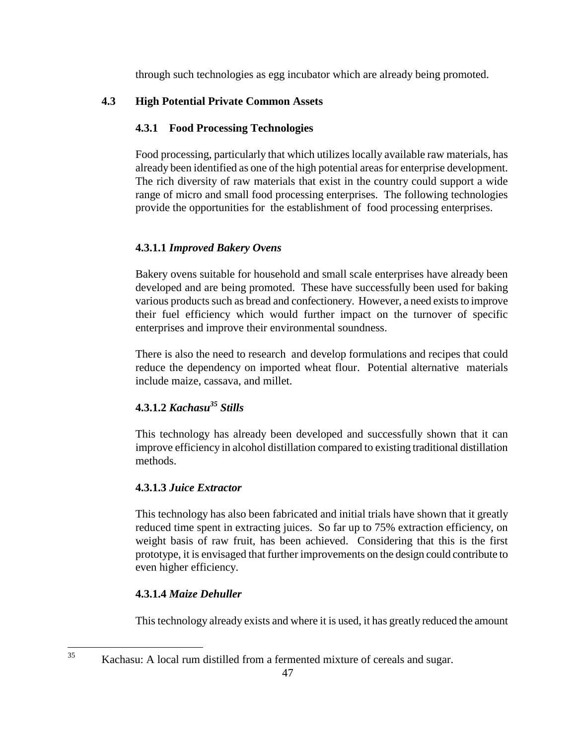through such technologies as egg incubator which are already being promoted.

## **4.3 High Potential Private Common Assets**

## **4.3.1 Food Processing Technologies**

Food processing, particularly that which utilizes locally available raw materials, has already been identified as one of the high potential areas for enterprise development. The rich diversity of raw materials that exist in the country could support a wide range of micro and small food processing enterprises. The following technologies provide the opportunities for the establishment of food processing enterprises.

## **4.3.1.1** *Improved Bakery Ovens*

Bakery ovens suitable for household and small scale enterprises have already been developed and are being promoted. These have successfully been used for baking various products such as bread and confectionery. However, a need exists to improve their fuel efficiency which would further impact on the turnover of specific enterprises and improve their environmental soundness.

There is also the need to research and develop formulations and recipes that could reduce the dependency on imported wheat flour. Potential alternative materials include maize, cassava, and millet.

# **4.3.1.2** *Kachasu35 Stills*

This technology has already been developed and successfully shown that it can improve efficiency in alcohol distillation compared to existing traditional distillation methods.

## **4.3.1.3** *Juice Extractor*

This technology has also been fabricated and initial trials have shown that it greatly reduced time spent in extracting juices. So far up to 75% extraction efficiency, on weight basis of raw fruit, has been achieved. Considering that this is the first prototype, it is envisaged that further improvements on the design could contribute to even higher efficiency.

# **4.3.1.4** *Maize Dehuller*

 $\overline{a}$ 

This technology already exists and where it is used, it has greatly reduced the amount

<sup>&</sup>lt;sup>35</sup> Kachasu: A local rum distilled from a fermented mixture of cereals and sugar.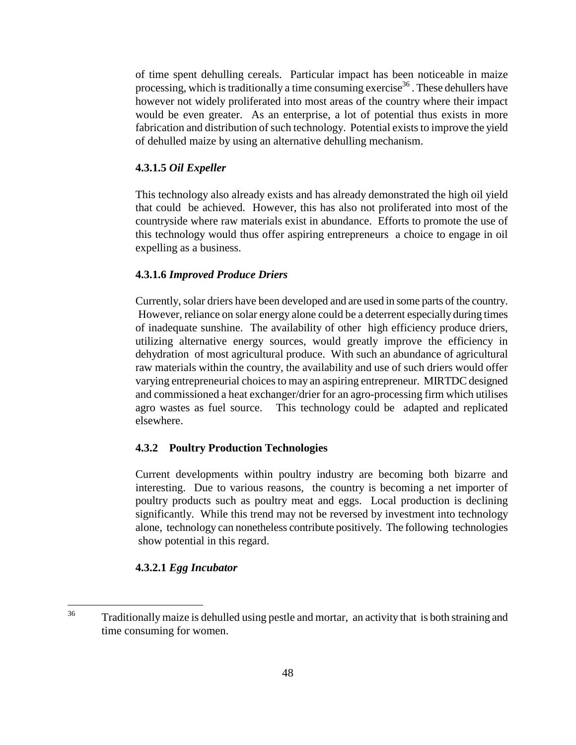of time spent dehulling cereals. Particular impact has been noticeable in maize processing, which is traditionally a time consuming exercise<sup>36</sup>. These dehullers have however not widely proliferated into most areas of the country where their impact would be even greater. As an enterprise, a lot of potential thus exists in more fabrication and distribution of such technology. Potential exists to improve the yield of dehulled maize by using an alternative dehulling mechanism.

### **4.3.1.5** *Oil Expeller*

This technology also already exists and has already demonstrated the high oil yield that could be achieved. However, this has also not proliferated into most of the countryside where raw materials exist in abundance. Efforts to promote the use of this technology would thus offer aspiring entrepreneurs a choice to engage in oil expelling as a business.

### **4.3.1.6** *Improved Produce Driers*

Currently, solar driers have been developed and are used in some parts of the country. However, reliance on solar energy alone could be a deterrent especially during times of inadequate sunshine. The availability of other high efficiency produce driers, utilizing alternative energy sources, would greatly improve the efficiency in dehydration of most agricultural produce. With such an abundance of agricultural raw materials within the country, the availability and use of such driers would offer varying entrepreneurial choices to may an aspiring entrepreneur. MIRTDC designed and commissioned a heat exchanger/drier for an agro-processing firm which utilises agro wastes as fuel source. This technology could be adapted and replicated elsewhere.

## **4.3.2 Poultry Production Technologies**

Current developments within poultry industry are becoming both bizarre and interesting. Due to various reasons, the country is becoming a net importer of poultry products such as poultry meat and eggs. Local production is declining significantly. While this trend may not be reversed by investment into technology alone, technology can nonetheless contribute positively. The following technologies show potential in this regard.

#### **4.3.2.1** *Egg Incubator*

<sup>36</sup> Traditionally maize is dehulled using pestle and mortar, an activity that is both straining and time consuming for women.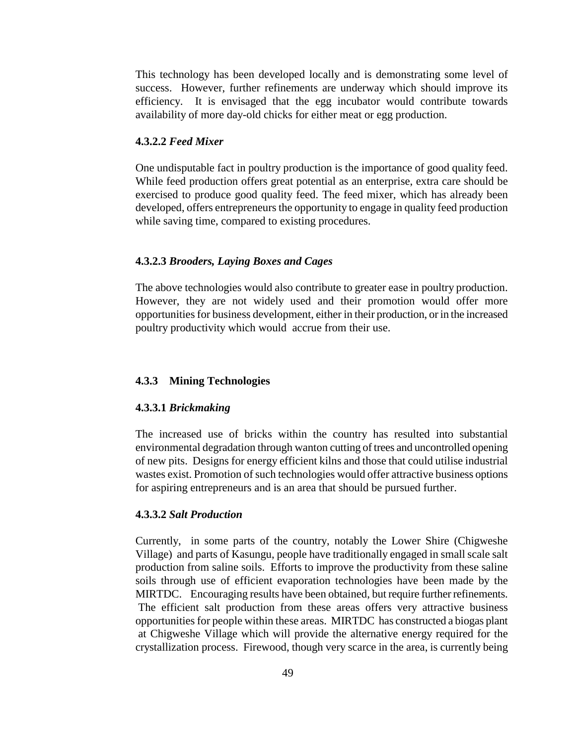This technology has been developed locally and is demonstrating some level of success. However, further refinements are underway which should improve its efficiency. It is envisaged that the egg incubator would contribute towards availability of more day-old chicks for either meat or egg production.

#### **4.3.2.2** *Feed Mixer*

One undisputable fact in poultry production is the importance of good quality feed. While feed production offers great potential as an enterprise, extra care should be exercised to produce good quality feed. The feed mixer, which has already been developed, offers entrepreneurs the opportunity to engage in quality feed production while saving time, compared to existing procedures.

#### **4.3.2.3** *Brooders, Laying Boxes and Cages*

The above technologies would also contribute to greater ease in poultry production. However, they are not widely used and their promotion would offer more opportunities for business development, either in their production, or in the increased poultry productivity which would accrue from their use.

#### **4.3.3 Mining Technologies**

#### **4.3.3.1** *Brickmaking*

The increased use of bricks within the country has resulted into substantial environmental degradation through wanton cutting of trees and uncontrolled opening of new pits. Designs for energy efficient kilns and those that could utilise industrial wastes exist. Promotion of such technologies would offer attractive business options for aspiring entrepreneurs and is an area that should be pursued further.

#### **4.3.3.2** *Salt Production*

Currently, in some parts of the country, notably the Lower Shire (Chigweshe Village) and parts of Kasungu, people have traditionally engaged in small scale salt production from saline soils. Efforts to improve the productivity from these saline soils through use of efficient evaporation technologies have been made by the MIRTDC. Encouraging results have been obtained, but require further refinements. The efficient salt production from these areas offers very attractive business opportunities for people within these areas. MIRTDC has constructed a biogas plant at Chigweshe Village which will provide the alternative energy required for the crystallization process. Firewood, though very scarce in the area, is currently being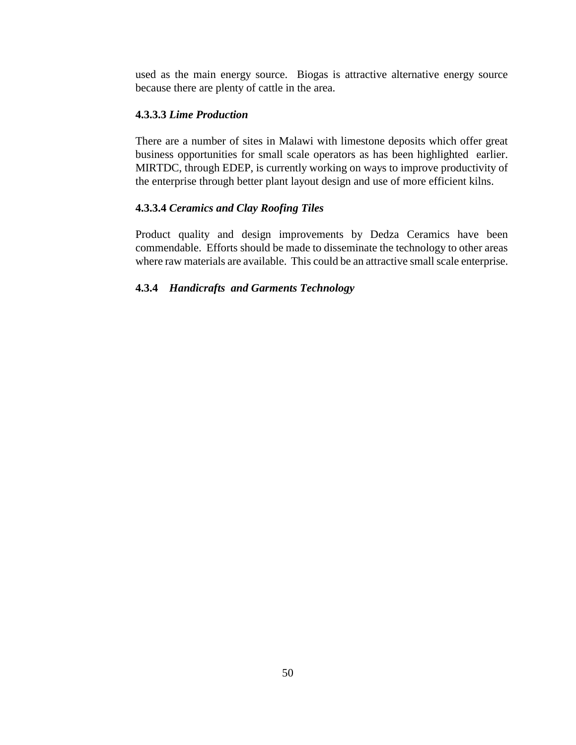used as the main energy source. Biogas is attractive alternative energy source because there are plenty of cattle in the area.

### **4.3.3.3** *Lime Production*

There are a number of sites in Malawi with limestone deposits which offer great business opportunities for small scale operators as has been highlighted earlier. MIRTDC, through EDEP, is currently working on ways to improve productivity of the enterprise through better plant layout design and use of more efficient kilns.

#### **4.3.3.4** *Ceramics and Clay Roofing Tiles*

Product quality and design improvements by Dedza Ceramics have been commendable. Efforts should be made to disseminate the technology to other areas where raw materials are available. This could be an attractive small scale enterprise.

#### **4.3.4** *Handicrafts and Garments Technology*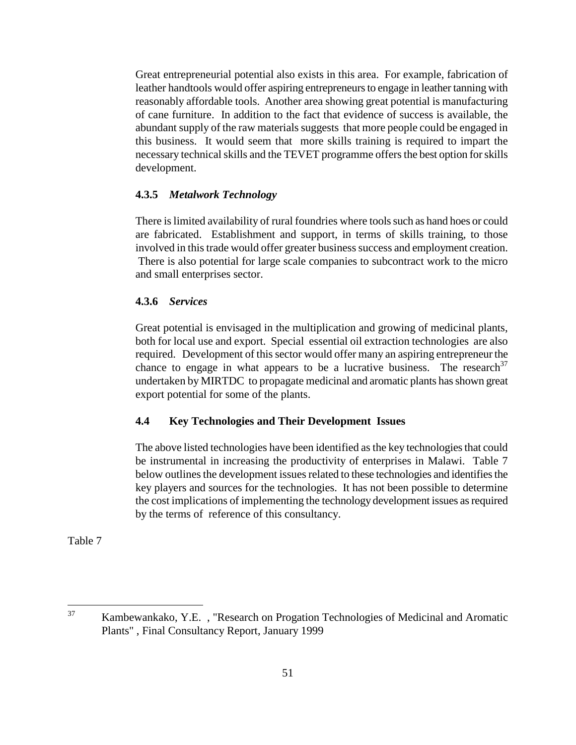Great entrepreneurial potential also exists in this area. For example, fabrication of leather handtools would offer aspiring entrepreneurs to engage in leather tanning with reasonably affordable tools. Another area showing great potential is manufacturing of cane furniture. In addition to the fact that evidence of success is available, the abundant supply of the raw materials suggests that more people could be engaged in this business. It would seem that more skills training is required to impart the necessary technical skills and the TEVET programme offers the best option for skills development.

### **4.3.5** *Metalwork Technology*

There is limited availability of rural foundries where tools such as hand hoes or could are fabricated. Establishment and support, in terms of skills training, to those involved in this trade would offer greater business success and employment creation. There is also potential for large scale companies to subcontract work to the micro and small enterprises sector.

#### **4.3.6** *Services*

Great potential is envisaged in the multiplication and growing of medicinal plants, both for local use and export. Special essential oil extraction technologies are also required. Development of this sector would offer many an aspiring entrepreneur the chance to engage in what appears to be a lucrative business. The research  $37$ undertaken by MIRTDC to propagate medicinal and aromatic plants has shown great export potential for some of the plants.

## **4.4 Key Technologies and Their Development Issues**

The above listed technologies have been identified as the key technologies that could be instrumental in increasing the productivity of enterprises in Malawi. Table 7 below outlines the development issues related to these technologies and identifies the key players and sources for the technologies. It has not been possible to determine the cost implications of implementing the technology development issues as required by the terms of reference of this consultancy.

<sup>37</sup> 37 Kambewankako, Y.E. , "Research on Progation Technologies of Medicinal and Aromatic Plants" , Final Consultancy Report, January 1999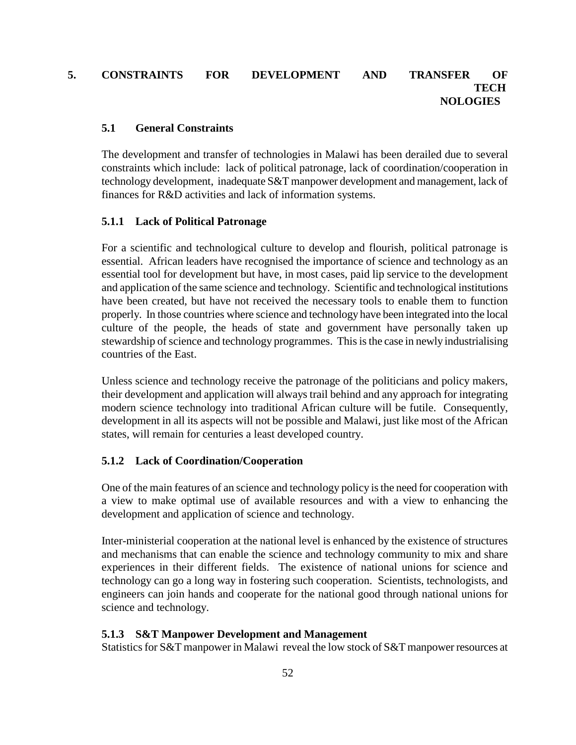## **5. CONSTRAINTS FOR DEVELOPMENT AND TRANSFER OF TECH NOLOGIES**

#### **5.1 General Constraints**

The development and transfer of technologies in Malawi has been derailed due to several constraints which include: lack of political patronage, lack of coordination/cooperation in technology development, inadequate S&T manpower development and management, lack of finances for R&D activities and lack of information systems.

### **5.1.1 Lack of Political Patronage**

For a scientific and technological culture to develop and flourish, political patronage is essential. African leaders have recognised the importance of science and technology as an essential tool for development but have, in most cases, paid lip service to the development and application of the same science and technology. Scientific and technological institutions have been created, but have not received the necessary tools to enable them to function properly. In those countries where science and technology have been integrated into the local culture of the people, the heads of state and government have personally taken up stewardship of science and technology programmes. This is the case in newly industrialising countries of the East.

Unless science and technology receive the patronage of the politicians and policy makers, their development and application will always trail behind and any approach for integrating modern science technology into traditional African culture will be futile. Consequently, development in all its aspects will not be possible and Malawi, just like most of the African states, will remain for centuries a least developed country.

## **5.1.2 Lack of Coordination/Cooperation**

One of the main features of an science and technology policy is the need for cooperation with a view to make optimal use of available resources and with a view to enhancing the development and application of science and technology.

Inter-ministerial cooperation at the national level is enhanced by the existence of structures and mechanisms that can enable the science and technology community to mix and share experiences in their different fields. The existence of national unions for science and technology can go a long way in fostering such cooperation. Scientists, technologists, and engineers can join hands and cooperate for the national good through national unions for science and technology.

## **5.1.3 S&T Manpower Development and Management**

Statistics for S&T manpower in Malawi reveal the low stock of S&T manpower resources at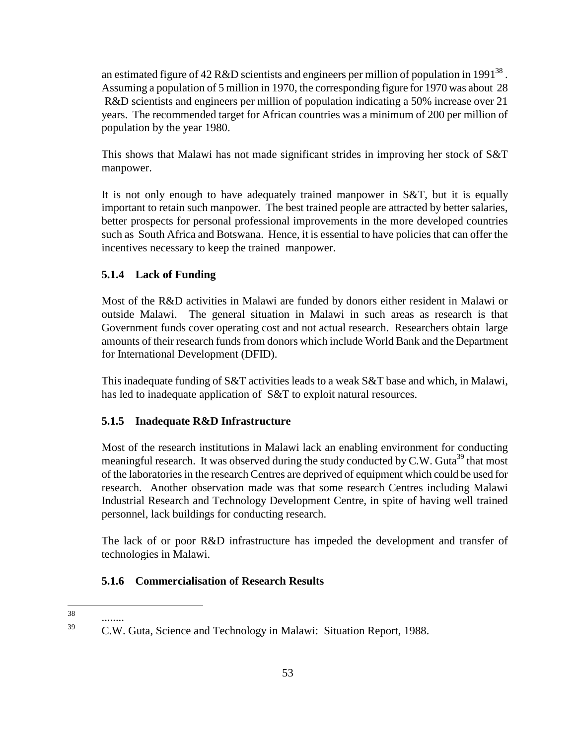an estimated figure of 42 R&D scientists and engineers per million of population in 1991<sup>38</sup>. Assuming a population of 5 million in 1970, the corresponding figure for 1970 was about 28 R&D scientists and engineers per million of population indicating a 50% increase over 21 years. The recommended target for African countries was a minimum of 200 per million of population by the year 1980.

This shows that Malawi has not made significant strides in improving her stock of S&T manpower.

It is not only enough to have adequately trained manpower in S&T, but it is equally important to retain such manpower. The best trained people are attracted by better salaries, better prospects for personal professional improvements in the more developed countries such as South Africa and Botswana. Hence, it is essential to have policies that can offer the incentives necessary to keep the trained manpower.

## **5.1.4 Lack of Funding**

Most of the R&D activities in Malawi are funded by donors either resident in Malawi or outside Malawi. The general situation in Malawi in such areas as research is that Government funds cover operating cost and not actual research. Researchers obtain large amounts of their research funds from donors which include World Bank and the Department for International Development (DFID).

This inadequate funding of S&T activities leads to a weak S&T base and which, in Malawi, has led to inadequate application of S&T to exploit natural resources.

## **5.1.5 Inadequate R&D Infrastructure**

Most of the research institutions in Malawi lack an enabling environment for conducting meaningful research. It was observed during the study conducted by C.W. Guta<sup>39</sup> that most of the laboratories in the research Centres are deprived of equipment which could be used for research. Another observation made was that some research Centres including Malawi Industrial Research and Technology Development Centre, in spite of having well trained personnel, lack buildings for conducting research.

The lack of or poor R&D infrastructure has impeded the development and transfer of technologies in Malawi.

## **5.1.6 Commercialisation of Research Results**

<sup>38</sup> 

 $\frac{39}{28}$  ........ 39 C.W. Guta, Science and Technology in Malawi: Situation Report, 1988.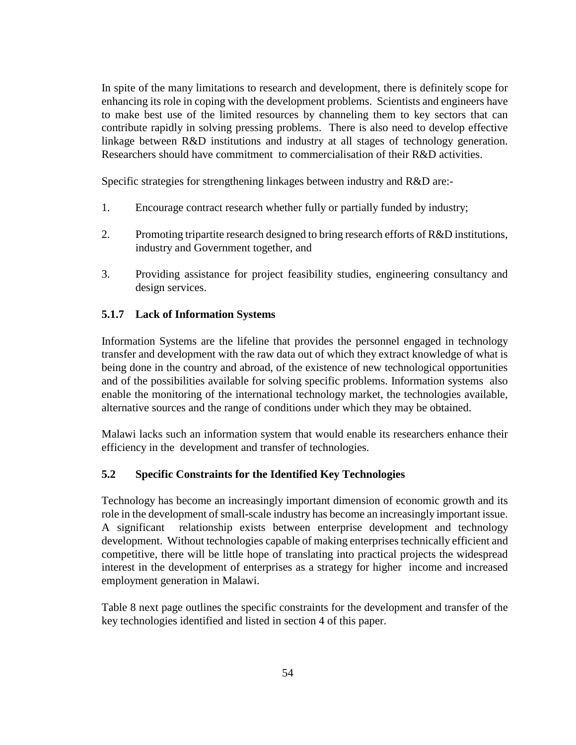In spite of the many limitations to research and development, there is definitely scope for enhancing its role in coping with the development problems. Scientists and engineers have to make best use of the limited resources by channeling them to key sectors that can contribute rapidly in solving pressing problems. There is also need to develop effective linkage between R&D institutions and industry at all stages of technology generation. Researchers should have commitment to commercialisation of their R&D activities.

Specific strategies for strengthening linkages between industry and R&D are:-

- 1. Encourage contract research whether fully or partially funded by industry;
- 2. Promoting tripartite research designed to bring research efforts of R&D institutions, industry and Government together, and
- 3. Providing assistance for project feasibility studies, engineering consultancy and design services.

### **5.1.7 Lack of Information Systems**

Information Systems are the lifeline that provides the personnel engaged in technology transfer and development with the raw data out of which they extract knowledge of what is being done in the country and abroad, of the existence of new technological opportunities and of the possibilities available for solving specific problems. Information systems also enable the monitoring of the international technology market, the technologies available, alternative sources and the range of conditions under which they may be obtained.

Malawi lacks such an information system that would enable its researchers enhance their efficiency in the development and transfer of technologies.

#### **5.2 Specific Constraints for the Identified Key Technologies**

Technology has become an increasingly important dimension of economic growth and its role in the development of small-scale industry has become an increasingly important issue. A significant relationship exists between enterprise development and technology development. Without technologies capable of making enterprises technically efficient and competitive, there will be little hope of translating into practical projects the widespread interest in the development of enterprises as a strategy for higher income and increased employment generation in Malawi.

Table 8 next page outlines the specific constraints for the development and transfer of the key technologies identified and listed in section 4 of this paper.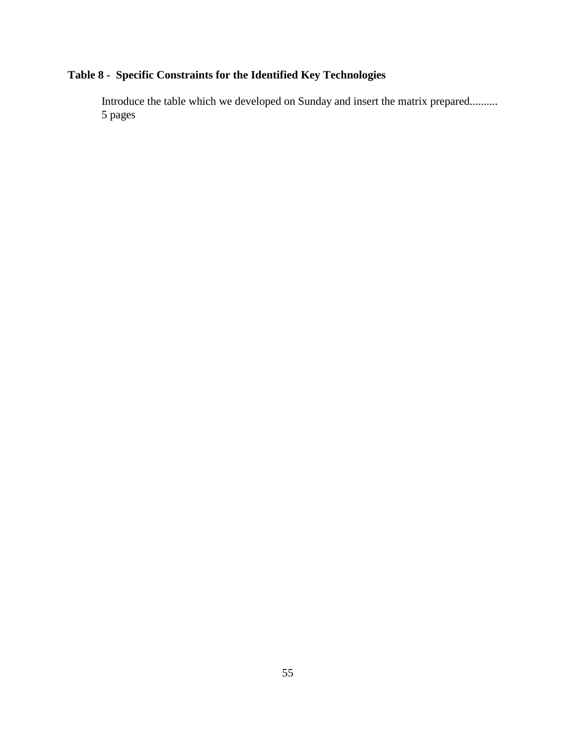# **Table 8 - Specific Constraints for the Identified Key Technologies**

Introduce the table which we developed on Sunday and insert the matrix prepared.......... 5 pages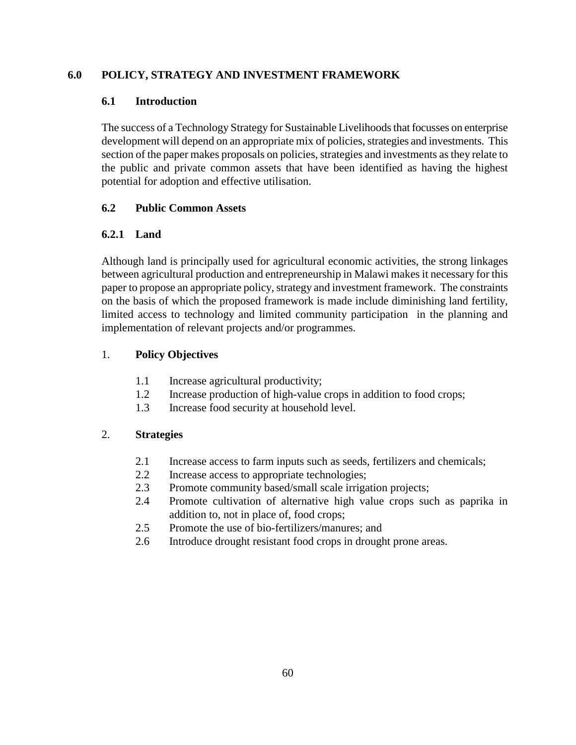## **6.0 POLICY, STRATEGY AND INVESTMENT FRAMEWORK**

## **6.1 Introduction**

The success of a Technology Strategy for Sustainable Livelihoods that focusses on enterprise development will depend on an appropriate mix of policies, strategies and investments. This section of the paper makes proposals on policies, strategies and investments as they relate to the public and private common assets that have been identified as having the highest potential for adoption and effective utilisation.

## **6.2 Public Common Assets**

## **6.2.1 Land**

Although land is principally used for agricultural economic activities, the strong linkages between agricultural production and entrepreneurship in Malawi makes it necessary for this paper to propose an appropriate policy, strategy and investment framework. The constraints on the basis of which the proposed framework is made include diminishing land fertility, limited access to technology and limited community participation in the planning and implementation of relevant projects and/or programmes.

## 1. **Policy Objectives**

- 1.1 Increase agricultural productivity;
- 1.2 Increase production of high-value crops in addition to food crops;
- 1.3 Increase food security at household level.

## 2. **Strategies**

- 2.1 Increase access to farm inputs such as seeds, fertilizers and chemicals;
- 2.2 Increase access to appropriate technologies;
- 2.3 Promote community based/small scale irrigation projects;
- 2.4 Promote cultivation of alternative high value crops such as paprika in addition to, not in place of, food crops;
- 2.5 Promote the use of bio-fertilizers/manures; and
- 2.6 Introduce drought resistant food crops in drought prone areas.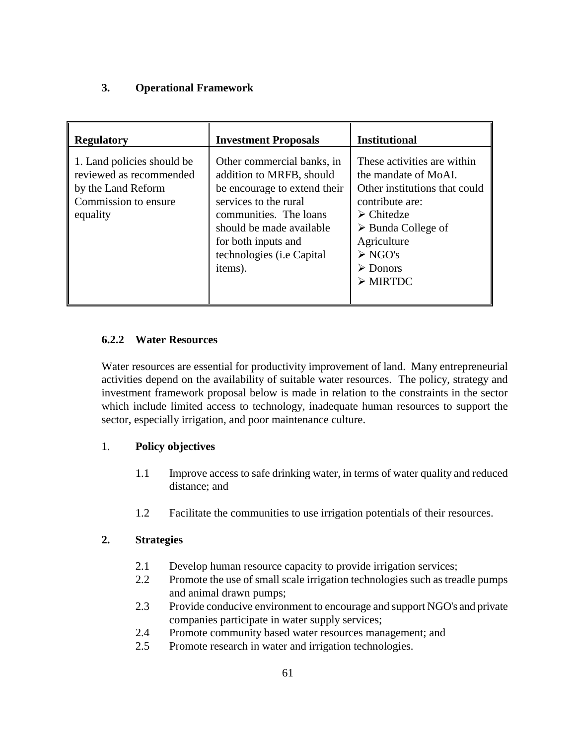## **3. Operational Framework**

| <b>Regulatory</b>                                                                                               | <b>Investment Proposals</b>                                                                                                                                                                                                                  | <b>Institutional</b>                                                                                                                                                                                                                                                     |
|-----------------------------------------------------------------------------------------------------------------|----------------------------------------------------------------------------------------------------------------------------------------------------------------------------------------------------------------------------------------------|--------------------------------------------------------------------------------------------------------------------------------------------------------------------------------------------------------------------------------------------------------------------------|
| 1. Land policies should be<br>reviewed as recommended<br>by the Land Reform<br>Commission to ensure<br>equality | Other commercial banks, in<br>addition to MRFB, should<br>be encourage to extend their<br>services to the rural<br>communities. The loans<br>should be made available<br>for both inputs and<br>technologies ( <i>i.e</i> Capital<br>items). | These activities are within<br>the mandate of MoAI.<br>Other institutions that could<br>contribute are:<br>$\triangleright$ Chitedze<br>$\triangleright$ Bunda College of<br>Agriculture<br>$\triangleright$ NGO's<br>$\triangleright$ Donors<br>$\triangleright$ MIRTDC |

## **6.2.2 Water Resources**

Water resources are essential for productivity improvement of land. Many entrepreneurial activities depend on the availability of suitable water resources. The policy, strategy and investment framework proposal below is made in relation to the constraints in the sector which include limited access to technology, inadequate human resources to support the sector, especially irrigation, and poor maintenance culture.

## 1. **Policy objectives**

- 1.1 Improve access to safe drinking water, in terms of water quality and reduced distance; and
- 1.2 Facilitate the communities to use irrigation potentials of their resources.

## **2. Strategies**

- 2.1 Develop human resource capacity to provide irrigation services;
- 2.2 Promote the use of small scale irrigation technologies such as treadle pumps and animal drawn pumps;
- 2.3 Provide conducive environment to encourage and support NGO's and private companies participate in water supply services;
- 2.4 Promote community based water resources management; and
- 2.5 Promote research in water and irrigation technologies.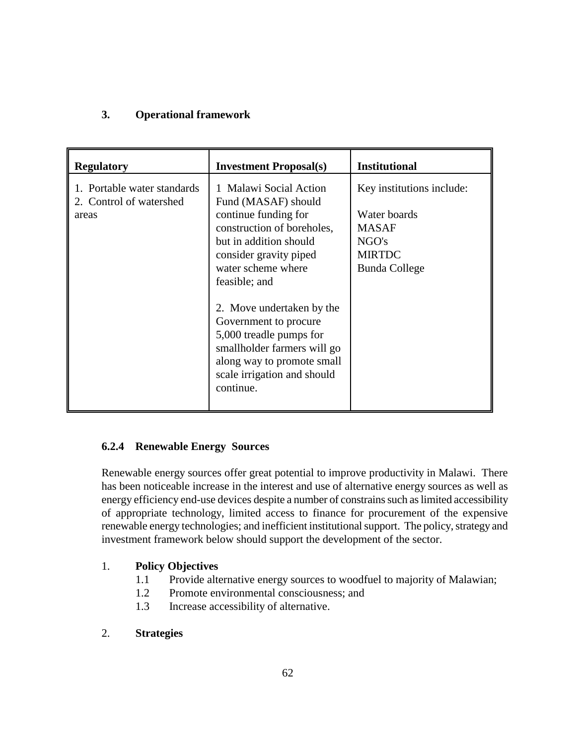# **3. Operational framework**

| <b>Regulatory</b>                                               | <b>Investment Proposal(s)</b>                                                                                                                                                                                                                                                   | <b>Institutional</b>                                                                                        |
|-----------------------------------------------------------------|---------------------------------------------------------------------------------------------------------------------------------------------------------------------------------------------------------------------------------------------------------------------------------|-------------------------------------------------------------------------------------------------------------|
| 1. Portable water standards<br>2. Control of watershed<br>areas | 1 Malawi Social Action<br>Fund (MASAF) should<br>continue funding for<br>construction of boreholes,<br>but in addition should<br>consider gravity piped<br>water scheme where<br>feasible; and<br>2. Move undertaken by the<br>Government to procure<br>5,000 treadle pumps for | Key institutions include:<br>Water boards<br><b>MASAF</b><br>NGO's<br><b>MIRTDC</b><br><b>Bunda College</b> |
|                                                                 | smallholder farmers will go<br>along way to promote small<br>scale irrigation and should<br>continue.                                                                                                                                                                           |                                                                                                             |

## **6.2.4 Renewable Energy Sources**

Renewable energy sources offer great potential to improve productivity in Malawi. There has been noticeable increase in the interest and use of alternative energy sources as well as energy efficiency end-use devices despite a number of constrains such as limited accessibility of appropriate technology, limited access to finance for procurement of the expensive renewable energy technologies; and inefficient institutional support. The policy, strategy and investment framework below should support the development of the sector.

## 1. **Policy Objectives**

- 1.1 Provide alternative energy sources to woodfuel to majority of Malawian;
- 1.2 Promote environmental consciousness; and
- 1.3 Increase accessibility of alternative.
- 2. **Strategies**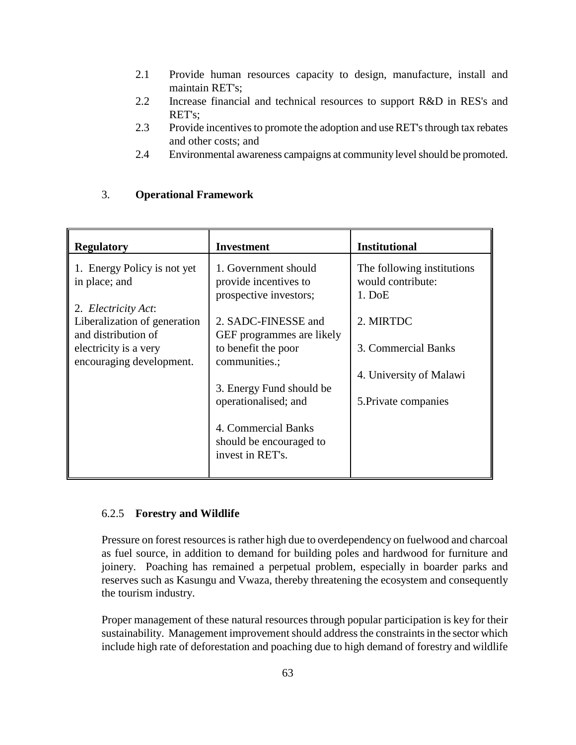- 2.1 Provide human resources capacity to design, manufacture, install and maintain RET's;
- 2.2 Increase financial and technical resources to support R&D in RES's and RET's;
- 2.3 Provide incentives to promote the adoption and use RET's through tax rebates and other costs; and
- 2.4 Environmental awareness campaigns at community level should be promoted.

## 3. **Operational Framework**

| <b>Regulatory</b>                                                          | <b>Investment</b>                                                       | <b>Institutional</b>                                        |
|----------------------------------------------------------------------------|-------------------------------------------------------------------------|-------------------------------------------------------------|
| 1. Energy Policy is not yet<br>in place; and                               | 1. Government should<br>provide incentives to<br>prospective investors; | The following institutions<br>would contribute:<br>$1.$ DoE |
| 2. Electricity Act:<br>Liberalization of generation<br>and distribution of | 2. SADC-FINESSE and<br>GEF programmes are likely                        | 2. MIRTDC                                                   |
| electricity is a very<br>encouraging development.                          | to benefit the poor<br>communities.;                                    | 3. Commercial Banks                                         |
|                                                                            | 3. Energy Fund should be<br>operationalised; and                        | 4. University of Malawi<br>5. Private companies             |
|                                                                            | 4. Commercial Banks<br>should be encouraged to<br>invest in RET's.      |                                                             |

#### 6.2.5 **Forestry and Wildlife**

Pressure on forest resources is rather high due to overdependency on fuelwood and charcoal as fuel source, in addition to demand for building poles and hardwood for furniture and joinery. Poaching has remained a perpetual problem, especially in boarder parks and reserves such as Kasungu and Vwaza, thereby threatening the ecosystem and consequently the tourism industry.

Proper management of these natural resources through popular participation is key for their sustainability. Management improvement should address the constraints in the sector which include high rate of deforestation and poaching due to high demand of forestry and wildlife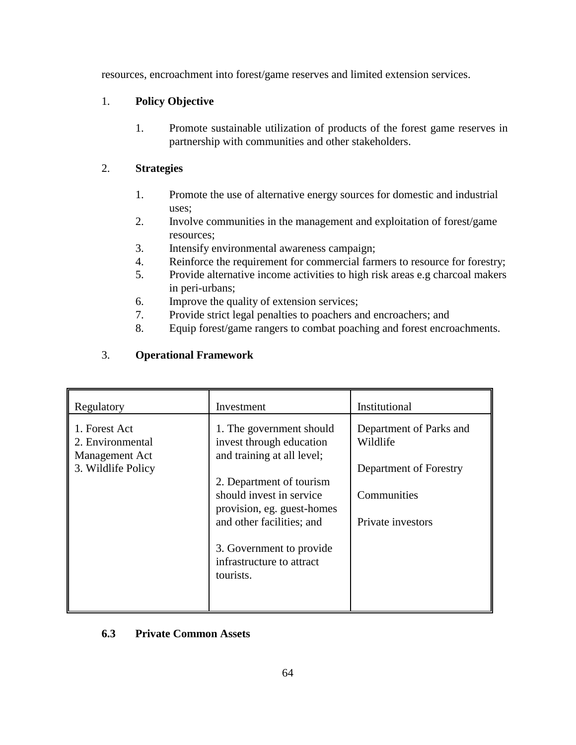resources, encroachment into forest/game reserves and limited extension services.

## 1. **Policy Objective**

1. Promote sustainable utilization of products of the forest game reserves in partnership with communities and other stakeholders.

## 2. **Strategies**

- 1. Promote the use of alternative energy sources for domestic and industrial uses;
- 2. Involve communities in the management and exploitation of forest/game resources;
- 3. Intensify environmental awareness campaign;
- 4. Reinforce the requirement for commercial farmers to resource for forestry;
- 5. Provide alternative income activities to high risk areas e.g charcoal makers in peri-urbans;
- 6. Improve the quality of extension services;
- 7. Provide strict legal penalties to poachers and encroachers; and
- 8. Equip forest/game rangers to combat poaching and forest encroachments.

## 3. **Operational Framework**

| Regulatory                                          | Investment                                                                                                      | Institutional                                              |
|-----------------------------------------------------|-----------------------------------------------------------------------------------------------------------------|------------------------------------------------------------|
| 1. Forest Act<br>2. Environmental<br>Management Act | 1. The government should<br>invest through education<br>and training at all level;                              | Department of Parks and<br>Wildlife                        |
| 3. Wildlife Policy                                  | 2. Department of tourism<br>should invest in service<br>provision, eg. guest-homes<br>and other facilities; and | Department of Forestry<br>Communities<br>Private investors |
|                                                     | 3. Government to provide<br>infrastructure to attract<br>tourists.                                              |                                                            |

## **6.3 Private Common Assets**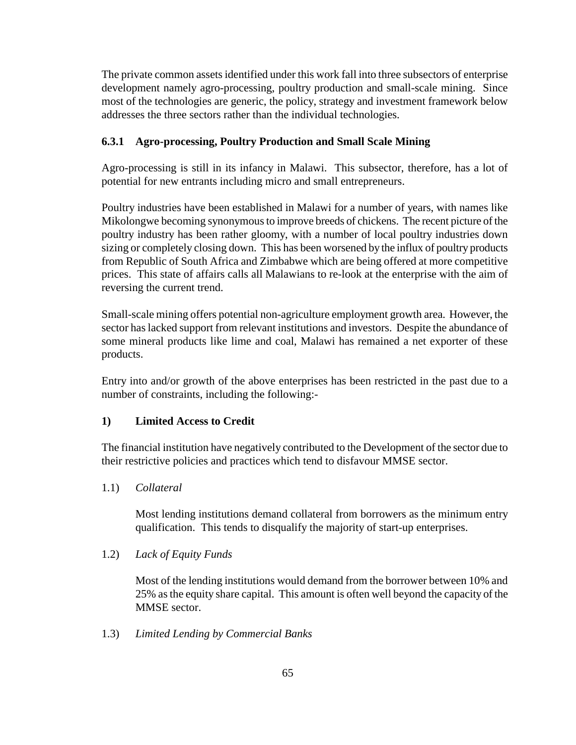The private common assets identified under this work fall into three subsectors of enterprise development namely agro-processing, poultry production and small-scale mining. Since most of the technologies are generic, the policy, strategy and investment framework below addresses the three sectors rather than the individual technologies.

## **6.3.1 Agro-processing, Poultry Production and Small Scale Mining**

Agro-processing is still in its infancy in Malawi. This subsector, therefore, has a lot of potential for new entrants including micro and small entrepreneurs.

Poultry industries have been established in Malawi for a number of years, with names like Mikolongwe becoming synonymous to improve breeds of chickens. The recent picture of the poultry industry has been rather gloomy, with a number of local poultry industries down sizing or completely closing down. This has been worsened by the influx of poultry products from Republic of South Africa and Zimbabwe which are being offered at more competitive prices. This state of affairs calls all Malawians to re-look at the enterprise with the aim of reversing the current trend.

Small-scale mining offers potential non-agriculture employment growth area. However, the sector has lacked support from relevant institutions and investors. Despite the abundance of some mineral products like lime and coal, Malawi has remained a net exporter of these products.

Entry into and/or growth of the above enterprises has been restricted in the past due to a number of constraints, including the following:-

## **1) Limited Access to Credit**

The financial institution have negatively contributed to the Development of the sector due to their restrictive policies and practices which tend to disfavour MMSE sector.

## 1.1) *Collateral*

Most lending institutions demand collateral from borrowers as the minimum entry qualification. This tends to disqualify the majority of start-up enterprises.

## 1.2) *Lack of Equity Funds*

Most of the lending institutions would demand from the borrower between 10% and 25% as the equity share capital. This amount is often well beyond the capacity of the MMSE sector.

1.3) *Limited Lending by Commercial Banks*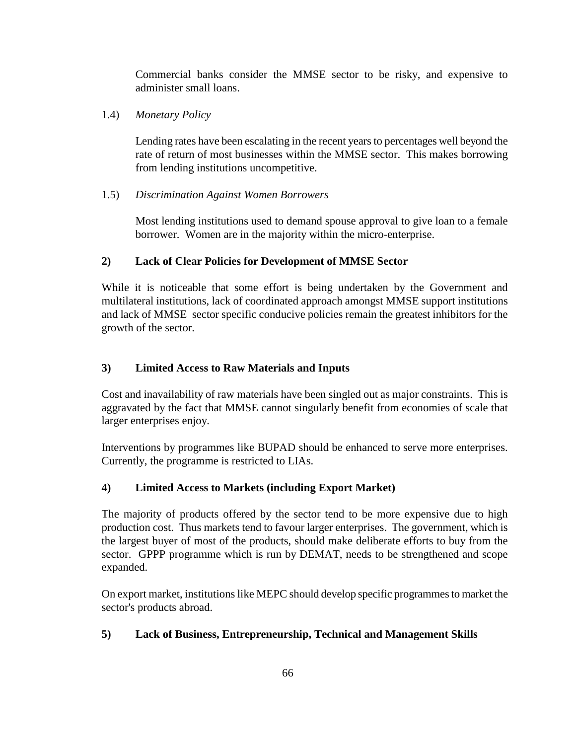Commercial banks consider the MMSE sector to be risky, and expensive to administer small loans.

## 1.4) *Monetary Policy*

Lending rates have been escalating in the recent years to percentages well beyond the rate of return of most businesses within the MMSE sector. This makes borrowing from lending institutions uncompetitive.

## 1.5) *Discrimination Against Women Borrowers*

Most lending institutions used to demand spouse approval to give loan to a female borrower. Women are in the majority within the micro-enterprise.

## **2) Lack of Clear Policies for Development of MMSE Sector**

While it is noticeable that some effort is being undertaken by the Government and multilateral institutions, lack of coordinated approach amongst MMSE support institutions and lack of MMSE sector specific conducive policies remain the greatest inhibitors for the growth of the sector.

# **3) Limited Access to Raw Materials and Inputs**

Cost and inavailability of raw materials have been singled out as major constraints. This is aggravated by the fact that MMSE cannot singularly benefit from economies of scale that larger enterprises enjoy.

Interventions by programmes like BUPAD should be enhanced to serve more enterprises. Currently, the programme is restricted to LIAs.

# **4) Limited Access to Markets (including Export Market)**

The majority of products offered by the sector tend to be more expensive due to high production cost. Thus markets tend to favour larger enterprises. The government, which is the largest buyer of most of the products, should make deliberate efforts to buy from the sector. GPPP programme which is run by DEMAT, needs to be strengthened and scope expanded.

On export market, institutions like MEPC should develop specific programmes to market the sector's products abroad.

## **5) Lack of Business, Entrepreneurship, Technical and Management Skills**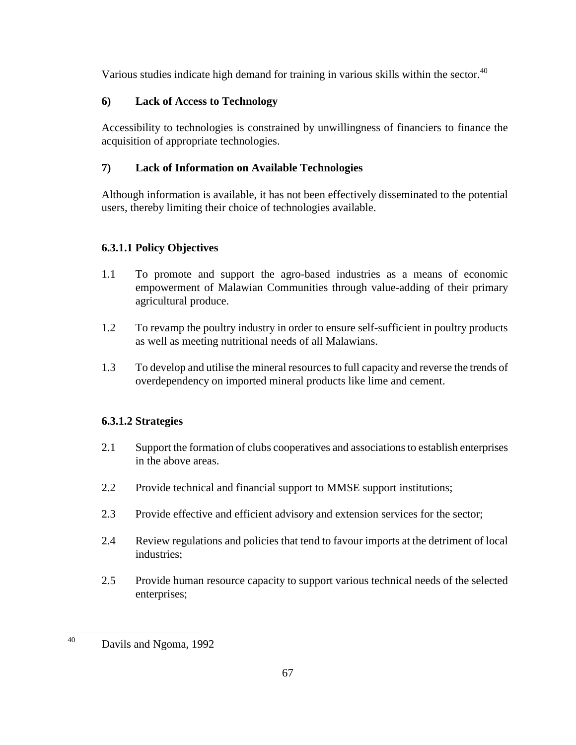Various studies indicate high demand for training in various skills within the sector. $40$ 

# **6) Lack of Access to Technology**

Accessibility to technologies is constrained by unwillingness of financiers to finance the acquisition of appropriate technologies.

# **7) Lack of Information on Available Technologies**

Although information is available, it has not been effectively disseminated to the potential users, thereby limiting their choice of technologies available.

# **6.3.1.1 Policy Objectives**

- 1.1 To promote and support the agro-based industries as a means of economic empowerment of Malawian Communities through value-adding of their primary agricultural produce.
- 1.2 To revamp the poultry industry in order to ensure self-sufficient in poultry products as well as meeting nutritional needs of all Malawians.
- 1.3 To develop and utilise the mineral resources to full capacity and reverse the trends of overdependency on imported mineral products like lime and cement.

# **6.3.1.2 Strategies**

- 2.1 Support the formation of clubs cooperatives and associations to establish enterprises in the above areas.
- 2.2 Provide technical and financial support to MMSE support institutions;
- 2.3 Provide effective and efficient advisory and extension services for the sector;
- 2.4 Review regulations and policies that tend to favour imports at the detriment of local industries;
- 2.5 Provide human resource capacity to support various technical needs of the selected enterprises;

 $\overline{a}$ 40 Davils and Ngoma, 1992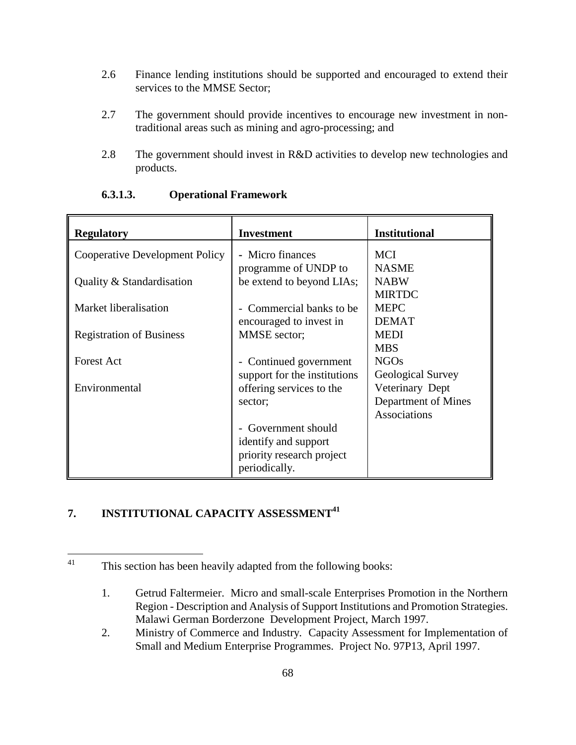- 2.6 Finance lending institutions should be supported and encouraged to extend their services to the MMSE Sector;
- 2.7 The government should provide incentives to encourage new investment in nontraditional areas such as mining and agro-processing; and
- 2.8 The government should invest in R&D activities to develop new technologies and products.

| <b>Regulatory</b>                     | <b>Investment</b>                                                   | <b>Institutional</b>                                                                      |
|---------------------------------------|---------------------------------------------------------------------|-------------------------------------------------------------------------------------------|
| <b>Cooperative Development Policy</b> | - Micro finances<br>programme of UNDP to                            | <b>MCI</b><br><b>NASME</b>                                                                |
| Quality & Standardisation             | be extend to beyond LIAs;                                           | <b>NABW</b><br><b>MIRTDC</b>                                                              |
| Market liberalisation                 | Commercial banks to be.<br>encouraged to invest in                  | <b>MEPC</b><br><b>DEMAT</b>                                                               |
| <b>Registration of Business</b>       | MMSE sector;                                                        | <b>MEDI</b><br><b>MBS</b>                                                                 |
| <b>Forest Act</b>                     | - Continued government                                              | <b>NGOs</b>                                                                               |
| Environmental                         | support for the institutions<br>offering services to the<br>sector: | <b>Geological Survey</b><br>Veterinary Dept<br>Department of Mines<br><b>Associations</b> |
|                                       | Government should                                                   |                                                                                           |
|                                       | identify and support<br>priority research project<br>periodically.  |                                                                                           |

#### **6.3.1.3. Operational Framework**

# **7. INSTITUTIONAL CAPACITY ASSESSMENT<sup>41</sup>**

<sup>41</sup> This section has been heavily adapted from the following books:

<sup>1.</sup> Getrud Faltermeier. Micro and small-scale Enterprises Promotion in the Northern Region - Description and Analysis of Support Institutions and Promotion Strategies. Malawi German Borderzone Development Project, March 1997.

<sup>2.</sup> Ministry of Commerce and Industry. Capacity Assessment for Implementation of Small and Medium Enterprise Programmes. Project No. 97P13, April 1997.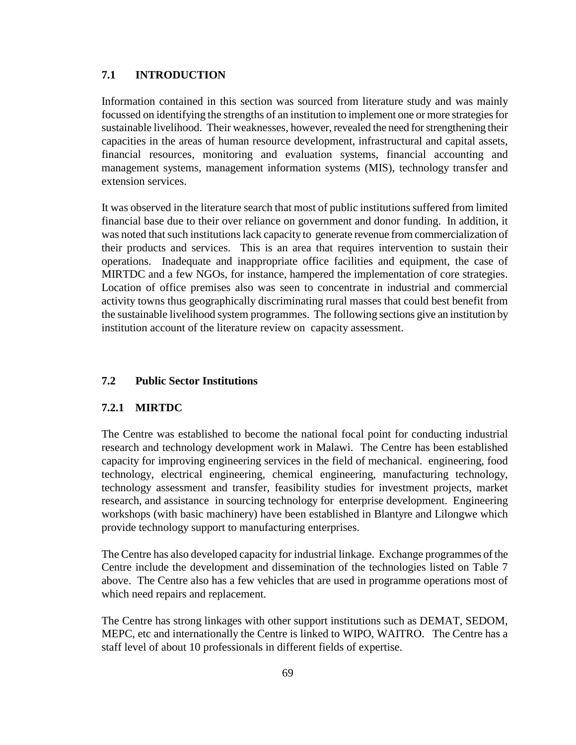## **7.1 INTRODUCTION**

Information contained in this section was sourced from literature study and was mainly focussed on identifying the strengths of an institution to implement one or more strategies for sustainable livelihood. Their weaknesses, however, revealed the need for strengthening their capacities in the areas of human resource development, infrastructural and capital assets, financial resources, monitoring and evaluation systems, financial accounting and management systems, management information systems (MIS), technology transfer and extension services.

It was observed in the literature search that most of public institutions suffered from limited financial base due to their over reliance on government and donor funding. In addition, it was noted that such institutions lack capacity to generate revenue from commercialization of their products and services. This is an area that requires intervention to sustain their operations. Inadequate and inappropriate office facilities and equipment, the case of MIRTDC and a few NGOs, for instance, hampered the implementation of core strategies. Location of office premises also was seen to concentrate in industrial and commercial activity towns thus geographically discriminating rural masses that could best benefit from the sustainable livelihood system programmes. The following sections give an institution by institution account of the literature review on capacity assessment.

#### **7.2 Public Sector Institutions**

#### **7.2.1 MIRTDC**

The Centre was established to become the national focal point for conducting industrial research and technology development work in Malawi. The Centre has been established capacity for improving engineering services in the field of mechanical. engineering, food technology, electrical engineering, chemical engineering, manufacturing technology, technology assessment and transfer, feasibility studies for investment projects, market research, and assistance in sourcing technology for enterprise development. Engineering workshops (with basic machinery) have been established in Blantyre and Lilongwe which provide technology support to manufacturing enterprises.

The Centre has also developed capacity for industrial linkage. Exchange programmes of the Centre include the development and dissemination of the technologies listed on Table 7 above. The Centre also has a few vehicles that are used in programme operations most of which need repairs and replacement.

The Centre has strong linkages with other support institutions such as DEMAT, SEDOM, MEPC, etc and internationally the Centre is linked to WIPO, WAITRO. The Centre has a staff level of about 10 professionals in different fields of expertise.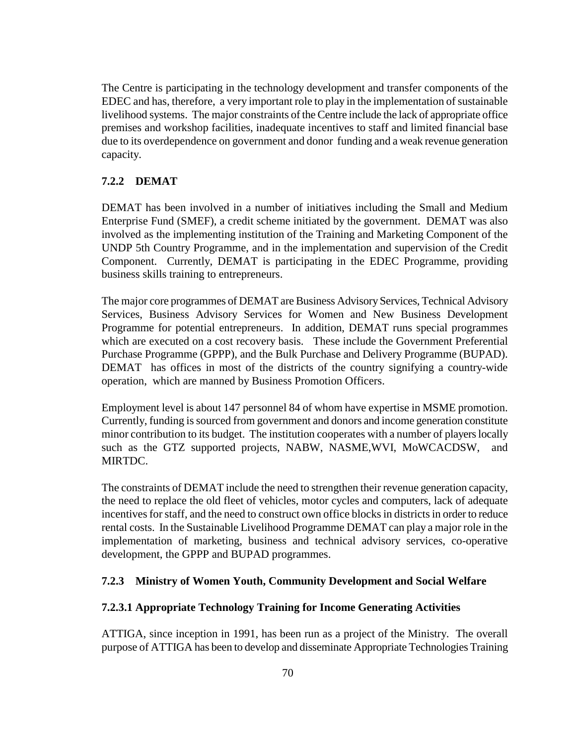The Centre is participating in the technology development and transfer components of the EDEC and has, therefore, a very important role to play in the implementation of sustainable livelihood systems. The major constraints of the Centre include the lack of appropriate office premises and workshop facilities, inadequate incentives to staff and limited financial base due to its overdependence on government and donor funding and a weak revenue generation capacity.

## **7.2.2 DEMAT**

DEMAT has been involved in a number of initiatives including the Small and Medium Enterprise Fund (SMEF), a credit scheme initiated by the government. DEMAT was also involved as the implementing institution of the Training and Marketing Component of the UNDP 5th Country Programme, and in the implementation and supervision of the Credit Component. Currently, DEMAT is participating in the EDEC Programme, providing business skills training to entrepreneurs.

The major core programmes of DEMAT are Business Advisory Services, Technical Advisory Services, Business Advisory Services for Women and New Business Development Programme for potential entrepreneurs. In addition, DEMAT runs special programmes which are executed on a cost recovery basis. These include the Government Preferential Purchase Programme (GPPP), and the Bulk Purchase and Delivery Programme (BUPAD). DEMAT has offices in most of the districts of the country signifying a country-wide operation, which are manned by Business Promotion Officers.

Employment level is about 147 personnel 84 of whom have expertise in MSME promotion. Currently, funding is sourced from government and donors and income generation constitute minor contribution to its budget. The institution cooperates with a number of players locally such as the GTZ supported projects, NABW, NASME,WVI, MoWCACDSW, and MIRTDC.

The constraints of DEMAT include the need to strengthen their revenue generation capacity, the need to replace the old fleet of vehicles, motor cycles and computers, lack of adequate incentives for staff, and the need to construct own office blocks in districts in order to reduce rental costs. In the Sustainable Livelihood Programme DEMAT can play a major role in the implementation of marketing, business and technical advisory services, co-operative development, the GPPP and BUPAD programmes.

#### **7.2.3 Ministry of Women Youth, Community Development and Social Welfare**

#### **7.2.3.1 Appropriate Technology Training for Income Generating Activities**

ATTIGA, since inception in 1991, has been run as a project of the Ministry. The overall purpose of ATTIGA has been to develop and disseminate Appropriate Technologies Training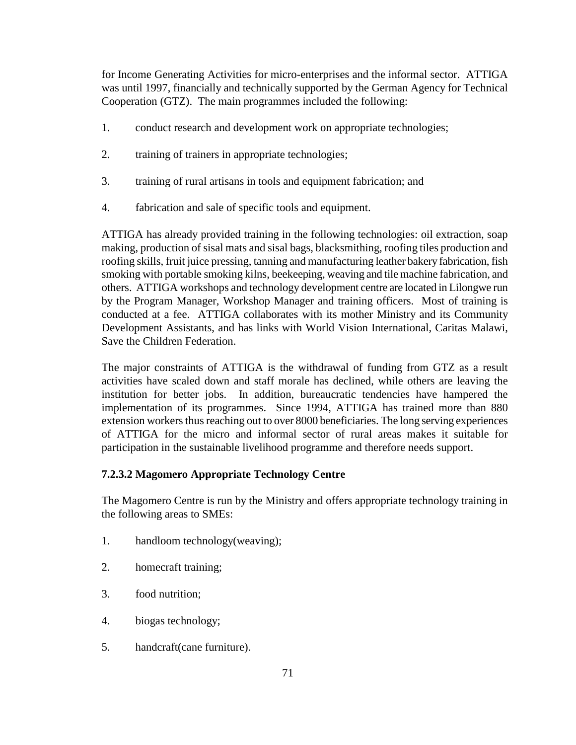for Income Generating Activities for micro-enterprises and the informal sector. ATTIGA was until 1997, financially and technically supported by the German Agency for Technical Cooperation (GTZ). The main programmes included the following:

- 1. conduct research and development work on appropriate technologies;
- 2. training of trainers in appropriate technologies;
- 3. training of rural artisans in tools and equipment fabrication; and
- 4. fabrication and sale of specific tools and equipment.

ATTIGA has already provided training in the following technologies: oil extraction, soap making, production of sisal mats and sisal bags, blacksmithing, roofing tiles production and roofing skills, fruit juice pressing, tanning and manufacturing leather bakery fabrication, fish smoking with portable smoking kilns, beekeeping, weaving and tile machine fabrication, and others. ATTIGA workshops and technology development centre are located in Lilongwe run by the Program Manager, Workshop Manager and training officers. Most of training is conducted at a fee. ATTIGA collaborates with its mother Ministry and its Community Development Assistants, and has links with World Vision International, Caritas Malawi, Save the Children Federation.

The major constraints of ATTIGA is the withdrawal of funding from GTZ as a result activities have scaled down and staff morale has declined, while others are leaving the institution for better jobs. In addition, bureaucratic tendencies have hampered the implementation of its programmes. Since 1994, ATTIGA has trained more than 880 extension workers thus reaching out to over 8000 beneficiaries. The long serving experiences of ATTIGA for the micro and informal sector of rural areas makes it suitable for participation in the sustainable livelihood programme and therefore needs support.

## **7.2.3.2 Magomero Appropriate Technology Centre**

The Magomero Centre is run by the Ministry and offers appropriate technology training in the following areas to SMEs:

- 1. handloom technology(weaving);
- 2. homecraft training;
- 3. food nutrition;
- 4. biogas technology;
- 5. handcraft(cane furniture).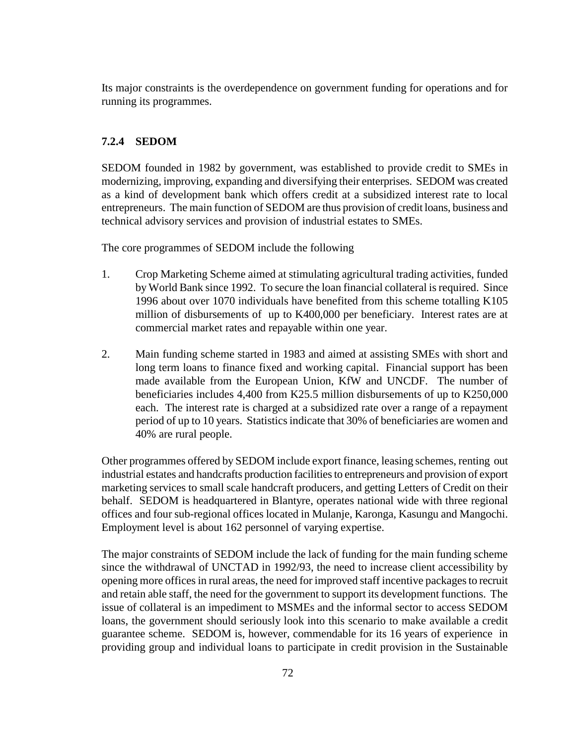Its major constraints is the overdependence on government funding for operations and for running its programmes.

### **7.2.4 SEDOM**

SEDOM founded in 1982 by government, was established to provide credit to SMEs in modernizing, improving, expanding and diversifying their enterprises. SEDOM was created as a kind of development bank which offers credit at a subsidized interest rate to local entrepreneurs. The main function of SEDOM are thus provision of credit loans, business and technical advisory services and provision of industrial estates to SMEs.

The core programmes of SEDOM include the following

- 1. Crop Marketing Scheme aimed at stimulating agricultural trading activities, funded by World Bank since 1992. To secure the loan financial collateral is required. Since 1996 about over 1070 individuals have benefited from this scheme totalling K105 million of disbursements of up to K400,000 per beneficiary. Interest rates are at commercial market rates and repayable within one year.
- 2. Main funding scheme started in 1983 and aimed at assisting SMEs with short and long term loans to finance fixed and working capital. Financial support has been made available from the European Union, KfW and UNCDF. The number of beneficiaries includes 4,400 from K25.5 million disbursements of up to K250,000 each. The interest rate is charged at a subsidized rate over a range of a repayment period of up to 10 years. Statistics indicate that 30% of beneficiaries are women and 40% are rural people.

Other programmes offered by SEDOM include export finance, leasing schemes, renting out industrial estates and handcrafts production facilities to entrepreneurs and provision of export marketing services to small scale handcraft producers, and getting Letters of Credit on their behalf. SEDOM is headquartered in Blantyre, operates national wide with three regional offices and four sub-regional offices located in Mulanje, Karonga, Kasungu and Mangochi. Employment level is about 162 personnel of varying expertise.

The major constraints of SEDOM include the lack of funding for the main funding scheme since the withdrawal of UNCTAD in 1992/93, the need to increase client accessibility by opening more offices in rural areas, the need for improved staff incentive packages to recruit and retain able staff, the need for the government to support its development functions. The issue of collateral is an impediment to MSMEs and the informal sector to access SEDOM loans, the government should seriously look into this scenario to make available a credit guarantee scheme. SEDOM is, however, commendable for its 16 years of experience in providing group and individual loans to participate in credit provision in the Sustainable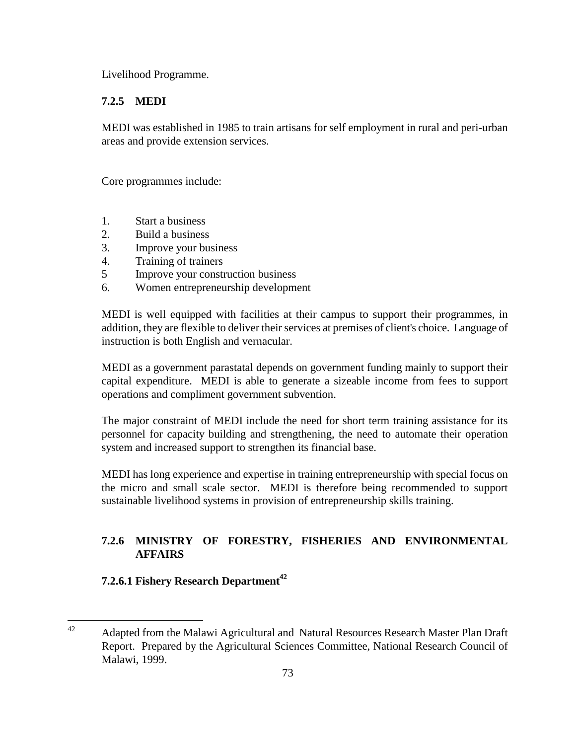Livelihood Programme.

### **7.2.5 MEDI**

MEDI was established in 1985 to train artisans for self employment in rural and peri-urban areas and provide extension services.

Core programmes include:

- 1. Start a business
- 2. Build a business
- 3. Improve your business
- 4. Training of trainers
- 5 Improve your construction business
- 6. Women entrepreneurship development

MEDI is well equipped with facilities at their campus to support their programmes, in addition, they are flexible to deliver their services at premises of client's choice. Language of instruction is both English and vernacular.

MEDI as a government parastatal depends on government funding mainly to support their capital expenditure. MEDI is able to generate a sizeable income from fees to support operations and compliment government subvention.

The major constraint of MEDI include the need for short term training assistance for its personnel for capacity building and strengthening, the need to automate their operation system and increased support to strengthen its financial base.

MEDI has long experience and expertise in training entrepreneurship with special focus on the micro and small scale sector. MEDI is therefore being recommended to support sustainable livelihood systems in provision of entrepreneurship skills training.

## **7.2.6 MINISTRY OF FORESTRY, FISHERIES AND ENVIRONMENTAL AFFAIRS**

## **7.2.6.1 Fishery Research Department**<sup>42</sup>

 $42$ 42 Adapted from the Malawi Agricultural and Natural Resources Research Master Plan Draft Report. Prepared by the Agricultural Sciences Committee, National Research Council of Malawi, 1999.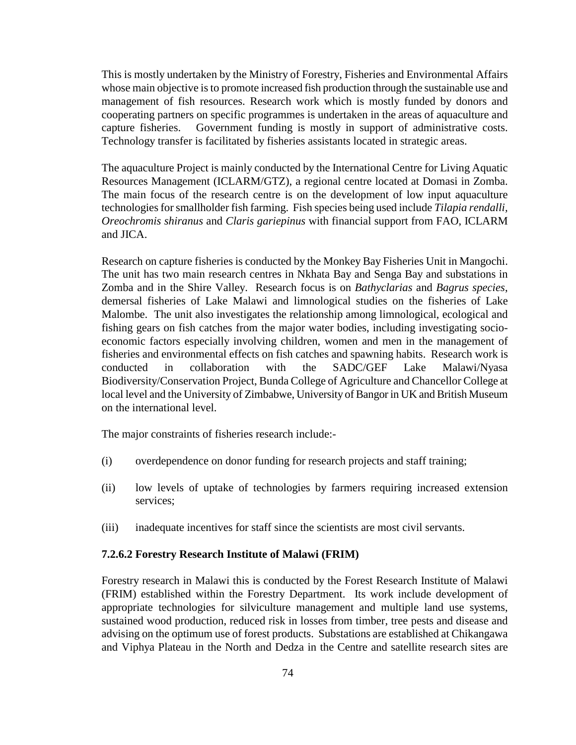This is mostly undertaken by the Ministry of Forestry, Fisheries and Environmental Affairs whose main objective is to promote increased fish production through the sustainable use and management of fish resources. Research work which is mostly funded by donors and cooperating partners on specific programmes is undertaken in the areas of aquaculture and capture fisheries. Government funding is mostly in support of administrative costs. Technology transfer is facilitated by fisheries assistants located in strategic areas.

The aquaculture Project is mainly conducted by the International Centre for Living Aquatic Resources Management (ICLARM/GTZ), a regional centre located at Domasi in Zomba. The main focus of the research centre is on the development of low input aquaculture technologies for smallholder fish farming. Fish species being used include *Tilapia rendalli, Oreochromis shiranus* and *Claris gariepinus* with financial support from FAO, ICLARM and JICA.

Research on capture fisheries is conducted by the Monkey Bay Fisheries Unit in Mangochi. The unit has two main research centres in Nkhata Bay and Senga Bay and substations in Zomba and in the Shire Valley. Research focus is on *Bathyclarias* and *Bagrus species*, demersal fisheries of Lake Malawi and limnological studies on the fisheries of Lake Malombe. The unit also investigates the relationship among limnological, ecological and fishing gears on fish catches from the major water bodies, including investigating socioeconomic factors especially involving children, women and men in the management of fisheries and environmental effects on fish catches and spawning habits. Research work is conducted in collaboration with the SADC/GEF Lake Malawi/Nyasa Biodiversity/Conservation Project, Bunda College of Agriculture and Chancellor College at local level and the University of Zimbabwe, University of Bangor in UK and British Museum on the international level.

The major constraints of fisheries research include:-

- (i) overdependence on donor funding for research projects and staff training;
- (ii) low levels of uptake of technologies by farmers requiring increased extension services;
- (iii) inadequate incentives for staff since the scientists are most civil servants.

#### **7.2.6.2 Forestry Research Institute of Malawi (FRIM)**

Forestry research in Malawi this is conducted by the Forest Research Institute of Malawi (FRIM) established within the Forestry Department. Its work include development of appropriate technologies for silviculture management and multiple land use systems, sustained wood production, reduced risk in losses from timber, tree pests and disease and advising on the optimum use of forest products. Substations are established at Chikangawa and Viphya Plateau in the North and Dedza in the Centre and satellite research sites are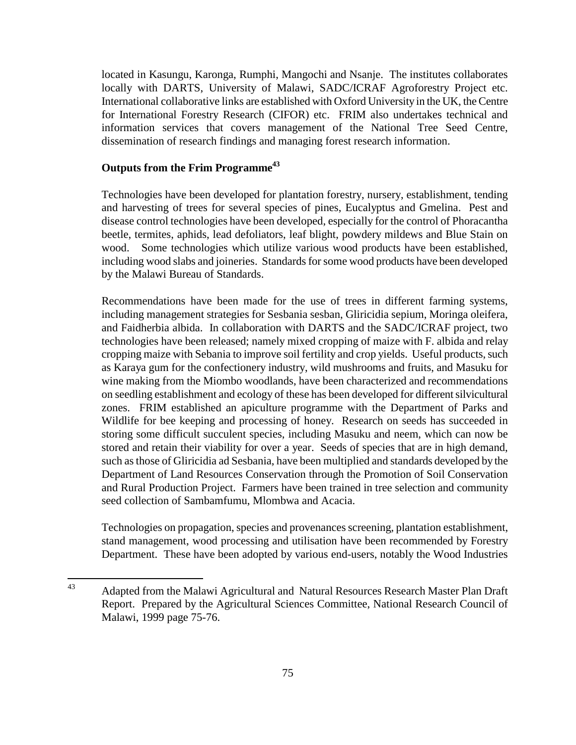located in Kasungu, Karonga, Rumphi, Mangochi and Nsanje. The institutes collaborates locally with DARTS, University of Malawi, SADC/ICRAF Agroforestry Project etc. International collaborative links are established with Oxford University in the UK, the Centre for International Forestry Research (CIFOR) etc. FRIM also undertakes technical and information services that covers management of the National Tree Seed Centre, dissemination of research findings and managing forest research information.

### **Outputs from the Frim Programme43**

Technologies have been developed for plantation forestry, nursery, establishment, tending and harvesting of trees for several species of pines, Eucalyptus and Gmelina. Pest and disease control technologies have been developed, especially for the control of Phoracantha beetle, termites, aphids, lead defoliators, leaf blight, powdery mildews and Blue Stain on wood. Some technologies which utilize various wood products have been established, including wood slabs and joineries. Standards for some wood products have been developed by the Malawi Bureau of Standards.

Recommendations have been made for the use of trees in different farming systems, including management strategies for Sesbania sesban, Gliricidia sepium, Moringa oleifera, and Faidherbia albida. In collaboration with DARTS and the SADC/ICRAF project, two technologies have been released; namely mixed cropping of maize with F. albida and relay cropping maize with Sebania to improve soil fertility and crop yields. Useful products, such as Karaya gum for the confectionery industry, wild mushrooms and fruits, and Masuku for wine making from the Miombo woodlands, have been characterized and recommendations on seedling establishment and ecology of these has been developed for different silvicultural zones. FRIM established an apiculture programme with the Department of Parks and Wildlife for bee keeping and processing of honey. Research on seeds has succeeded in storing some difficult succulent species, including Masuku and neem, which can now be stored and retain their viability for over a year. Seeds of species that are in high demand, such as those of Gliricidia ad Sesbania, have been multiplied and standards developed by the Department of Land Resources Conservation through the Promotion of Soil Conservation and Rural Production Project. Farmers have been trained in tree selection and community seed collection of Sambamfumu, Mlombwa and Acacia.

Technologies on propagation, species and provenances screening, plantation establishment, stand management, wood processing and utilisation have been recommended by Forestry Department. These have been adopted by various end-users, notably the Wood Industries

<sup>43</sup> Adapted from the Malawi Agricultural and Natural Resources Research Master Plan Draft Report. Prepared by the Agricultural Sciences Committee, National Research Council of Malawi, 1999 page 75-76.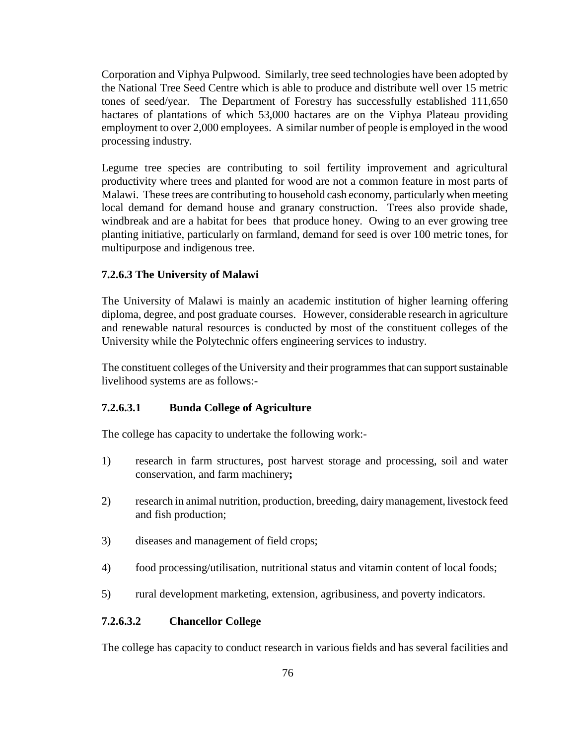Corporation and Viphya Pulpwood. Similarly, tree seed technologies have been adopted by the National Tree Seed Centre which is able to produce and distribute well over 15 metric tones of seed/year. The Department of Forestry has successfully established 111,650 hactares of plantations of which 53,000 hactares are on the Viphya Plateau providing employment to over 2,000 employees. A similar number of people is employed in the wood processing industry.

Legume tree species are contributing to soil fertility improvement and agricultural productivity where trees and planted for wood are not a common feature in most parts of Malawi. These trees are contributing to household cash economy, particularly when meeting local demand for demand house and granary construction. Trees also provide shade, windbreak and are a habitat for bees that produce honey. Owing to an ever growing tree planting initiative, particularly on farmland, demand for seed is over 100 metric tones, for multipurpose and indigenous tree.

### **7.2.6.3 The University of Malawi**

The University of Malawi is mainly an academic institution of higher learning offering diploma, degree, and post graduate courses. However, considerable research in agriculture and renewable natural resources is conducted by most of the constituent colleges of the University while the Polytechnic offers engineering services to industry.

The constituent colleges of the University and their programmes that can support sustainable livelihood systems are as follows:-

#### **7.2.6.3.1 Bunda College of Agriculture**

The college has capacity to undertake the following work:-

- 1) research in farm structures, post harvest storage and processing, soil and water conservation, and farm machinery**;**
- 2) research in animal nutrition, production, breeding, dairy management, livestock feed and fish production;
- 3) diseases and management of field crops;
- 4) food processing/utilisation, nutritional status and vitamin content of local foods;
- 5) rural development marketing, extension, agribusiness, and poverty indicators.

#### **7.2.6.3.2 Chancellor College**

The college has capacity to conduct research in various fields and has several facilities and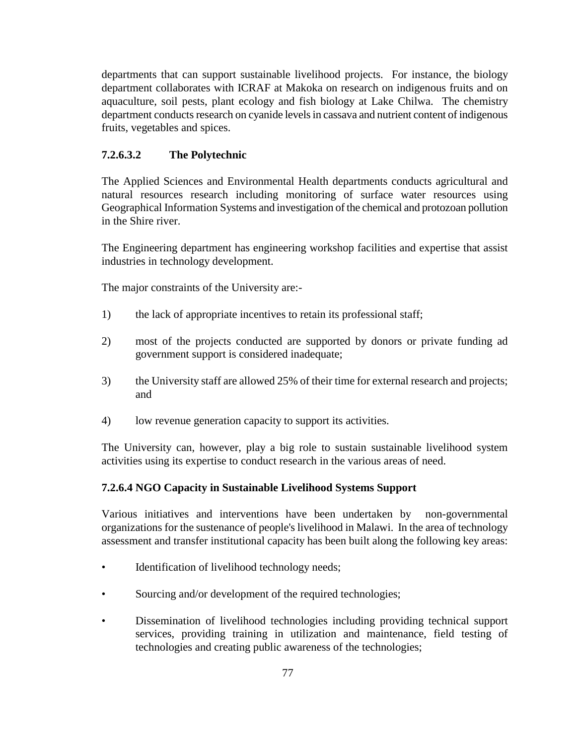departments that can support sustainable livelihood projects. For instance, the biology department collaborates with ICRAF at Makoka on research on indigenous fruits and on aquaculture, soil pests, plant ecology and fish biology at Lake Chilwa. The chemistry department conducts research on cyanide levels in cassava and nutrient content of indigenous fruits, vegetables and spices.

### **7.2.6.3.2 The Polytechnic**

The Applied Sciences and Environmental Health departments conducts agricultural and natural resources research including monitoring of surface water resources using Geographical Information Systems and investigation of the chemical and protozoan pollution in the Shire river.

The Engineering department has engineering workshop facilities and expertise that assist industries in technology development.

The major constraints of the University are:-

- 1) the lack of appropriate incentives to retain its professional staff;
- 2) most of the projects conducted are supported by donors or private funding ad government support is considered inadequate;
- 3) the University staff are allowed 25% of their time for external research and projects; and
- 4) low revenue generation capacity to support its activities.

The University can, however, play a big role to sustain sustainable livelihood system activities using its expertise to conduct research in the various areas of need.

### **7.2.6.4 NGO Capacity in Sustainable Livelihood Systems Support**

Various initiatives and interventions have been undertaken by non-governmental organizations for the sustenance of people's livelihood in Malawi. In the area of technology assessment and transfer institutional capacity has been built along the following key areas:

- Identification of livelihood technology needs;
- Sourcing and/or development of the required technologies;
- Dissemination of livelihood technologies including providing technical support services, providing training in utilization and maintenance, field testing of technologies and creating public awareness of the technologies;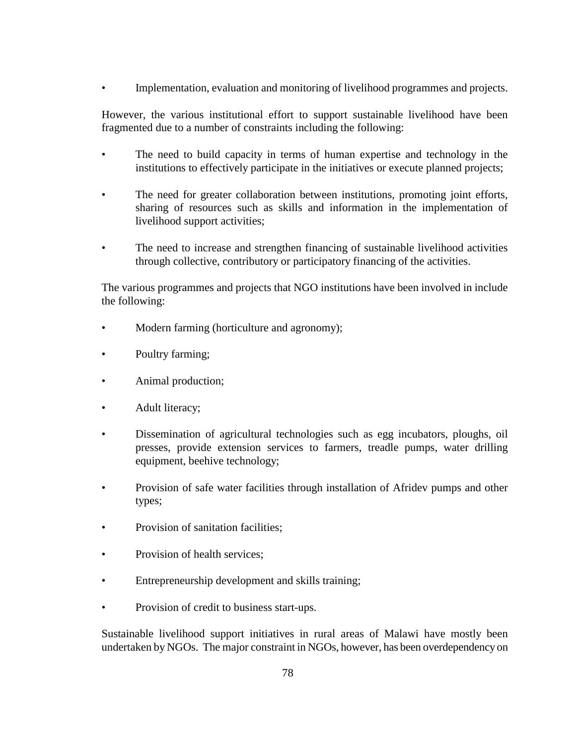• Implementation, evaluation and monitoring of livelihood programmes and projects.

However, the various institutional effort to support sustainable livelihood have been fragmented due to a number of constraints including the following:

- The need to build capacity in terms of human expertise and technology in the institutions to effectively participate in the initiatives or execute planned projects;
- The need for greater collaboration between institutions, promoting joint efforts, sharing of resources such as skills and information in the implementation of livelihood support activities;
- The need to increase and strengthen financing of sustainable livelihood activities through collective, contributory or participatory financing of the activities.

The various programmes and projects that NGO institutions have been involved in include the following:

- Modern farming (horticulture and agronomy);
- Poultry farming;
- Animal production;
- Adult literacy;
- Dissemination of agricultural technologies such as egg incubators, ploughs, oil presses, provide extension services to farmers, treadle pumps, water drilling equipment, beehive technology;
- Provision of safe water facilities through installation of Afridev pumps and other types;
- Provision of sanitation facilities:
- Provision of health services;
- Entrepreneurship development and skills training;
- Provision of credit to business start-ups.

Sustainable livelihood support initiatives in rural areas of Malawi have mostly been undertaken by NGOs. The major constraint in NGOs, however, has been overdependency on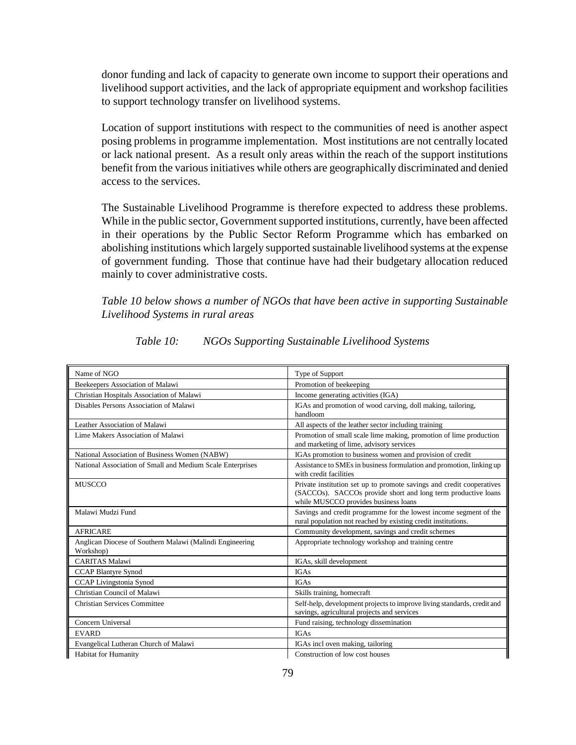donor funding and lack of capacity to generate own income to support their operations and livelihood support activities, and the lack of appropriate equipment and workshop facilities to support technology transfer on livelihood systems.

Location of support institutions with respect to the communities of need is another aspect posing problems in programme implementation. Most institutions are not centrally located or lack national present. As a result only areas within the reach of the support institutions benefit from the various initiatives while others are geographically discriminated and denied access to the services.

The Sustainable Livelihood Programme is therefore expected to address these problems. While in the public sector, Government supported institutions, currently, have been affected in their operations by the Public Sector Reform Programme which has embarked on abolishing institutions which largely supported sustainable livelihood systems at the expense of government funding. Those that continue have had their budgetary allocation reduced mainly to cover administrative costs.

*Table 10 below shows a number of NGOs that have been active in supporting Sustainable Livelihood Systems in rural areas*

| Name of NGO                                                           | Type of Support                                                                                                                                                                |  |  |
|-----------------------------------------------------------------------|--------------------------------------------------------------------------------------------------------------------------------------------------------------------------------|--|--|
| Beekeepers Association of Malawi                                      | Promotion of beekeeping                                                                                                                                                        |  |  |
| Christian Hospitals Association of Malawi                             | Income generating activities (IGA)                                                                                                                                             |  |  |
| Disables Persons Association of Malawi                                | IGAs and promotion of wood carving, doll making, tailoring,<br>handloom                                                                                                        |  |  |
| Leather Association of Malawi                                         | All aspects of the leather sector including training                                                                                                                           |  |  |
| Lime Makers Association of Malawi                                     | Promotion of small scale lime making, promotion of lime production<br>and marketing of lime, advisory services                                                                 |  |  |
| National Association of Business Women (NABW)                         | IGAs promotion to business women and provision of credit                                                                                                                       |  |  |
| National Association of Small and Medium Scale Enterprises            | Assistance to SMEs in business formulation and promotion, linking up<br>with credit facilities                                                                                 |  |  |
| <b>MUSCCO</b>                                                         | Private institution set up to promote savings and credit cooperatives<br>(SACCOs). SACCOs provide short and long term productive loans<br>while MUSCCO provides business loans |  |  |
| Malawi Mudzi Fund                                                     | Savings and credit programme for the lowest income segment of the<br>rural population not reached by existing credit institutions.                                             |  |  |
| <b>AFRICARE</b>                                                       | Community development, savings and credit schemes                                                                                                                              |  |  |
| Anglican Diocese of Southern Malawi (Malindi Engineering<br>Workshop) | Appropriate technology workshop and training centre                                                                                                                            |  |  |
| <b>CARITAS Malawi</b>                                                 | IGAs, skill development                                                                                                                                                        |  |  |
| <b>CCAP Blantyre Synod</b>                                            | <b>IGAs</b>                                                                                                                                                                    |  |  |
| CCAP Livingstonia Synod                                               | <b>IGAs</b>                                                                                                                                                                    |  |  |
| Christian Council of Malawi                                           | Skills training, homecraft                                                                                                                                                     |  |  |
| <b>Christian Services Committee</b>                                   | Self-help, development projects to improve living standards, credit and<br>savings, agricultural projects and services                                                         |  |  |
| Concern Universal                                                     | Fund raising, technology dissemination                                                                                                                                         |  |  |
| <b>EVARD</b>                                                          | <b>IGAs</b>                                                                                                                                                                    |  |  |
| Evangelical Lutheran Church of Malawi                                 | IGAs incl oven making, tailoring                                                                                                                                               |  |  |
| <b>Habitat for Humanity</b>                                           | Construction of low cost houses                                                                                                                                                |  |  |

*Table 10: NGOs Supporting Sustainable Livelihood Systems*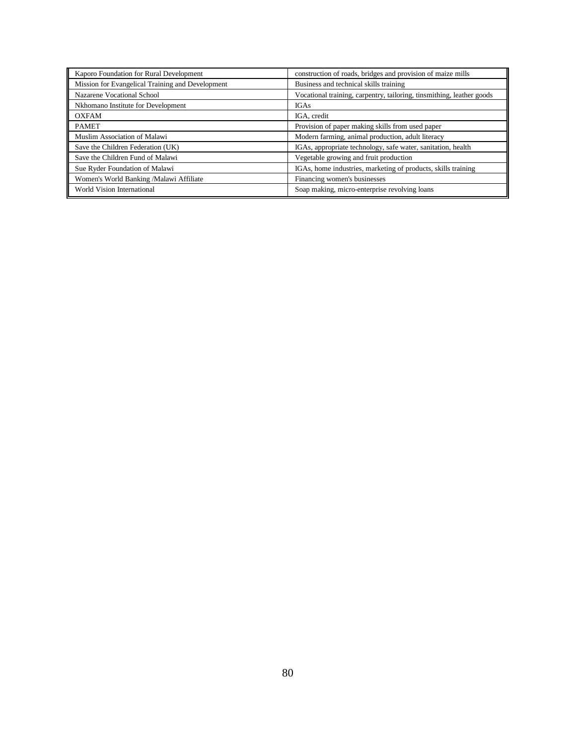| Kaporo Foundation for Rural Development          | construction of roads, bridges and provision of maize mills           |  |
|--------------------------------------------------|-----------------------------------------------------------------------|--|
| Mission for Evangelical Training and Development | Business and technical skills training                                |  |
| Nazarene Vocational School                       | Vocational training, carpentry, tailoring, tinsmithing, leather goods |  |
| Nkhomano Institute for Development               | <b>IGAs</b>                                                           |  |
| <b>OXFAM</b>                                     | IGA, credit                                                           |  |
| <b>PAMET</b>                                     | Provision of paper making skills from used paper                      |  |
| Muslim Association of Malawi                     | Modern farming, animal production, adult literacy                     |  |
| Save the Children Federation (UK)                | IGAs, appropriate technology, safe water, sanitation, health          |  |
| Save the Children Fund of Malawi                 | Vegetable growing and fruit production                                |  |
| Sue Ryder Foundation of Malawi                   | IGAs, home industries, marketing of products, skills training         |  |
| Women's World Banking /Malawi Affiliate          | Financing women's businesses                                          |  |
| World Vision International                       | Soap making, micro-enterprise revolving loans                         |  |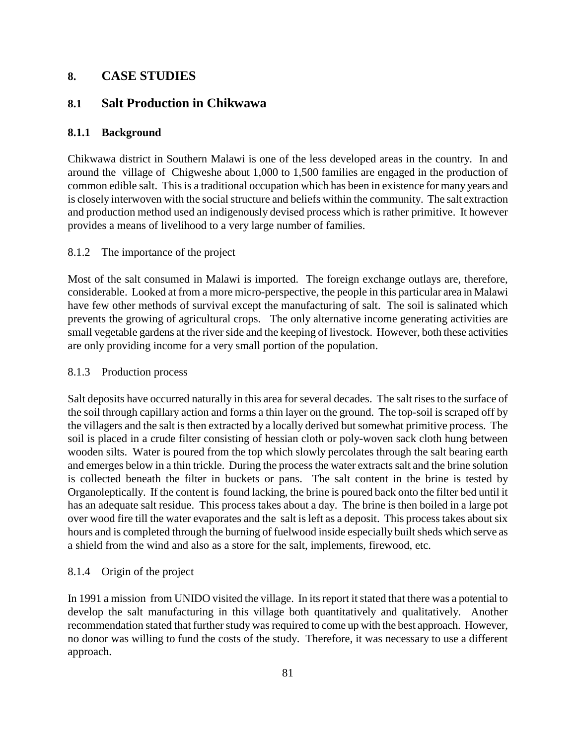# **8. CASE STUDIES**

# **8.1 Salt Production in Chikwawa**

## **8.1.1 Background**

Chikwawa district in Southern Malawi is one of the less developed areas in the country. In and around the village of Chigweshe about 1,000 to 1,500 families are engaged in the production of common edible salt. This is a traditional occupation which has been in existence for many years and is closely interwoven with the social structure and beliefs within the community. The salt extraction and production method used an indigenously devised process which is rather primitive. It however provides a means of livelihood to a very large number of families.

## 8.1.2 The importance of the project

Most of the salt consumed in Malawi is imported. The foreign exchange outlays are, therefore, considerable. Looked at from a more micro-perspective, the people in this particular area in Malawi have few other methods of survival except the manufacturing of salt. The soil is salinated which prevents the growing of agricultural crops. The only alternative income generating activities are small vegetable gardens at the river side and the keeping of livestock. However, both these activities are only providing income for a very small portion of the population.

### 8.1.3 Production process

Salt deposits have occurred naturally in this area for several decades. The salt rises to the surface of the soil through capillary action and forms a thin layer on the ground. The top-soil is scraped off by the villagers and the salt is then extracted by a locally derived but somewhat primitive process. The soil is placed in a crude filter consisting of hessian cloth or poly-woven sack cloth hung between wooden silts. Water is poured from the top which slowly percolates through the salt bearing earth and emerges below in a thin trickle. During the process the water extracts salt and the brine solution is collected beneath the filter in buckets or pans. The salt content in the brine is tested by Organoleptically. If the content is found lacking, the brine is poured back onto the filter bed until it has an adequate salt residue. This process takes about a day. The brine is then boiled in a large pot over wood fire till the water evaporates and the salt is left as a deposit. This process takes about six hours and is completed through the burning of fuelwood inside especially built sheds which serve as a shield from the wind and also as a store for the salt, implements, firewood, etc.

## 8.1.4 Origin of the project

In 1991 a mission from UNIDO visited the village. In its report it stated that there was a potential to develop the salt manufacturing in this village both quantitatively and qualitatively. Another recommendation stated that further study was required to come up with the best approach. However, no donor was willing to fund the costs of the study. Therefore, it was necessary to use a different approach.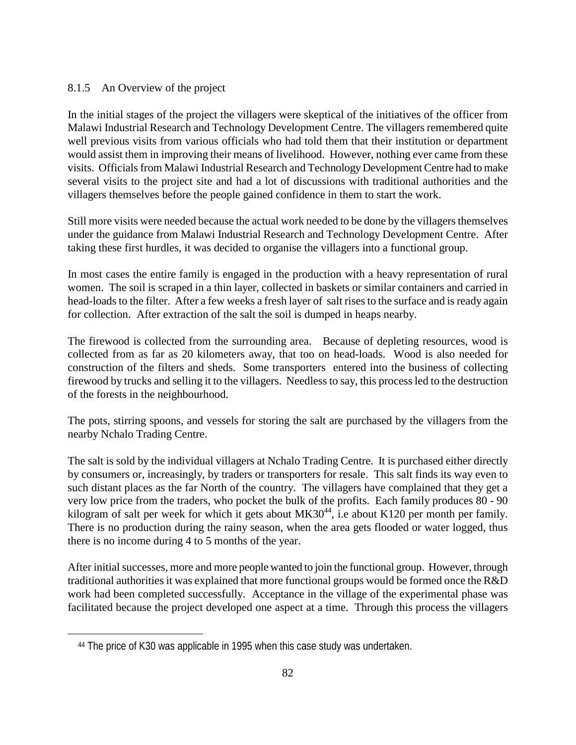### 8.1.5 An Overview of the project

In the initial stages of the project the villagers were skeptical of the initiatives of the officer from Malawi Industrial Research and Technology Development Centre. The villagers remembered quite well previous visits from various officials who had told them that their institution or department would assist them in improving their means of livelihood. However, nothing ever came from these visits. Officials from Malawi Industrial Research and Technology Development Centre had to make several visits to the project site and had a lot of discussions with traditional authorities and the villagers themselves before the people gained confidence in them to start the work.

Still more visits were needed because the actual work needed to be done by the villagers themselves under the guidance from Malawi Industrial Research and Technology Development Centre. After taking these first hurdles, it was decided to organise the villagers into a functional group.

In most cases the entire family is engaged in the production with a heavy representation of rural women. The soil is scraped in a thin layer, collected in baskets or similar containers and carried in head-loads to the filter. After a few weeks a fresh layer of salt rises to the surface and is ready again for collection. After extraction of the salt the soil is dumped in heaps nearby.

The firewood is collected from the surrounding area. Because of depleting resources, wood is collected from as far as 20 kilometers away, that too on head-loads. Wood is also needed for construction of the filters and sheds. Some transporters entered into the business of collecting firewood by trucks and selling it to the villagers. Needless to say, this process led to the destruction of the forests in the neighbourhood.

The pots, stirring spoons, and vessels for storing the salt are purchased by the villagers from the nearby Nchalo Trading Centre.

The salt is sold by the individual villagers at Nchalo Trading Centre. It is purchased either directly by consumers or, increasingly, by traders or transporters for resale. This salt finds its way even to such distant places as the far North of the country. The villagers have complained that they get a very low price from the traders, who pocket the bulk of the profits. Each family produces 80 - 90 kilogram of salt per week for which it gets about  $MK30^{44}$ , i.e about K120 per month per family. There is no production during the rainy season, when the area gets flooded or water logged, thus there is no income during 4 to 5 months of the year.

After initial successes, more and more people wanted to join the functional group. However, through traditional authorities it was explained that more functional groups would be formed once the R&D work had been completed successfully. Acceptance in the village of the experimental phase was facilitated because the project developed one aspect at a time. Through this process the villagers

 $\overline{a}$ 

 <sup>44</sup> The price of K30 was applicable in 1995 when this case study was undertaken.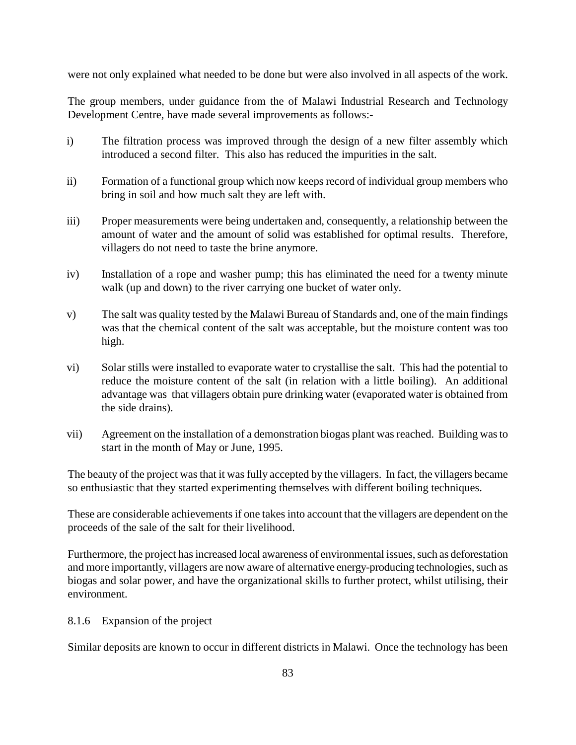were not only explained what needed to be done but were also involved in all aspects of the work.

The group members, under guidance from the of Malawi Industrial Research and Technology Development Centre, have made several improvements as follows:-

- i) The filtration process was improved through the design of a new filter assembly which introduced a second filter. This also has reduced the impurities in the salt.
- ii) Formation of a functional group which now keeps record of individual group members who bring in soil and how much salt they are left with.
- iii) Proper measurements were being undertaken and, consequently, a relationship between the amount of water and the amount of solid was established for optimal results. Therefore, villagers do not need to taste the brine anymore.
- iv) Installation of a rope and washer pump; this has eliminated the need for a twenty minute walk (up and down) to the river carrying one bucket of water only.
- v) The salt was quality tested by the Malawi Bureau of Standards and, one of the main findings was that the chemical content of the salt was acceptable, but the moisture content was too high.
- vi) Solar stills were installed to evaporate water to crystallise the salt. This had the potential to reduce the moisture content of the salt (in relation with a little boiling). An additional advantage was that villagers obtain pure drinking water (evaporated water is obtained from the side drains).
- vii) Agreement on the installation of a demonstration biogas plant was reached. Building was to start in the month of May or June, 1995.

The beauty of the project was that it was fully accepted by the villagers. In fact, the villagers became so enthusiastic that they started experimenting themselves with different boiling techniques.

These are considerable achievements if one takes into account that the villagers are dependent on the proceeds of the sale of the salt for their livelihood.

Furthermore, the project has increased local awareness of environmental issues, such as deforestation and more importantly, villagers are now aware of alternative energy-producing technologies, such as biogas and solar power, and have the organizational skills to further protect, whilst utilising, their environment.

8.1.6 Expansion of the project

Similar deposits are known to occur in different districts in Malawi. Once the technology has been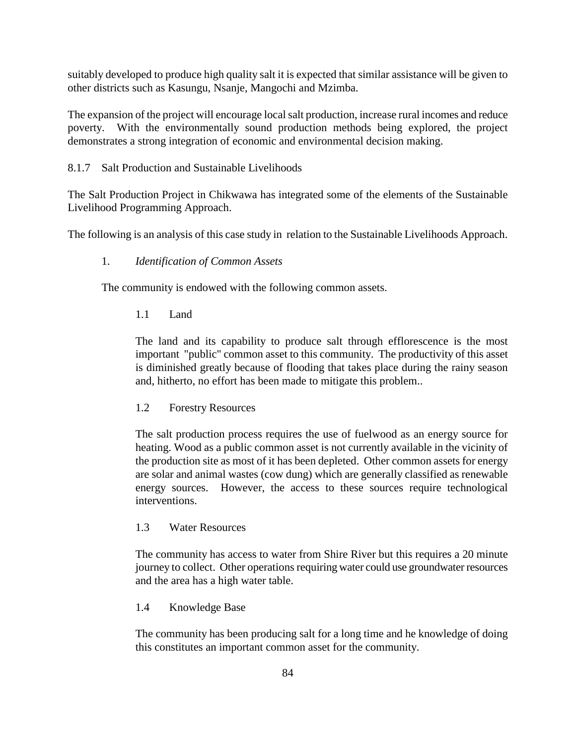suitably developed to produce high quality salt it is expected that similar assistance will be given to other districts such as Kasungu, Nsanje, Mangochi and Mzimba.

The expansion of the project will encourage local salt production, increase rural incomes and reduce poverty. With the environmentally sound production methods being explored, the project demonstrates a strong integration of economic and environmental decision making.

### 8.1.7 Salt Production and Sustainable Livelihoods

The Salt Production Project in Chikwawa has integrated some of the elements of the Sustainable Livelihood Programming Approach.

The following is an analysis of this case study in relation to the Sustainable Livelihoods Approach.

### 1. *Identification of Common Assets*

The community is endowed with the following common assets.

### 1.1 Land

The land and its capability to produce salt through efflorescence is the most important "public" common asset to this community. The productivity of this asset is diminished greatly because of flooding that takes place during the rainy season and, hitherto, no effort has been made to mitigate this problem..

### 1.2 Forestry Resources

The salt production process requires the use of fuelwood as an energy source for heating. Wood as a public common asset is not currently available in the vicinity of the production site as most of it has been depleted. Other common assets for energy are solar and animal wastes (cow dung) which are generally classified as renewable energy sources. However, the access to these sources require technological interventions.

### 1.3 Water Resources

The community has access to water from Shire River but this requires a 20 minute journey to collect. Other operations requiring water could use groundwater resources and the area has a high water table.

### 1.4 Knowledge Base

The community has been producing salt for a long time and he knowledge of doing this constitutes an important common asset for the community.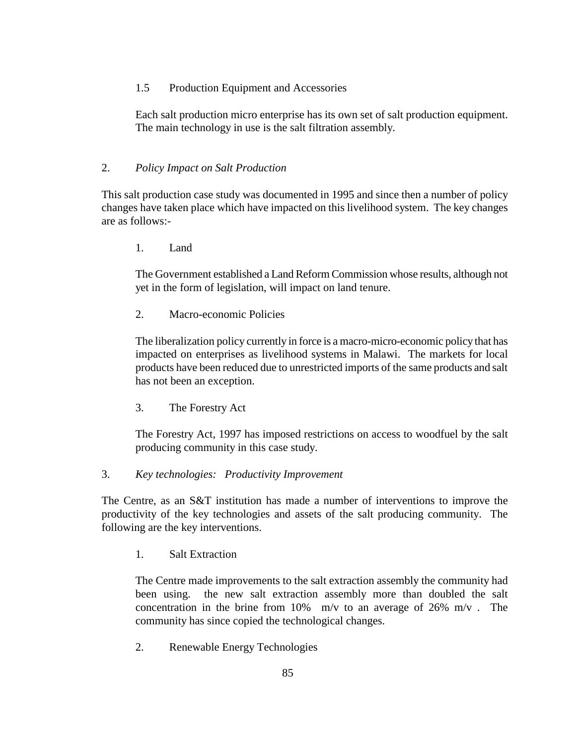### 1.5 Production Equipment and Accessories

Each salt production micro enterprise has its own set of salt production equipment. The main technology in use is the salt filtration assembly.

### 2. *Policy Impact on Salt Production*

This salt production case study was documented in 1995 and since then a number of policy changes have taken place which have impacted on this livelihood system. The key changes are as follows:-

1. Land

The Government established a Land Reform Commission whose results, although not yet in the form of legislation, will impact on land tenure.

2. Macro-economic Policies

The liberalization policy currently in force is a macro-micro-economic policy that has impacted on enterprises as livelihood systems in Malawi. The markets for local products have been reduced due to unrestricted imports of the same products and salt has not been an exception.

3. The Forestry Act

The Forestry Act, 1997 has imposed restrictions on access to woodfuel by the salt producing community in this case study.

3. *Key technologies: Productivity Improvement* 

The Centre, as an S&T institution has made a number of interventions to improve the productivity of the key technologies and assets of the salt producing community. The following are the key interventions.

1. Salt Extraction

The Centre made improvements to the salt extraction assembly the community had been using. the new salt extraction assembly more than doubled the salt concentration in the brine from 10% m/v to an average of 26% m/v. The community has since copied the technological changes.

2. Renewable Energy Technologies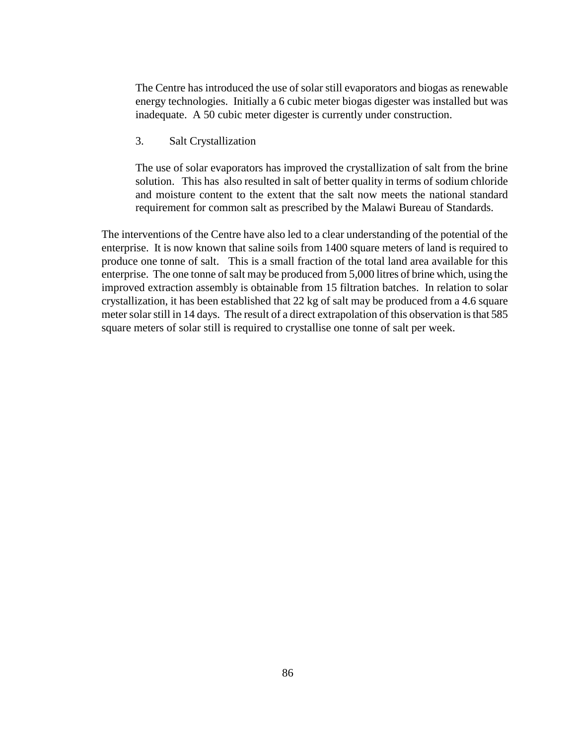The Centre has introduced the use of solar still evaporators and biogas as renewable energy technologies. Initially a 6 cubic meter biogas digester was installed but was inadequate. A 50 cubic meter digester is currently under construction.

3. Salt Crystallization

The use of solar evaporators has improved the crystallization of salt from the brine solution. This has also resulted in salt of better quality in terms of sodium chloride and moisture content to the extent that the salt now meets the national standard requirement for common salt as prescribed by the Malawi Bureau of Standards.

The interventions of the Centre have also led to a clear understanding of the potential of the enterprise. It is now known that saline soils from 1400 square meters of land is required to produce one tonne of salt. This is a small fraction of the total land area available for this enterprise. The one tonne of salt may be produced from 5,000 litres of brine which, using the improved extraction assembly is obtainable from 15 filtration batches. In relation to solar crystallization, it has been established that 22 kg of salt may be produced from a 4.6 square meter solar still in 14 days. The result of a direct extrapolation of this observation is that 585 square meters of solar still is required to crystallise one tonne of salt per week.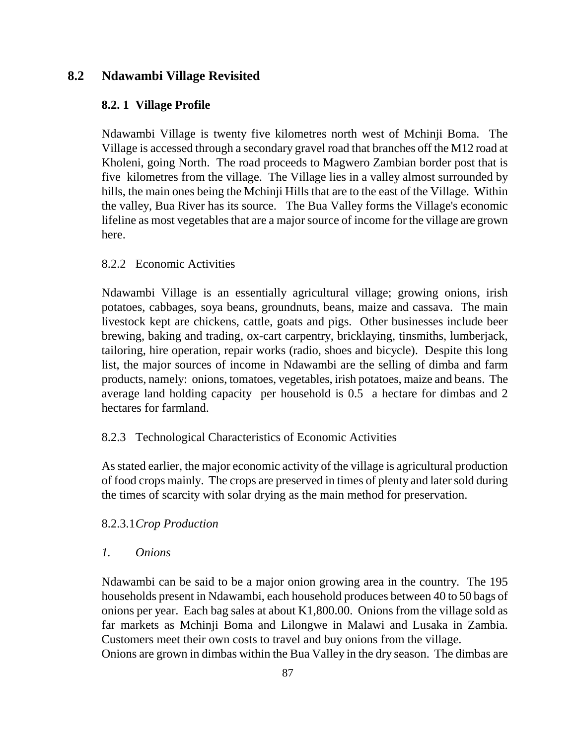# **8.2 Ndawambi Village Revisited**

## **8.2. 1 Village Profile**

Ndawambi Village is twenty five kilometres north west of Mchinji Boma. The Village is accessed through a secondary gravel road that branches off the M12 road at Kholeni, going North. The road proceeds to Magwero Zambian border post that is five kilometres from the village. The Village lies in a valley almost surrounded by hills, the main ones being the Mchinji Hills that are to the east of the Village. Within the valley, Bua River has its source. The Bua Valley forms the Village's economic lifeline as most vegetables that are a major source of income for the village are grown here.

## 8.2.2 Economic Activities

Ndawambi Village is an essentially agricultural village; growing onions, irish potatoes, cabbages, soya beans, groundnuts, beans, maize and cassava. The main livestock kept are chickens, cattle, goats and pigs. Other businesses include beer brewing, baking and trading, ox-cart carpentry, bricklaying, tinsmiths, lumberjack, tailoring, hire operation, repair works (radio, shoes and bicycle). Despite this long list, the major sources of income in Ndawambi are the selling of dimba and farm products, namely: onions, tomatoes, vegetables, irish potatoes, maize and beans. The average land holding capacity per household is 0.5 a hectare for dimbas and 2 hectares for farmland.

## 8.2.3 Technological Characteristics of Economic Activities

As stated earlier, the major economic activity of the village is agricultural production of food crops mainly. The crops are preserved in times of plenty and later sold during the times of scarcity with solar drying as the main method for preservation.

## 8.2.3.1 *Crop Production*

## *1. Onions*

Ndawambi can be said to be a major onion growing area in the country. The 195 households present in Ndawambi, each household produces between 40 to 50 bags of onions per year. Each bag sales at about K1,800.00. Onions from the village sold as far markets as Mchinji Boma and Lilongwe in Malawi and Lusaka in Zambia. Customers meet their own costs to travel and buy onions from the village. Onions are grown in dimbas within the Bua Valley in the dry season. The dimbas are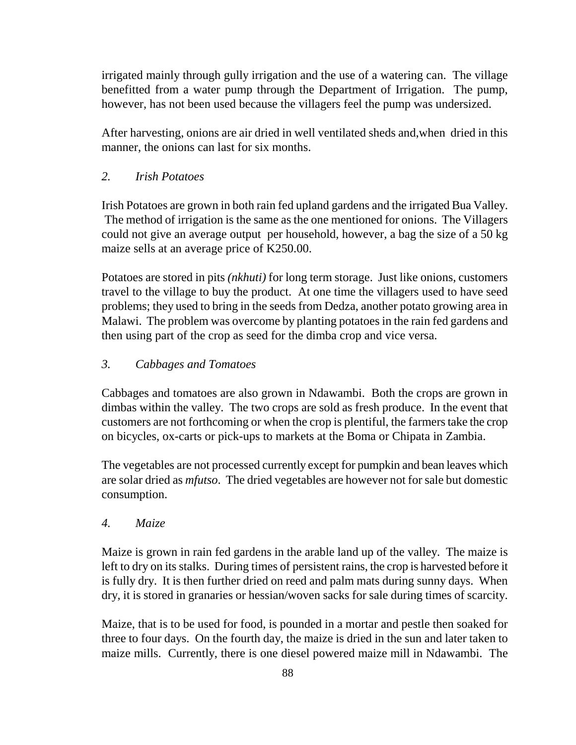irrigated mainly through gully irrigation and the use of a watering can. The village benefitted from a water pump through the Department of Irrigation. The pump, however, has not been used because the villagers feel the pump was undersized.

After harvesting, onions are air dried in well ventilated sheds and,when dried in this manner, the onions can last for six months.

## *2. Irish Potatoes*

Irish Potatoes are grown in both rain fed upland gardens and the irrigated Bua Valley. The method of irrigation is the same as the one mentioned for onions. The Villagers could not give an average output per household, however, a bag the size of a 50 kg maize sells at an average price of K250.00.

Potatoes are stored in pits *(nkhuti)* for long term storage. Just like onions, customers travel to the village to buy the product. At one time the villagers used to have seed problems; they used to bring in the seeds from Dedza, another potato growing area in Malawi. The problem was overcome by planting potatoes in the rain fed gardens and then using part of the crop as seed for the dimba crop and vice versa.

## *3. Cabbages and Tomatoes*

Cabbages and tomatoes are also grown in Ndawambi. Both the crops are grown in dimbas within the valley. The two crops are sold as fresh produce. In the event that customers are not forthcoming or when the crop is plentiful, the farmers take the crop on bicycles, ox-carts or pick-ups to markets at the Boma or Chipata in Zambia.

The vegetables are not processed currently except for pumpkin and bean leaves which are solar dried as *mfutso*. The dried vegetables are however not for sale but domestic consumption.

## *4. Maize*

Maize is grown in rain fed gardens in the arable land up of the valley. The maize is left to dry on its stalks. During times of persistent rains, the crop is harvested before it is fully dry. It is then further dried on reed and palm mats during sunny days. When dry, it is stored in granaries or hessian/woven sacks for sale during times of scarcity.

Maize, that is to be used for food, is pounded in a mortar and pestle then soaked for three to four days. On the fourth day, the maize is dried in the sun and later taken to maize mills. Currently, there is one diesel powered maize mill in Ndawambi. The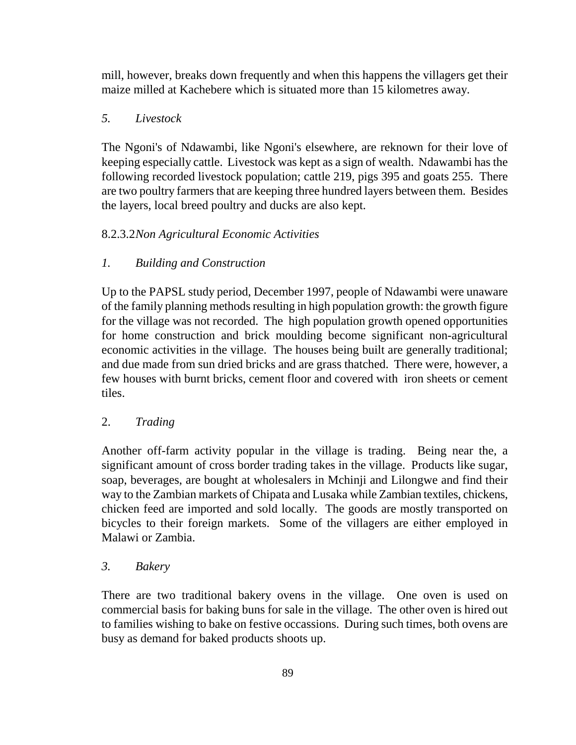mill, however, breaks down frequently and when this happens the villagers get their maize milled at Kachebere which is situated more than 15 kilometres away.

## *5. Livestock*

The Ngoni's of Ndawambi, like Ngoni's elsewhere, are reknown for their love of keeping especially cattle. Livestock was kept as a sign of wealth. Ndawambi has the following recorded livestock population; cattle 219, pigs 395 and goats 255. There are two poultry farmers that are keeping three hundred layers between them. Besides the layers, local breed poultry and ducks are also kept.

## 8.2.3.2 *Non Agricultural Economic Activities*

## *1. Building and Construction*

Up to the PAPSL study period, December 1997, people of Ndawambi were unaware of the family planning methods resulting in high population growth: the growth figure for the village was not recorded. The high population growth opened opportunities for home construction and brick moulding become significant non-agricultural economic activities in the village. The houses being built are generally traditional; and due made from sun dried bricks and are grass thatched. There were, however, a few houses with burnt bricks, cement floor and covered with iron sheets or cement tiles.

## 2. *Trading*

Another off-farm activity popular in the village is trading. Being near the, a significant amount of cross border trading takes in the village. Products like sugar, soap, beverages, are bought at wholesalers in Mchinji and Lilongwe and find their way to the Zambian markets of Chipata and Lusaka while Zambian textiles, chickens, chicken feed are imported and sold locally. The goods are mostly transported on bicycles to their foreign markets. Some of the villagers are either employed in Malawi or Zambia.

## *3. Bakery*

There are two traditional bakery ovens in the village. One oven is used on commercial basis for baking buns for sale in the village. The other oven is hired out to families wishing to bake on festive occassions. During such times, both ovens are busy as demand for baked products shoots up.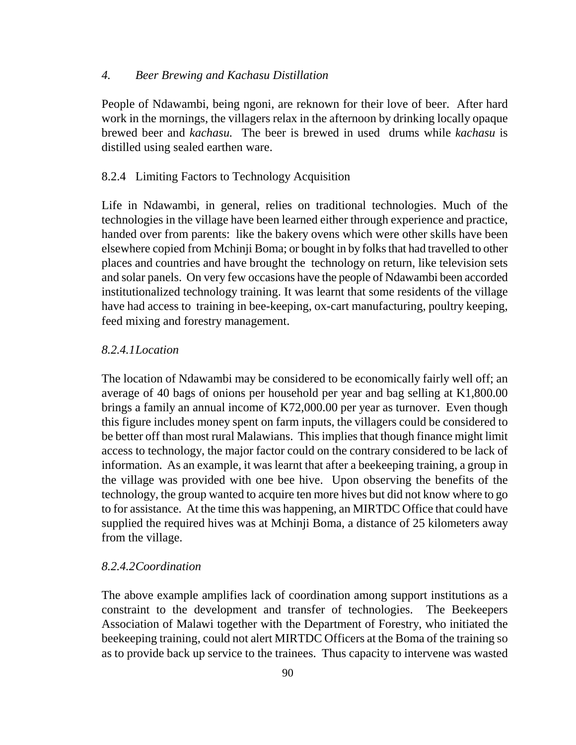#### *4. Beer Brewing and Kachasu Distillation*

People of Ndawambi, being ngoni, are reknown for their love of beer. After hard work in the mornings, the villagers relax in the afternoon by drinking locally opaque brewed beer and *kachasu.* The beer is brewed in used drums while *kachasu* is distilled using sealed earthen ware.

### 8.2.4 Limiting Factors to Technology Acquisition

Life in Ndawambi, in general, relies on traditional technologies. Much of the technologies in the village have been learned either through experience and practice, handed over from parents: like the bakery ovens which were other skills have been elsewhere copied from Mchinji Boma; or bought in by folks that had travelled to other places and countries and have brought the technology on return, like television sets and solar panels. On very few occasions have the people of Ndawambi been accorded institutionalized technology training. It was learnt that some residents of the village have had access to training in bee-keeping, ox-cart manufacturing, poultry keeping, feed mixing and forestry management.

#### *8.2.4.1 Location*

The location of Ndawambi may be considered to be economically fairly well off; an average of 40 bags of onions per household per year and bag selling at K1,800.00 brings a family an annual income of K72,000.00 per year as turnover. Even though this figure includes money spent on farm inputs, the villagers could be considered to be better off than most rural Malawians. This implies that though finance might limit access to technology, the major factor could on the contrary considered to be lack of information. As an example, it was learnt that after a beekeeping training, a group in the village was provided with one bee hive. Upon observing the benefits of the technology, the group wanted to acquire ten more hives but did not know where to go to for assistance. At the time this was happening, an MIRTDC Office that could have supplied the required hives was at Mchinji Boma, a distance of 25 kilometers away from the village.

#### *8.2.4.2 Coordination*

The above example amplifies lack of coordination among support institutions as a constraint to the development and transfer of technologies. The Beekeepers Association of Malawi together with the Department of Forestry, who initiated the beekeeping training, could not alert MIRTDC Officers at the Boma of the training so as to provide back up service to the trainees. Thus capacity to intervene was wasted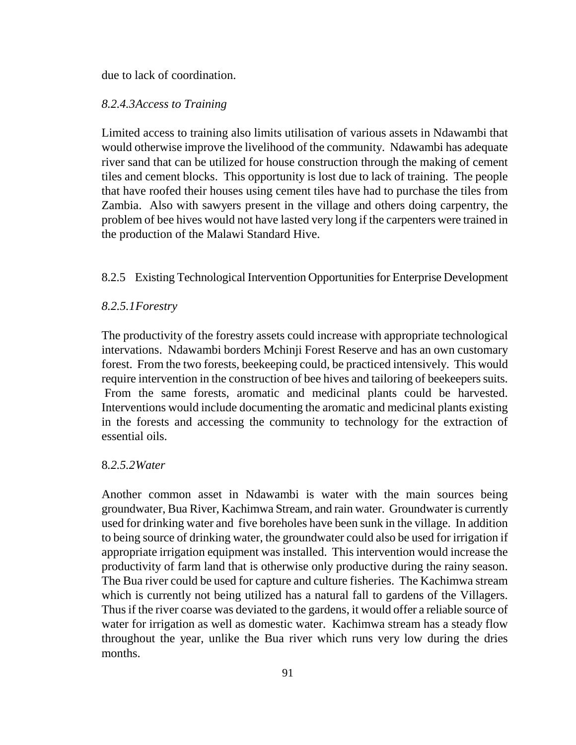due to lack of coordination.

### *8.2.4.3 Access to Training*

Limited access to training also limits utilisation of various assets in Ndawambi that would otherwise improve the livelihood of the community. Ndawambi has adequate river sand that can be utilized for house construction through the making of cement tiles and cement blocks. This opportunity is lost due to lack of training. The people that have roofed their houses using cement tiles have had to purchase the tiles from Zambia. Also with sawyers present in the village and others doing carpentry, the problem of bee hives would not have lasted very long if the carpenters were trained in the production of the Malawi Standard Hive.

## 8.2.5 Existing Technological Intervention Opportunities for Enterprise Development

### *8.2.5.1 Forestry*

The productivity of the forestry assets could increase with appropriate technological intervations. Ndawambi borders Mchinji Forest Reserve and has an own customary forest. From the two forests, beekeeping could, be practiced intensively. This would require intervention in the construction of bee hives and tailoring of beekeepers suits. From the same forests, aromatic and medicinal plants could be harvested. Interventions would include documenting the aromatic and medicinal plants existing in the forests and accessing the community to technology for the extraction of essential oils.

### 8*.2.5.2 Water*

Another common asset in Ndawambi is water with the main sources being groundwater, Bua River, Kachimwa Stream, and rain water. Groundwater is currently used for drinking water and five boreholes have been sunk in the village. In addition to being source of drinking water, the groundwater could also be used for irrigation if appropriate irrigation equipment was installed. This intervention would increase the productivity of farm land that is otherwise only productive during the rainy season. The Bua river could be used for capture and culture fisheries. The Kachimwa stream which is currently not being utilized has a natural fall to gardens of the Villagers. Thus if the river coarse was deviated to the gardens, it would offer a reliable source of water for irrigation as well as domestic water. Kachimwa stream has a steady flow throughout the year, unlike the Bua river which runs very low during the dries months.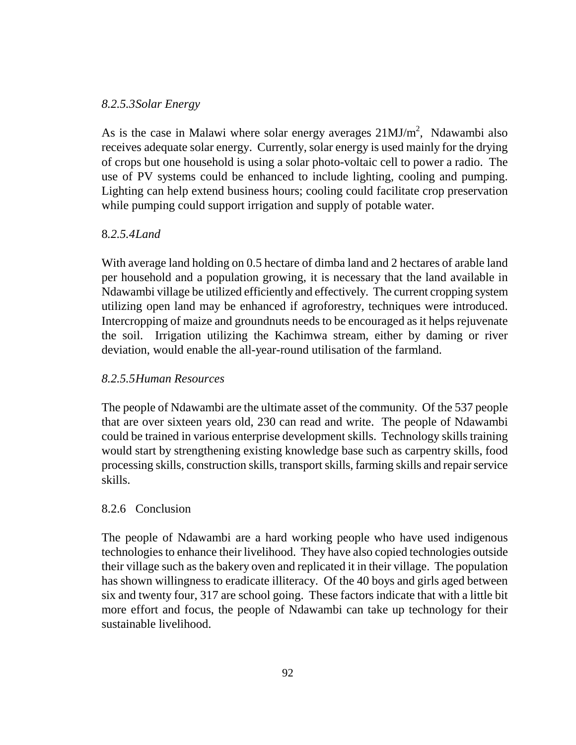### *8.2.5.3 Solar Energy*

As is the case in Malawi where solar energy averages  $21 MJ/m<sup>2</sup>$ , Ndawambi also receives adequate solar energy. Currently, solar energy is used mainly for the drying of crops but one household is using a solar photo-voltaic cell to power a radio. The use of PV systems could be enhanced to include lighting, cooling and pumping. Lighting can help extend business hours; cooling could facilitate crop preservation while pumping could support irrigation and supply of potable water.

## 8*.2.5.4 Land*

With average land holding on 0.5 hectare of dimba land and 2 hectares of arable land per household and a population growing, it is necessary that the land available in Ndawambi village be utilized efficiently and effectively. The current cropping system utilizing open land may be enhanced if agroforestry, techniques were introduced. Intercropping of maize and groundnuts needs to be encouraged as it helps rejuvenate the soil. Irrigation utilizing the Kachimwa stream, either by daming or river deviation, would enable the all-year-round utilisation of the farmland.

## *8.2.5.5 Human Resources*

The people of Ndawambi are the ultimate asset of the community. Of the 537 people that are over sixteen years old, 230 can read and write. The people of Ndawambi could be trained in various enterprise development skills. Technology skills training would start by strengthening existing knowledge base such as carpentry skills, food processing skills, construction skills, transport skills, farming skills and repair service skills.

## 8.2.6 Conclusion

The people of Ndawambi are a hard working people who have used indigenous technologies to enhance their livelihood. They have also copied technologies outside their village such as the bakery oven and replicated it in their village. The population has shown willingness to eradicate illiteracy. Of the 40 boys and girls aged between six and twenty four, 317 are school going. These factors indicate that with a little bit more effort and focus, the people of Ndawambi can take up technology for their sustainable livelihood.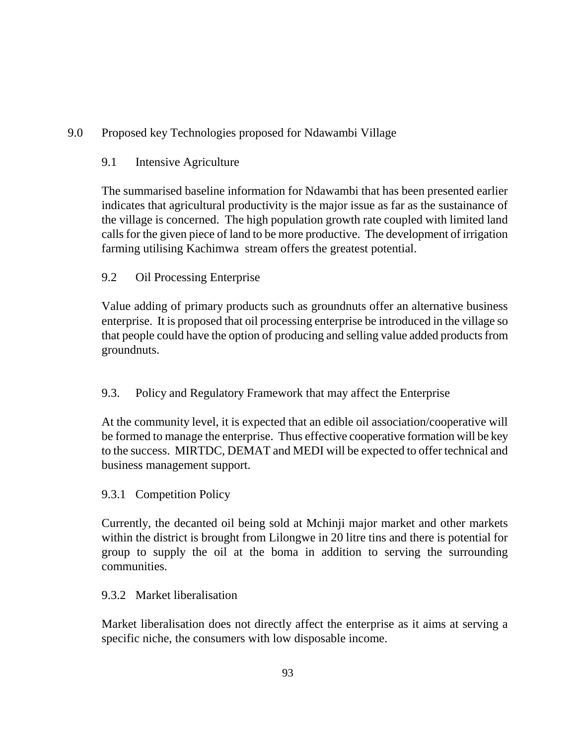# 9.0 Proposed key Technologies proposed for Ndawambi Village

# 9.1 Intensive Agriculture

The summarised baseline information for Ndawambi that has been presented earlier indicates that agricultural productivity is the major issue as far as the sustainance of the village is concerned. The high population growth rate coupled with limited land calls for the given piece of land to be more productive. The development of irrigation farming utilising Kachimwa stream offers the greatest potential.

# 9.2 Oil Processing Enterprise

Value adding of primary products such as groundnuts offer an alternative business enterprise. It is proposed that oil processing enterprise be introduced in the village so that people could have the option of producing and selling value added products from groundnuts.

# 9.3. Policy and Regulatory Framework that may affect the Enterprise

At the community level, it is expected that an edible oil association/cooperative will be formed to manage the enterprise. Thus effective cooperative formation will be key to the success. MIRTDC, DEMAT and MEDI will be expected to offer technical and business management support.

## 9.3.1 Competition Policy

Currently, the decanted oil being sold at Mchinji major market and other markets within the district is brought from Lilongwe in 20 litre tins and there is potential for group to supply the oil at the boma in addition to serving the surrounding communities.

## 9.3.2 Market liberalisation

Market liberalisation does not directly affect the enterprise as it aims at serving a specific niche, the consumers with low disposable income.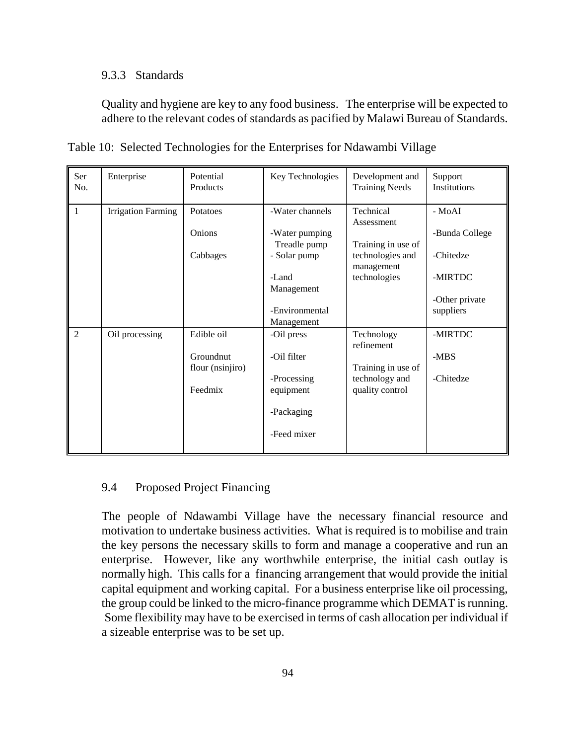### 9.3.3 Standards

Quality and hygiene are key to any food business. The enterprise will be expected to adhere to the relevant codes of standards as pacified by Malawi Bureau of Standards.

| Ser<br>No.     | Enterprise                | Potential<br>Products                                  | Key Technologies                                                                                                         | Development and<br><b>Training Needs</b>                                                        | Support<br>Institutions                                                         |
|----------------|---------------------------|--------------------------------------------------------|--------------------------------------------------------------------------------------------------------------------------|-------------------------------------------------------------------------------------------------|---------------------------------------------------------------------------------|
| $\mathbf{1}$   | <b>Irrigation Farming</b> | Potatoes<br>Onions<br>Cabbages                         | -Water channels<br>-Water pumping<br>Treadle pump<br>- Solar pump<br>-Land<br>Management<br>-Environmental<br>Management | Technical<br>Assessment<br>Training in use of<br>technologies and<br>management<br>technologies | - MoAI<br>-Bunda College<br>-Chitedze<br>-MIRTDC<br>-Other private<br>suppliers |
| $\overline{2}$ | Oil processing            | Edible oil<br>Groundnut<br>flour (nsinjiro)<br>Feedmix | -Oil press<br>-Oil filter<br>-Processing<br>equipment<br>-Packaging<br>-Feed mixer                                       | Technology<br>refinement<br>Training in use of<br>technology and<br>quality control             | -MIRTDC<br>$-MBS$<br>-Chitedze                                                  |

Table 10: Selected Technologies for the Enterprises for Ndawambi Village

## 9.4 Proposed Project Financing

The people of Ndawambi Village have the necessary financial resource and motivation to undertake business activities. What is required is to mobilise and train the key persons the necessary skills to form and manage a cooperative and run an enterprise. However, like any worthwhile enterprise, the initial cash outlay is normally high. This calls for a financing arrangement that would provide the initial capital equipment and working capital. For a business enterprise like oil processing, the group could be linked to the micro-finance programme which DEMAT is running. Some flexibility may have to be exercised in terms of cash allocation per individual if a sizeable enterprise was to be set up.